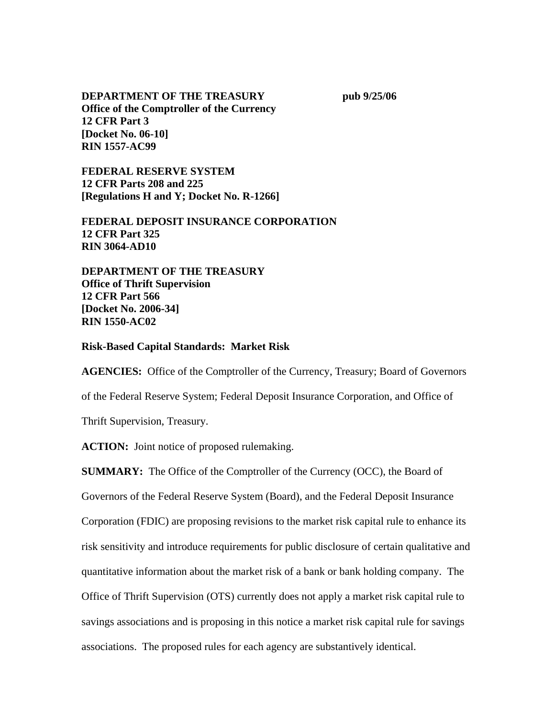## **DEPARTMENT OF THE TREASURY pub 9/25/06 Office of the Comptroller of the Currency 12 CFR Part 3 [Docket No. 06-10] RIN 1557-AC99**

**FEDERAL RESERVE SYSTEM 12 CFR Parts 208 and 225 [Regulations H and Y; Docket No. R-1266]** 

**FEDERAL DEPOSIT INSURANCE CORPORATION 12 CFR Part 325 RIN 3064-AD10** 

**DEPARTMENT OF THE TREASURY Office of Thrift Supervision 12 CFR Part 566 [Docket No. 2006-34] RIN 1550-AC02** 

### **Risk-Based Capital Standards: Market Risk**

**AGENCIES:** Office of the Comptroller of the Currency, Treasury; Board of Governors of the Federal Reserve System; Federal Deposit Insurance Corporation, and Office of Thrift Supervision, Treasury.

**ACTION:** Joint notice of proposed rulemaking.

**SUMMARY:** The Office of the Comptroller of the Currency (OCC), the Board of Governors of the Federal Reserve System (Board), and the Federal Deposit Insurance Corporation (FDIC) are proposing revisions to the market risk capital rule to enhance its risk sensitivity and introduce requirements for public disclosure of certain qualitative and quantitative information about the market risk of a bank or bank holding company. The Office of Thrift Supervision (OTS) currently does not apply a market risk capital rule to savings associations and is proposing in this notice a market risk capital rule for savings associations. The proposed rules for each agency are substantively identical.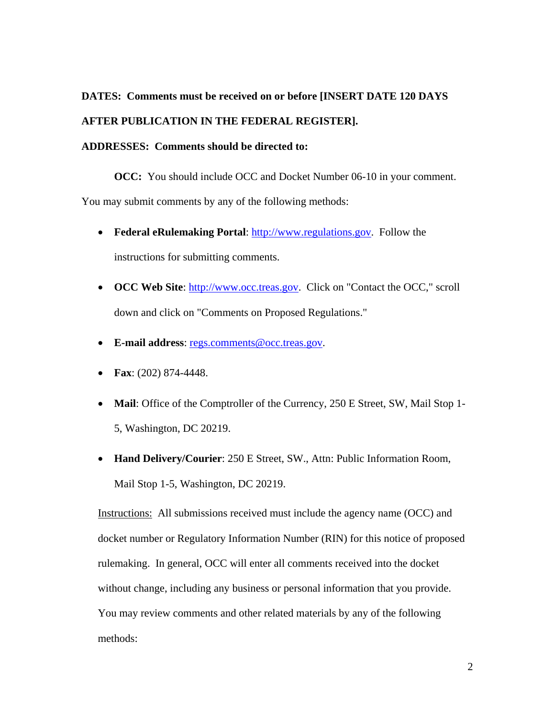## **DATES: Comments must be received on or before [INSERT DATE 120 DAYS**

## **AFTER PUBLICATION IN THE FEDERAL REGISTER].**

#### **ADDRESSES: Comments should be directed to:**

**OCC:** You should include OCC and Docket Number 06-10 in your comment.

You may submit comments by any of the following methods:

- **Federal eRulemaking Portal**: [http://www.regulations.gov.](http://www.regulations.gov/) Follow the instructions for submitting comments.
- **OCC Web Site:** [http://www.occ.treas.gov](http://www.occ.treas.gov/). Click on "Contact the OCC," scroll down and click on "Comments on Proposed Regulations."
- **E-mail address**: [regs.comments@occ.treas.gov.](mailto:regs.comments@occ.treas.gov)
- **Fax**: (202) 874-4448.
- **Mail**: Office of the Comptroller of the Currency, 250 E Street, SW, Mail Stop 1- 5, Washington, DC 20219.
- **Hand Delivery/Courier**: 250 E Street, SW., Attn: Public Information Room, Mail Stop 1-5, Washington, DC 20219.

Instructions: All submissions received must include the agency name (OCC) and docket number or Regulatory Information Number (RIN) for this notice of proposed rulemaking. In general, OCC will enter all comments received into the docket without change, including any business or personal information that you provide. You may review comments and other related materials by any of the following methods: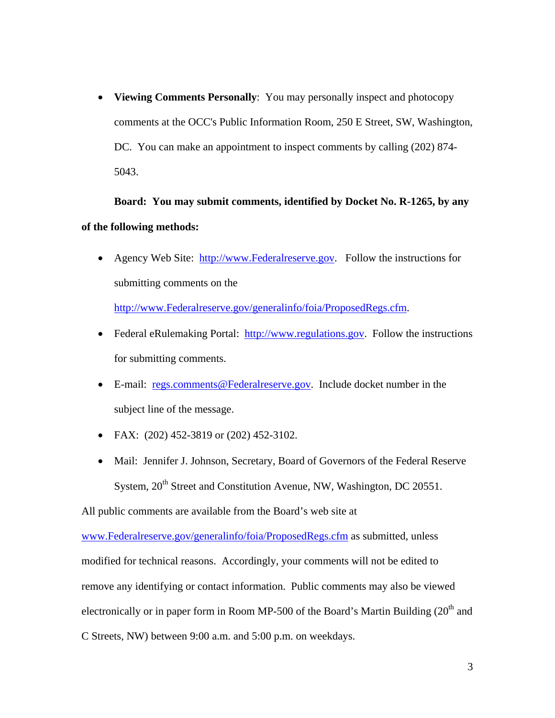• **Viewing Comments Personally**: You may personally inspect and photocopy comments at the OCC's Public Information Room, 250 E Street, SW, Washington, DC. You can make an appointment to inspect comments by calling (202) 874- 5043.

**Board:****You may submit comments, identified by Docket No. R-1265, by any of the following methods:** 

• Agency Web Site: [http://www.Federalreserve.gov](http://www.federalreserve.gov/). Follow the instructions for submitting comments on the

[http://www.Federalreserve.gov/generalinfo/foia/ProposedRegs.cfm.](http://www.federalreserve.gov/generalinfo/foia/ProposedRegs.cfm)

- Federal eRulemaking Portal: [http://www.regulations.gov.](http://www.regulations.gov/) Follow the instructions for submitting comments.
- E-mail: [regs.comments@Federalreserve.gov.](mailto:regs.comments@federalreserve.gov) Include docket number in the subject line of the message.
- FAX: (202) 452-3819 or (202) 452-3102.
- Mail: Jennifer J. Johnson, Secretary, Board of Governors of the Federal Reserve System,  $20<sup>th</sup>$  Street and Constitution Avenue, NW, Washington, DC 20551.

All public comments are available from the Board's web site at

[www.Federalreserve.gov/generalinfo/foia/ProposedRegs.cfm](http://www.federalreserve.gov/generalinfo/foia/ProposedRegs.cfm) as submitted, unless modified for technical reasons. Accordingly, your comments will not be edited to remove any identifying or contact information. Public comments may also be viewed electronically or in paper form in Room MP-500 of the Board's Martin Building  $(20<sup>th</sup>$  and C Streets, NW) between 9:00 a.m. and 5:00 p.m. on weekdays.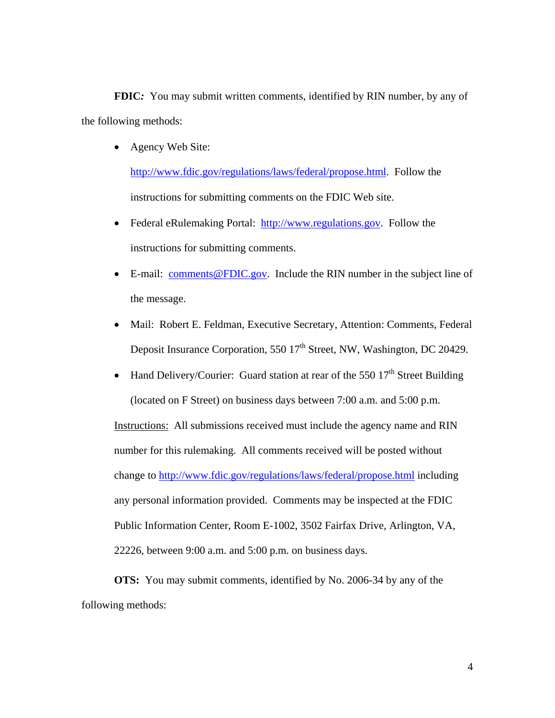**FDIC***:* You may submit written comments, identified by RIN number, by any of the following methods:

• Agency Web Site:

<http://www.fdic.gov/regulations/laws/federal/propose.html>. Follow the instructions for submitting comments on the FDIC Web site.

- Federal eRulemaking Portal: [http://www.regulations.gov.](http://www.regulations.gov/) Follow the instructions for submitting comments.
- E-mail: [comments@FDIC.gov.](mailto:Comments@FDIC.gov) Include the RIN number in the subject line of the message.
- Mail: Robert E. Feldman, Executive Secretary, Attention: Comments, Federal Deposit Insurance Corporation, 550 17<sup>th</sup> Street, NW, Washington, DC 20429.
- Hand Delivery/Courier: Guard station at rear of the 550  $17<sup>th</sup>$  Street Building (located on F Street) on business days between 7:00 a.m. and 5:00 p.m. Instructions: All submissions received must include the agency name and RIN number for this rulemaking. All comments received will be posted without change to [http://www.fdic.gov/regulations/laws/federal/propose.html](http://www.fdic.gov/) including any personal information provided. Comments may be inspected at the FDIC Public Information Center, Room E-1002, 3502 Fairfax Drive, Arlington, VA, 22226, between 9:00 a.m. and 5:00 p.m. on business days.

**OTS:** You may submit comments, identified by No. 2006-34 by any of the following methods: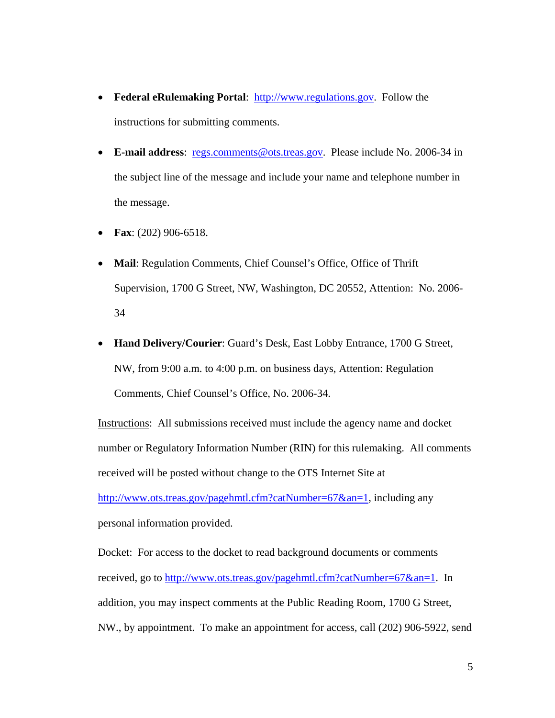- **Federal eRulemaking Portal:** [http://www.regulations.gov.](http://www.regulations.gov/) Follow the instructions for submitting comments.
- **E-mail address**: [regs.comments@ots.treas.gov](mailto:regs.comments@ots.treas.gov). Please include No. 2006-34 in the subject line of the message and include your name and telephone number in the message.
- **Fax**: (202) 906-6518.
- **Mail**: Regulation Comments, Chief Counsel's Office, Office of Thrift Supervision, 1700 G Street, NW, Washington, DC 20552, Attention: No. 2006- 34
- **Hand Delivery/Courier**: Guard's Desk, East Lobby Entrance, 1700 G Street, NW, from 9:00 a.m. to 4:00 p.m. on business days, Attention: Regulation Comments, Chief Counsel's Office, No. 2006-34.

Instructions: All submissions received must include the agency name and docket number or Regulatory Information Number (RIN) for this rulemaking. All comments received will be posted without change to the OTS Internet Site at

[http://www.ots.treas.gov/pagehmtl.cfm?catNumber=67&an=1,](http://www.ots.treas.gov/pagehmtl.cfm?catNumber=67&an=1) including any personal information provided.

Docket: For access to the docket to read background documents or comments received, go to [http://www.ots.treas.gov/pagehmtl.cfm?catNumber=67&an=1.](http://www.ots.treas.gov/pagehmtl.cfm?catNumber=67&an=1) In addition, you may inspect comments at the Public Reading Room, 1700 G Street, NW., by appointment. To make an appointment for access, call (202) 906-5922, send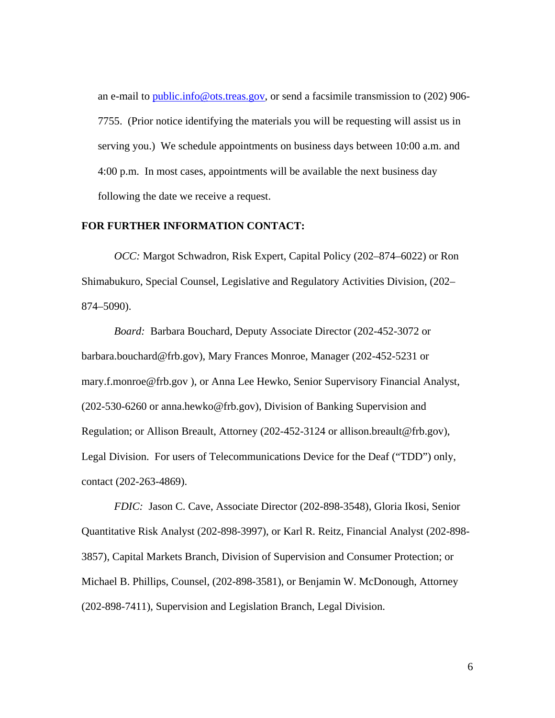an e-mail to [public.info@ots.treas.gov](mailto:public.info@ots.treas.gov), or send a facsimile transmission to (202) 906-7755. (Prior notice identifying the materials you will be requesting will assist us in serving you.) We schedule appointments on business days between 10:00 a.m. and 4:00 p.m. In most cases, appointments will be available the next business day following the date we receive a request.

### **FOR FURTHER INFORMATION CONTACT:**

*OCC:* Margot Schwadron, Risk Expert, Capital Policy (202–874–6022) or Ron Shimabukuro, Special Counsel, Legislative and Regulatory Activities Division, (202– 874–5090).

 *Board:* Barbara Bouchard, Deputy Associate Director (202-452-3072 or barbara.bouchard@frb.gov), Mary Frances Monroe, Manager (202-452-5231 or mary.f.monroe@frb.gov ), or Anna Lee Hewko, Senior Supervisory Financial Analyst, (202-530-6260 or anna.hewko@frb.gov), Division of Banking Supervision and Regulation; or Allison Breault, Attorney (202-452-3124 or allison.breault@frb.gov), Legal Division. For users of Telecommunications Device for the Deaf ("TDD") only, contact (202-263-4869).

*FDIC:* Jason C. Cave, Associate Director (202-898-3548), Gloria Ikosi, Senior Quantitative Risk Analyst (202-898-3997), or Karl R. Reitz, Financial Analyst (202-898- 3857), Capital Markets Branch, Division of Supervision and Consumer Protection; or Michael B. Phillips, Counsel, (202-898-3581), or Benjamin W. McDonough, Attorney (202-898-7411), Supervision and Legislation Branch, Legal Division.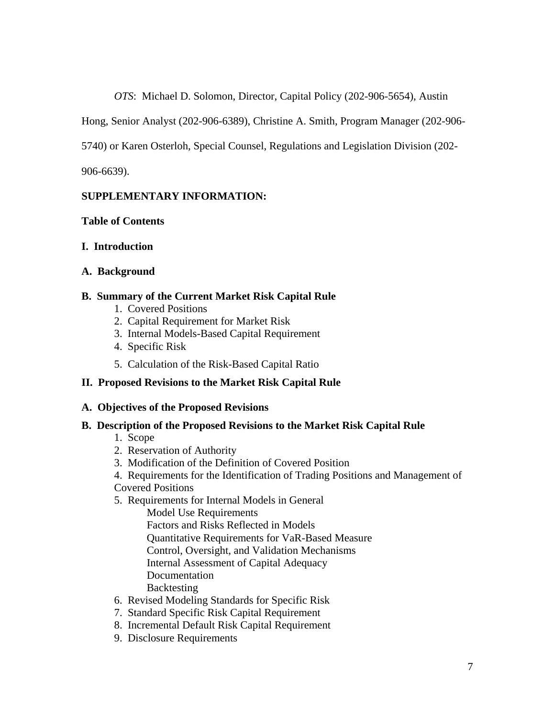*OTS*: Michael D. Solomon, Director, Capital Policy (202-906-5654), Austin

Hong, Senior Analyst (202-906-6389), Christine A. Smith, Program Manager (202-906-

5740) or Karen Osterloh, Special Counsel, Regulations and Legislation Division (202-

906-6639).

# **SUPPLEMENTARY INFORMATION:**

# **Table of Contents**

# **I. Introduction**

# **A. Background**

# **B. Summary of the Current Market Risk Capital Rule**

- 1. Covered Positions
- 2. Capital Requirement for Market Risk
- 3. Internal Models-Based Capital Requirement
- 4. Specific Risk
- 5. Calculation of the Risk-Based Capital Ratio

# **II. Proposed Revisions to the Market Risk Capital Rule**

# **A. Objectives of the Proposed Revisions**

# **B. Description of the Proposed Revisions to the Market Risk Capital Rule**

- 1. Scope
- 2. Reservation of Authority
- 3. Modification of the Definition of Covered Position
- 4. Requirements for the Identification of Trading Positions and Management of
- Covered Positions
- 5. Requirements for Internal Models in General

Model Use Requirements

Factors and Risks Reflected in Models

Quantitative Requirements for VaR-Based Measure

Control, Oversight, and Validation Mechanisms

Internal Assessment of Capital Adequacy

**Documentation** 

- Backtesting
- 6. Revised Modeling Standards for Specific Risk
- 7. Standard Specific Risk Capital Requirement
- 8. Incremental Default Risk Capital Requirement
- 9. Disclosure Requirements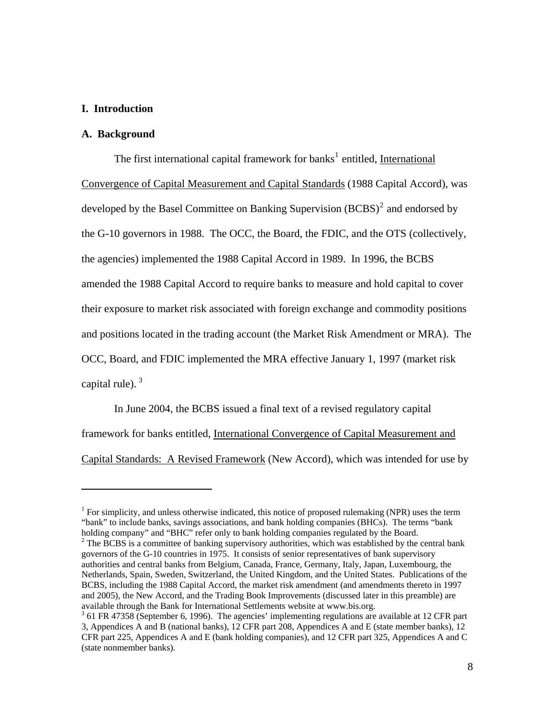#### **I. Introduction**

#### **A. Background**

 $\overline{a}$ 

The first international capital framework for banks<sup>[1](#page-7-0)</sup> entitled, International Convergence of Capital Measurement and Capital Standards (1988 Capital Accord), was developed by the Basel Committee on Banking Supervision  $(BCBS)^2$  $(BCBS)^2$  and endorsed by the G-10 governors in 1988. The OCC, the Board, the FDIC, and the OTS (collectively, the agencies) implemented the 1988 Capital Accord in 1989. In 1996, the BCBS amended the 1988 Capital Accord to require banks to measure and hold capital to cover their exposure to market risk associated with foreign exchange and commodity positions and positions located in the trading account (the Market Risk Amendment or MRA). The OCC, Board, and FDIC implemented the MRA effective January 1, 1997 (market risk capital rule).  $3<sup>3</sup>$  $3<sup>3</sup>$ 

In June 2004, the BCBS issued a final text of a revised regulatory capital framework for banks entitled, International Convergence of Capital Measurement and Capital Standards: A Revised Framework (New Accord), which was intended for use by

<span id="page-7-0"></span> $1$  For simplicity, and unless otherwise indicated, this notice of proposed rulemaking (NPR) uses the term "bank" to include banks, savings associations, and bank holding companies (BHCs). The terms "bank holding company" and "BHC" refer only to bank holding companies regulated by the Board.

<span id="page-7-1"></span> $<sup>2</sup>$  The BCBS is a committee of banking supervisory authorities, which was established by the central bank</sup> governors of the G-10 countries in 1975. It consists of senior representatives of bank supervisory authorities and central banks from Belgium, Canada, France, Germany, Italy, Japan, Luxembourg, the Netherlands, Spain, Sweden, Switzerland, the United Kingdom, and the United States. Publications of the BCBS, including the 1988 Capital Accord, the market risk amendment (and amendments thereto in 1997 and 2005), the New Accord, and the Trading Book Improvements (discussed later in this preamble) are available through the Bank for International Settlements website at www.bis.org.

<span id="page-7-2"></span><sup>&</sup>lt;sup>3</sup> 61 FR 47358 (September 6, 1996). The agencies' implementing regulations are available at 12 CFR part 3, Appendices A and B (national banks), 12 CFR part 208, Appendices A and E (state member banks), 12 CFR part 225, Appendices A and E (bank holding companies), and 12 CFR part 325, Appendices A and C (state nonmember banks).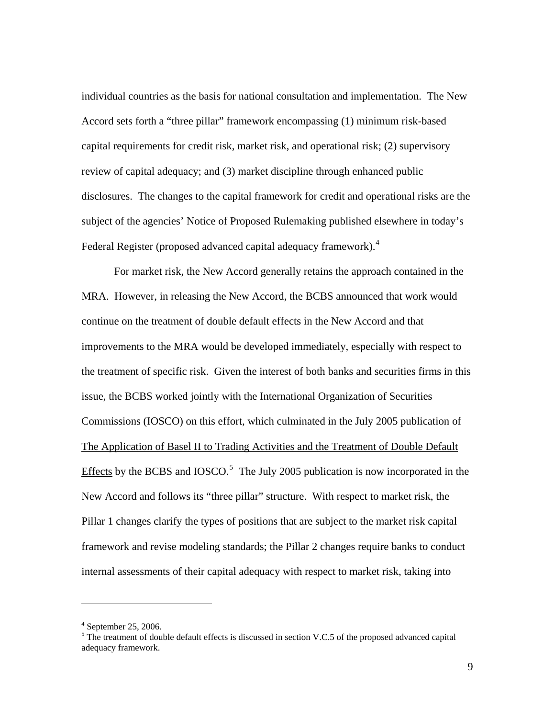individual countries as the basis for national consultation and implementation. The New Accord sets forth a "three pillar" framework encompassing (1) minimum risk-based capital requirements for credit risk, market risk, and operational risk; (2) supervisory review of capital adequacy; and (3) market discipline through enhanced public disclosures. The changes to the capital framework for credit and operational risks are the subject of the agencies' Notice of Proposed Rulemaking published elsewhere in today's Federal Register (proposed advanced capital adequacy framework).<sup>[4](#page-8-0)</sup>

For market risk, the New Accord generally retains the approach contained in the MRA. However, in releasing the New Accord, the BCBS announced that work would continue on the treatment of double default effects in the New Accord and that improvements to the MRA would be developed immediately, especially with respect to the treatment of specific risk. Given the interest of both banks and securities firms in this issue, the BCBS worked jointly with the International Organization of Securities Commissions (IOSCO) on this effort, which culminated in the July 2005 publication of The Application of Basel II to Trading Activities and the Treatment of Double Default Effects by the BCBS and IOSCO.<sup>[5](#page-8-1)</sup> The July 2005 publication is now incorporated in the New Accord and follows its "three pillar" structure. With respect to market risk, the Pillar 1 changes clarify the types of positions that are subject to the market risk capital framework and revise modeling standards; the Pillar 2 changes require banks to conduct internal assessments of their capital adequacy with respect to market risk, taking into

<span id="page-8-0"></span><sup>4</sup> September 25, 2006.

<span id="page-8-1"></span> $<sup>5</sup>$  The treatment of double default effects is discussed in section V.C.5 of the proposed advanced capital</sup> adequacy framework.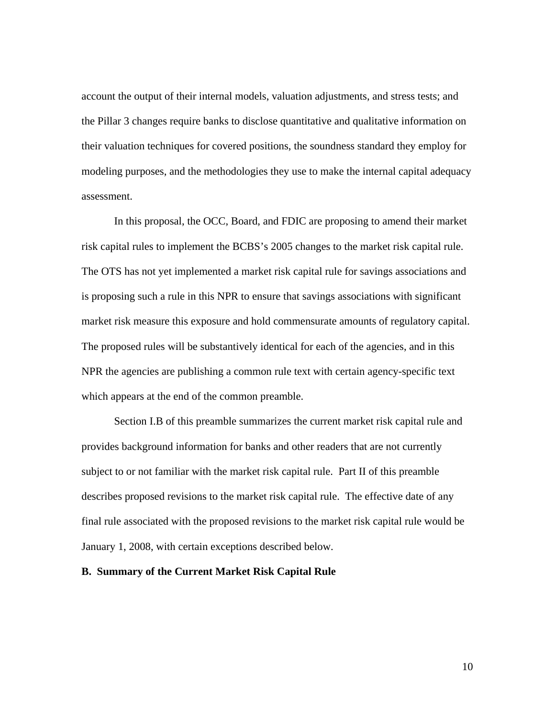account the output of their internal models, valuation adjustments, and stress tests; and the Pillar 3 changes require banks to disclose quantitative and qualitative information on their valuation techniques for covered positions, the soundness standard they employ for modeling purposes, and the methodologies they use to make the internal capital adequacy assessment.

In this proposal, the OCC, Board, and FDIC are proposing to amend their market risk capital rules to implement the BCBS's 2005 changes to the market risk capital rule. The OTS has not yet implemented a market risk capital rule for savings associations and is proposing such a rule in this NPR to ensure that savings associations with significant market risk measure this exposure and hold commensurate amounts of regulatory capital. The proposed rules will be substantively identical for each of the agencies, and in this NPR the agencies are publishing a common rule text with certain agency-specific text which appears at the end of the common preamble.

Section I.B of this preamble summarizes the current market risk capital rule and provides background information for banks and other readers that are not currently subject to or not familiar with the market risk capital rule. Part II of this preamble describes proposed revisions to the market risk capital rule. The effective date of any final rule associated with the proposed revisions to the market risk capital rule would be January 1, 2008, with certain exceptions described below.

### **B. Summary of the Current Market Risk Capital Rule**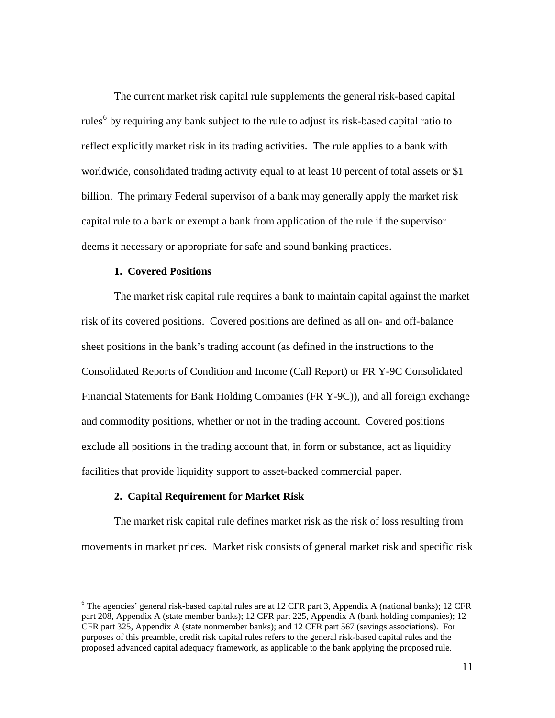The current market risk capital rule supplements the general risk-based capital rules<sup>[6](#page-10-0)</sup> by requiring any bank subject to the rule to adjust its risk-based capital ratio to reflect explicitly market risk in its trading activities. The rule applies to a bank with worldwide, consolidated trading activity equal to at least 10 percent of total assets or \$1 billion. The primary Federal supervisor of a bank may generally apply the market risk capital rule to a bank or exempt a bank from application of the rule if the supervisor deems it necessary or appropriate for safe and sound banking practices.

### **1. Covered Positions**

 $\overline{a}$ 

The market risk capital rule requires a bank to maintain capital against the market risk of its covered positions. Covered positions are defined as all on- and off-balance sheet positions in the bank's trading account (as defined in the instructions to the Consolidated Reports of Condition and Income (Call Report) or FR Y-9C Consolidated Financial Statements for Bank Holding Companies (FR Y-9C)), and all foreign exchange and commodity positions, whether or not in the trading account. Covered positions exclude all positions in the trading account that, in form or substance, act as liquidity facilities that provide liquidity support to asset-backed commercial paper.

#### **2. Capital Requirement for Market Risk**

The market risk capital rule defines market risk as the risk of loss resulting from movements in market prices. Market risk consists of general market risk and specific risk

<span id="page-10-0"></span><sup>&</sup>lt;sup>6</sup> The agencies' general risk-based capital rules are at 12 CFR part 3, Appendix A (national banks); 12 CFR part 208, Appendix A (state member banks); 12 CFR part 225, Appendix A (bank holding companies); 12 CFR part 325, Appendix A (state nonmember banks); and 12 CFR part 567 (savings associations). For purposes of this preamble, credit risk capital rules refers to the general risk-based capital rules and the proposed advanced capital adequacy framework, as applicable to the bank applying the proposed rule.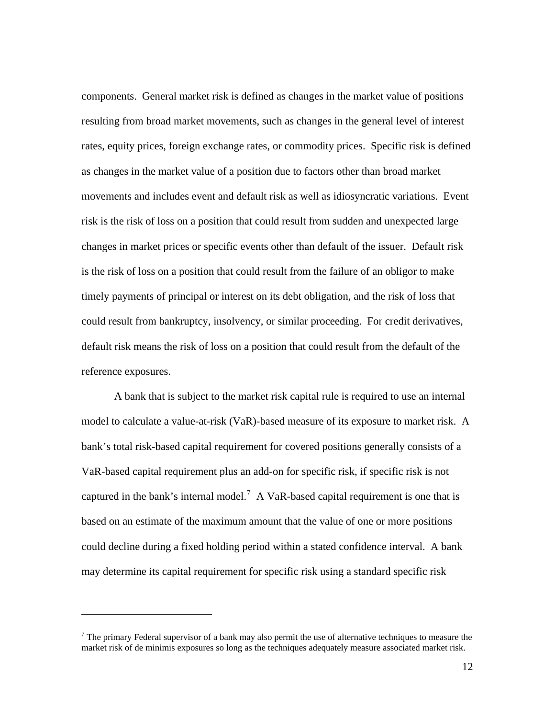components. General market risk is defined as changes in the market value of positions resulting from broad market movements, such as changes in the general level of interest rates, equity prices, foreign exchange rates, or commodity prices. Specific risk is defined as changes in the market value of a position due to factors other than broad market movements and includes event and default risk as well as idiosyncratic variations. Event risk is the risk of loss on a position that could result from sudden and unexpected large changes in market prices or specific events other than default of the issuer. Default risk is the risk of loss on a position that could result from the failure of an obligor to make timely payments of principal or interest on its debt obligation, and the risk of loss that could result from bankruptcy, insolvency, or similar proceeding. For credit derivatives, default risk means the risk of loss on a position that could result from the default of the reference exposures.

A bank that is subject to the market risk capital rule is required to use an internal model to calculate a value-at-risk (VaR)-based measure of its exposure to market risk. A bank's total risk-based capital requirement for covered positions generally consists of a VaR-based capital requirement plus an add-on for specific risk, if specific risk is not captured in the bank's internal model.<sup>[7](#page-11-0)</sup> A VaR-based capital requirement is one that is based on an estimate of the maximum amount that the value of one or more positions could decline during a fixed holding period within a stated confidence interval. A bank may determine its capital requirement for specific risk using a standard specific risk

<span id="page-11-0"></span> $<sup>7</sup>$  The primary Federal supervisor of a bank may also permit the use of alternative techniques to measure the</sup> market risk of de minimis exposures so long as the techniques adequately measure associated market risk.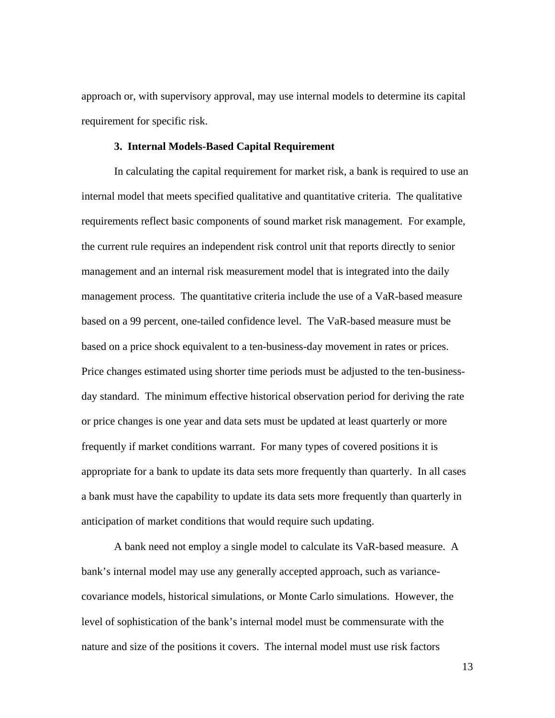approach or, with supervisory approval, may use internal models to determine its capital requirement for specific risk.

#### **3. Internal Models-Based Capital Requirement**

In calculating the capital requirement for market risk, a bank is required to use an internal model that meets specified qualitative and quantitative criteria. The qualitative requirements reflect basic components of sound market risk management. For example, the current rule requires an independent risk control unit that reports directly to senior management and an internal risk measurement model that is integrated into the daily management process. The quantitative criteria include the use of a VaR-based measure based on a 99 percent, one-tailed confidence level. The VaR-based measure must be based on a price shock equivalent to a ten-business-day movement in rates or prices. Price changes estimated using shorter time periods must be adjusted to the ten-businessday standard. The minimum effective historical observation period for deriving the rate or price changes is one year and data sets must be updated at least quarterly or more frequently if market conditions warrant. For many types of covered positions it is appropriate for a bank to update its data sets more frequently than quarterly. In all cases a bank must have the capability to update its data sets more frequently than quarterly in anticipation of market conditions that would require such updating.

A bank need not employ a single model to calculate its VaR-based measure. A bank's internal model may use any generally accepted approach, such as variancecovariance models, historical simulations, or Monte Carlo simulations. However, the level of sophistication of the bank's internal model must be commensurate with the nature and size of the positions it covers. The internal model must use risk factors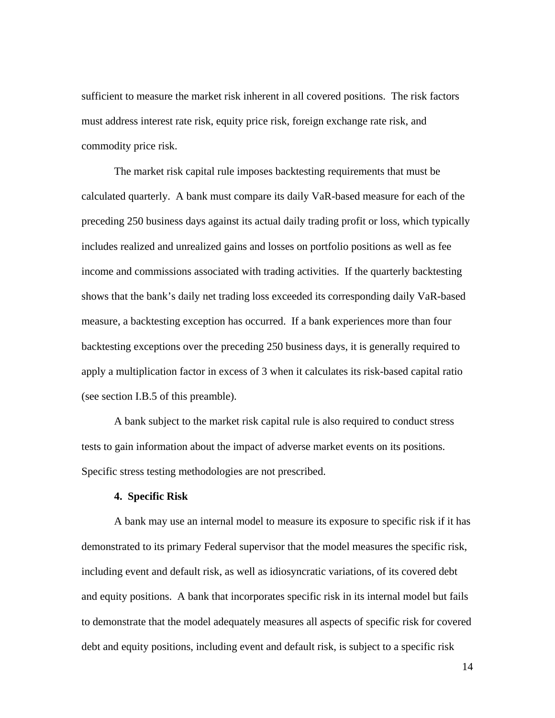sufficient to measure the market risk inherent in all covered positions. The risk factors must address interest rate risk, equity price risk, foreign exchange rate risk, and commodity price risk.

The market risk capital rule imposes backtesting requirements that must be calculated quarterly. A bank must compare its daily VaR-based measure for each of the preceding 250 business days against its actual daily trading profit or loss, which typically includes realized and unrealized gains and losses on portfolio positions as well as fee income and commissions associated with trading activities. If the quarterly backtesting shows that the bank's daily net trading loss exceeded its corresponding daily VaR-based measure, a backtesting exception has occurred. If a bank experiences more than four backtesting exceptions over the preceding 250 business days, it is generally required to apply a multiplication factor in excess of 3 when it calculates its risk-based capital ratio (see section I.B.5 of this preamble).

 A bank subject to the market risk capital rule is also required to conduct stress tests to gain information about the impact of adverse market events on its positions. Specific stress testing methodologies are not prescribed.

#### **4. Specific Risk**

 A bank may use an internal model to measure its exposure to specific risk if it has demonstrated to its primary Federal supervisor that the model measures the specific risk, including event and default risk, as well as idiosyncratic variations, of its covered debt and equity positions. A bank that incorporates specific risk in its internal model but fails to demonstrate that the model adequately measures all aspects of specific risk for covered debt and equity positions, including event and default risk, is subject to a specific risk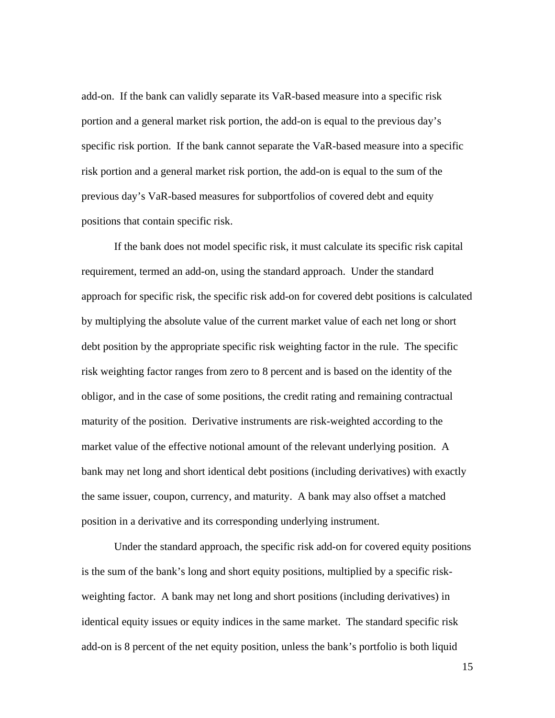add-on. If the bank can validly separate its VaR-based measure into a specific risk portion and a general market risk portion, the add-on is equal to the previous day's specific risk portion. If the bank cannot separate the VaR-based measure into a specific risk portion and a general market risk portion, the add-on is equal to the sum of the previous day's VaR-based measures for subportfolios of covered debt and equity positions that contain specific risk.

If the bank does not model specific risk, it must calculate its specific risk capital requirement, termed an add-on, using the standard approach. Under the standard approach for specific risk, the specific risk add-on for covered debt positions is calculated by multiplying the absolute value of the current market value of each net long or short debt position by the appropriate specific risk weighting factor in the rule. The specific risk weighting factor ranges from zero to 8 percent and is based on the identity of the obligor, and in the case of some positions, the credit rating and remaining contractual maturity of the position. Derivative instruments are risk-weighted according to the market value of the effective notional amount of the relevant underlying position. A bank may net long and short identical debt positions (including derivatives) with exactly the same issuer, coupon, currency, and maturity. A bank may also offset a matched position in a derivative and its corresponding underlying instrument.

Under the standard approach, the specific risk add-on for covered equity positions is the sum of the bank's long and short equity positions, multiplied by a specific riskweighting factor. A bank may net long and short positions (including derivatives) in identical equity issues or equity indices in the same market. The standard specific risk add-on is 8 percent of the net equity position, unless the bank's portfolio is both liquid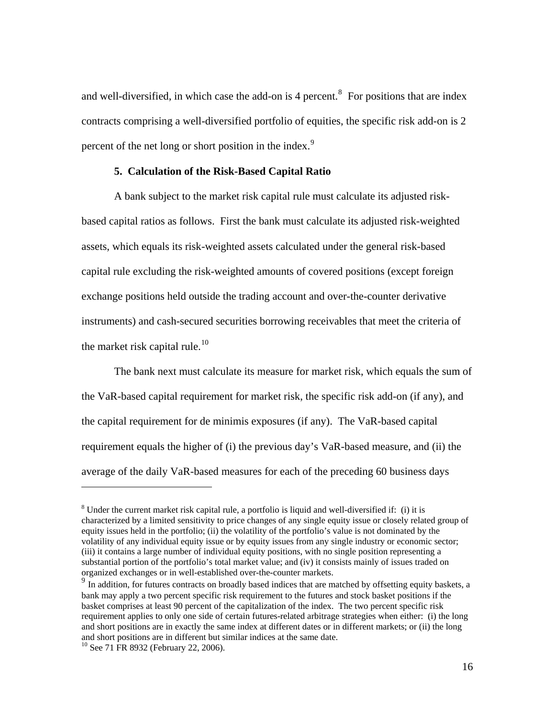and well-diversified, in which case the add-on is 4 percent.<sup>[8](#page-15-0)</sup> For positions that are index contracts comprising a well-diversified portfolio of equities, the specific risk add-on is 2 percent of the net long or short position in the index.<sup>[9](#page-15-1)</sup>

#### **5. Calculation of the Risk-Based Capital Ratio**

A bank subject to the market risk capital rule must calculate its adjusted riskbased capital ratios as follows. First the bank must calculate its adjusted risk-weighted assets, which equals its risk-weighted assets calculated under the general risk-based capital rule excluding the risk-weighted amounts of covered positions (except foreign exchange positions held outside the trading account and over-the-counter derivative instruments) and cash-secured securities borrowing receivables that meet the criteria of the market risk capital rule.<sup>[10](#page-15-2)</sup>

The bank next must calculate its measure for market risk, which equals the sum of the VaR-based capital requirement for market risk, the specific risk add-on (if any), and the capital requirement for de minimis exposures (if any). The VaR-based capital requirement equals the higher of (i) the previous day's VaR-based measure, and (ii) the average of the daily VaR-based measures for each of the preceding 60 business days

<span id="page-15-0"></span> $8$  Under the current market risk capital rule, a portfolio is liquid and well-diversified if: (i) it is characterized by a limited sensitivity to price changes of any single equity issue or closely related group of equity issues held in the portfolio; (ii) the volatility of the portfolio's value is not dominated by the volatility of any individual equity issue or by equity issues from any single industry or economic sector; (iii) it contains a large number of individual equity positions, with no single position representing a substantial portion of the portfolio's total market value; and (iv) it consists mainly of issues traded on organized exchanges or in well-established over-the-counter markets.

<span id="page-15-1"></span><sup>&</sup>lt;sup>9</sup> In addition, for futures contracts on broadly based indices that are matched by offsetting equity baskets, a bank may apply a two percent specific risk requirement to the futures and stock basket positions if the basket comprises at least 90 percent of the capitalization of the index. The two percent specific risk requirement applies to only one side of certain futures-related arbitrage strategies when either: (i) the long and short positions are in exactly the same index at different dates or in different markets; or (ii) the long and short positions are in different but similar indices at the same date. <sup>10</sup> See 71 FR 8932 (February 22, 2006).

<span id="page-15-2"></span>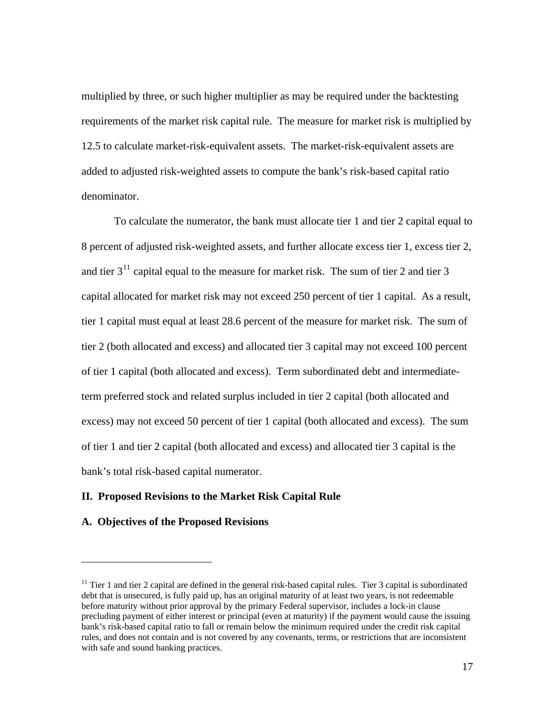multiplied by three, or such higher multiplier as may be required under the backtesting requirements of the market risk capital rule. The measure for market risk is multiplied by 12.5 to calculate market-risk-equivalent assets. The market-risk-equivalent assets are added to adjusted risk-weighted assets to compute the bank's risk-based capital ratio denominator.

To calculate the numerator, the bank must allocate tier 1 and tier 2 capital equal to 8 percent of adjusted risk-weighted assets, and further allocate excess tier 1, excess tier 2, and tier  $3<sup>11</sup>$  $3<sup>11</sup>$  $3<sup>11</sup>$  capital equal to the measure for market risk. The sum of tier 2 and tier 3 capital allocated for market risk may not exceed 250 percent of tier 1 capital. As a result, tier 1 capital must equal at least 28.6 percent of the measure for market risk. The sum of tier 2 (both allocated and excess) and allocated tier 3 capital may not exceed 100 percent of tier 1 capital (both allocated and excess). Term subordinated debt and intermediateterm preferred stock and related surplus included in tier 2 capital (both allocated and excess) may not exceed 50 percent of tier 1 capital (both allocated and excess). The sum of tier 1 and tier 2 capital (both allocated and excess) and allocated tier 3 capital is the bank's total risk-based capital numerator.

#### **II. Proposed Revisions to the Market Risk Capital Rule**

#### **A. Objectives of the Proposed Revisions**

<span id="page-16-0"></span> $11$  Tier 1 and tier 2 capital are defined in the general risk-based capital rules. Tier 3 capital is subordinated debt that is unsecured, is fully paid up, has an original maturity of at least two years, is not redeemable before maturity without prior approval by the primary Federal supervisor, includes a lock-in clause precluding payment of either interest or principal (even at maturity) if the payment would cause the issuing bank's risk-based capital ratio to fall or remain below the minimum required under the credit risk capital rules, and does not contain and is not covered by any covenants, terms, or restrictions that are inconsistent with safe and sound banking practices.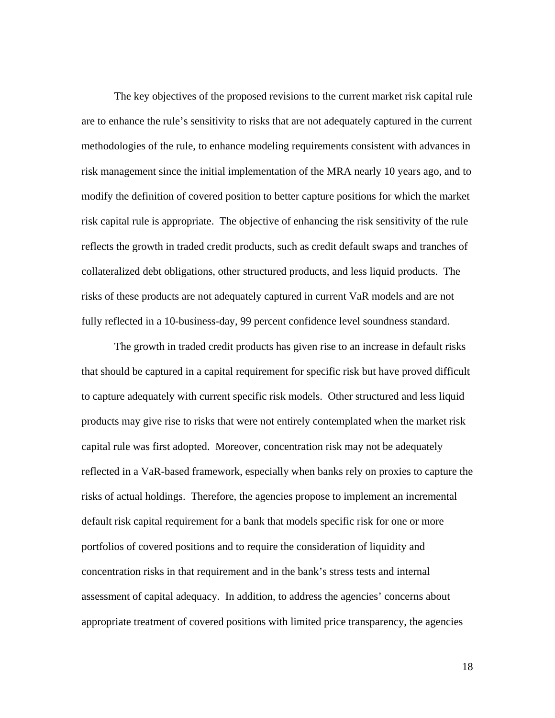The key objectives of the proposed revisions to the current market risk capital rule are to enhance the rule's sensitivity to risks that are not adequately captured in the current methodologies of the rule, to enhance modeling requirements consistent with advances in risk management since the initial implementation of the MRA nearly 10 years ago, and to modify the definition of covered position to better capture positions for which the market risk capital rule is appropriate. The objective of enhancing the risk sensitivity of the rule reflects the growth in traded credit products, such as credit default swaps and tranches of collateralized debt obligations, other structured products, and less liquid products. The risks of these products are not adequately captured in current VaR models and are not fully reflected in a 10-business-day, 99 percent confidence level soundness standard.

The growth in traded credit products has given rise to an increase in default risks that should be captured in a capital requirement for specific risk but have proved difficult to capture adequately with current specific risk models. Other structured and less liquid products may give rise to risks that were not entirely contemplated when the market risk capital rule was first adopted. Moreover, concentration risk may not be adequately reflected in a VaR-based framework, especially when banks rely on proxies to capture the risks of actual holdings. Therefore, the agencies propose to implement an incremental default risk capital requirement for a bank that models specific risk for one or more portfolios of covered positions and to require the consideration of liquidity and concentration risks in that requirement and in the bank's stress tests and internal assessment of capital adequacy. In addition, to address the agencies' concerns about appropriate treatment of covered positions with limited price transparency, the agencies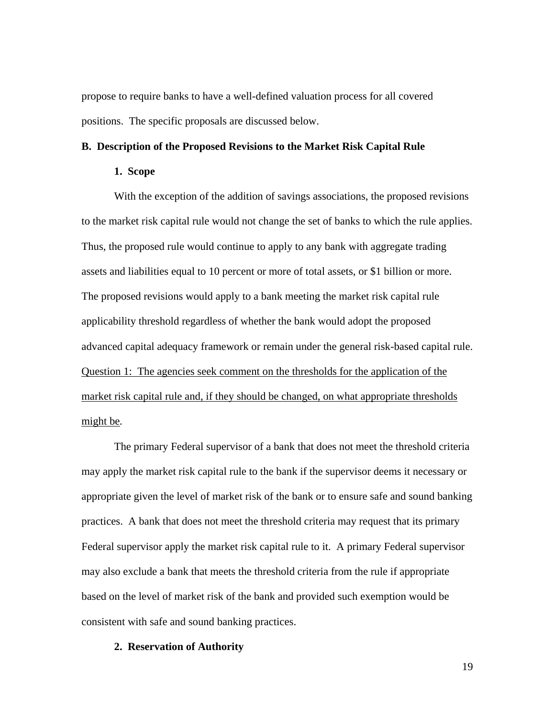propose to require banks to have a well-defined valuation process for all covered positions. The specific proposals are discussed below.

## **B. Description of the Proposed Revisions to the Market Risk Capital Rule**

#### **1. Scope**

With the exception of the addition of savings associations, the proposed revisions to the market risk capital rule would not change the set of banks to which the rule applies. Thus, the proposed rule would continue to apply to any bank with aggregate trading assets and liabilities equal to 10 percent or more of total assets, or \$1 billion or more. The proposed revisions would apply to a bank meeting the market risk capital rule applicability threshold regardless of whether the bank would adopt the proposed advanced capital adequacy framework or remain under the general risk-based capital rule. Question 1: The agencies seek comment on the thresholds for the application of the market risk capital rule and, if they should be changed, on what appropriate thresholds might be*.* 

The primary Federal supervisor of a bank that does not meet the threshold criteria may apply the market risk capital rule to the bank if the supervisor deems it necessary or appropriate given the level of market risk of the bank or to ensure safe and sound banking practices. A bank that does not meet the threshold criteria may request that its primary Federal supervisor apply the market risk capital rule to it. A primary Federal supervisor may also exclude a bank that meets the threshold criteria from the rule if appropriate based on the level of market risk of the bank and provided such exemption would be consistent with safe and sound banking practices.

#### **2. Reservation of Authority**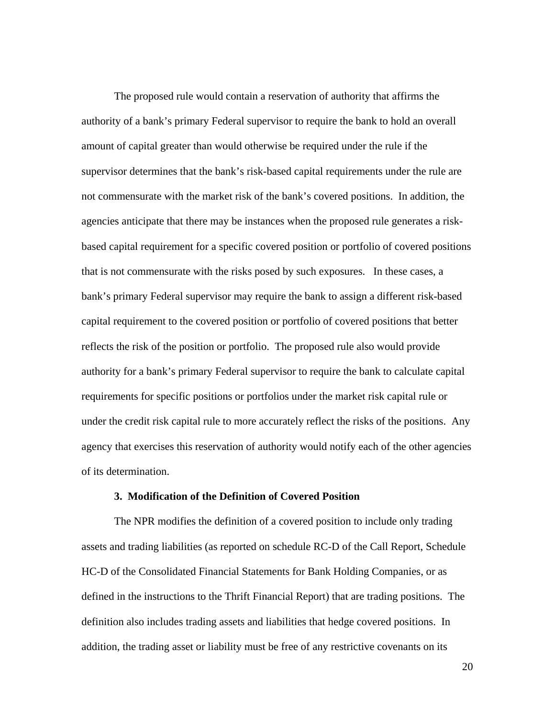The proposed rule would contain a reservation of authority that affirms the authority of a bank's primary Federal supervisor to require the bank to hold an overall amount of capital greater than would otherwise be required under the rule if the supervisor determines that the bank's risk-based capital requirements under the rule are not commensurate with the market risk of the bank's covered positions. In addition, the agencies anticipate that there may be instances when the proposed rule generates a riskbased capital requirement for a specific covered position or portfolio of covered positions that is not commensurate with the risks posed by such exposures. In these cases, a bank's primary Federal supervisor may require the bank to assign a different risk-based capital requirement to the covered position or portfolio of covered positions that better reflects the risk of the position or portfolio. The proposed rule also would provide authority for a bank's primary Federal supervisor to require the bank to calculate capital requirements for specific positions or portfolios under the market risk capital rule or under the credit risk capital rule to more accurately reflect the risks of the positions. Any agency that exercises this reservation of authority would notify each of the other agencies of its determination.

#### **3. Modification of the Definition of Covered Position**

The NPR modifies the definition of a covered position to include only trading assets and trading liabilities (as reported on schedule RC-D of the Call Report, Schedule HC-D of the Consolidated Financial Statements for Bank Holding Companies, or as defined in the instructions to the Thrift Financial Report) that are trading positions. The definition also includes trading assets and liabilities that hedge covered positions. In addition, the trading asset or liability must be free of any restrictive covenants on its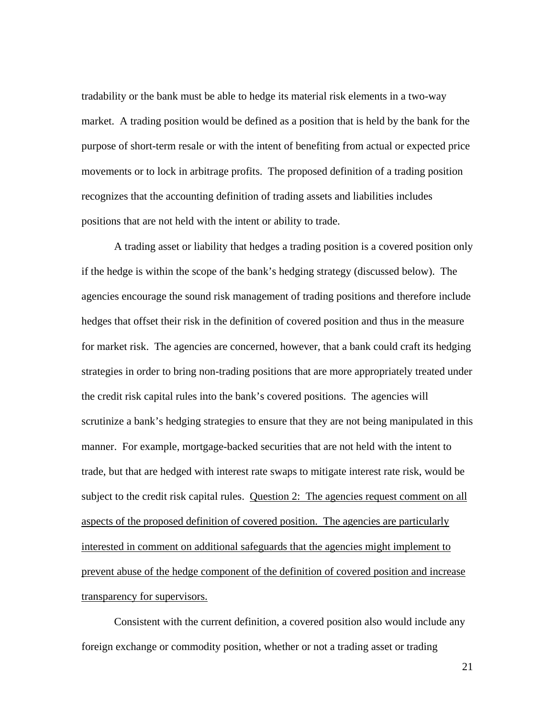tradability or the bank must be able to hedge its material risk elements in a two-way market. A trading position would be defined as a position that is held by the bank for the purpose of short-term resale or with the intent of benefiting from actual or expected price movements or to lock in arbitrage profits. The proposed definition of a trading position recognizes that the accounting definition of trading assets and liabilities includes positions that are not held with the intent or ability to trade.

A trading asset or liability that hedges a trading position is a covered position only if the hedge is within the scope of the bank's hedging strategy (discussed below). The agencies encourage the sound risk management of trading positions and therefore include hedges that offset their risk in the definition of covered position and thus in the measure for market risk. The agencies are concerned, however, that a bank could craft its hedging strategies in order to bring non-trading positions that are more appropriately treated under the credit risk capital rules into the bank's covered positions. The agencies will scrutinize a bank's hedging strategies to ensure that they are not being manipulated in this manner. For example, mortgage-backed securities that are not held with the intent to trade, but that are hedged with interest rate swaps to mitigate interest rate risk, would be subject to the credit risk capital rules. Question 2: The agencies request comment on all aspects of the proposed definition of covered position. The agencies are particularly interested in comment on additional safeguards that the agencies might implement to prevent abuse of the hedge component of the definition of covered position and increase transparency for supervisors.

Consistent with the current definition, a covered position also would include any foreign exchange or commodity position, whether or not a trading asset or trading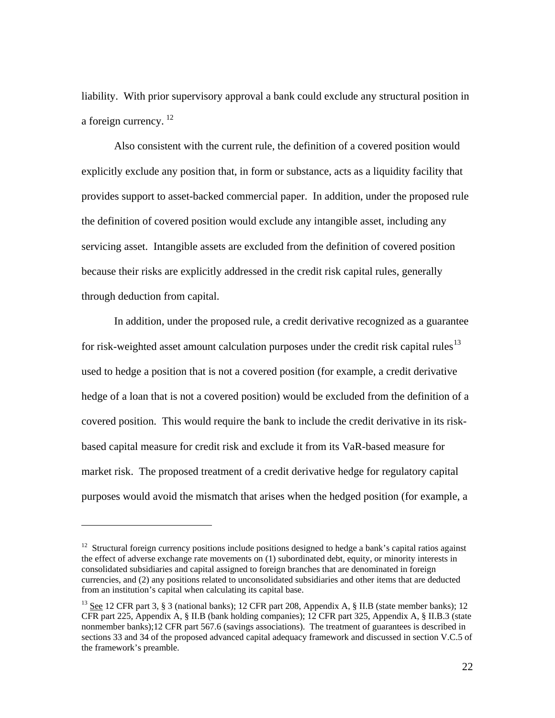liability. With prior supervisory approval a bank could exclude any structural position in a foreign currency.  $^{12}$  $^{12}$  $^{12}$ 

Also consistent with the current rule, the definition of a covered position would explicitly exclude any position that, in form or substance, acts as a liquidity facility that provides support to asset-backed commercial paper. In addition, under the proposed rule the definition of covered position would exclude any intangible asset, including any servicing asset. Intangible assets are excluded from the definition of covered position because their risks are explicitly addressed in the credit risk capital rules, generally through deduction from capital.

In addition, under the proposed rule, a credit derivative recognized as a guarantee for risk-weighted asset amount calculation purposes under the credit risk capital rules<sup>[13](#page-21-1)</sup> used to hedge a position that is not a covered position (for example, a credit derivative hedge of a loan that is not a covered position) would be excluded from the definition of a covered position. This would require the bank to include the credit derivative in its riskbased capital measure for credit risk and exclude it from its VaR-based measure for market risk. The proposed treatment of a credit derivative hedge for regulatory capital purposes would avoid the mismatch that arises when the hedged position (for example, a

<span id="page-21-0"></span><sup>&</sup>lt;sup>12</sup> Structural foreign currency positions include positions designed to hedge a bank's capital ratios against the effect of adverse exchange rate movements on (1) subordinated debt, equity, or minority interests in consolidated subsidiaries and capital assigned to foreign branches that are denominated in foreign currencies, and (2) any positions related to unconsolidated subsidiaries and other items that are deducted from an institution's capital when calculating its capital base.

<span id="page-21-1"></span><sup>&</sup>lt;sup>13</sup> See 12 CFR part 3, § 3 (national banks); 12 CFR part 208, Appendix A, § II.B (state member banks); 12 CFR part 225, Appendix A, § II.B (bank holding companies); 12 CFR part 325, Appendix A, § II.B.3 (state nonmember banks);12 CFR part 567.6 (savings associations). The treatment of guarantees is described in sections 33 and 34 of the proposed advanced capital adequacy framework and discussed in section V.C.5 of the framework's preamble.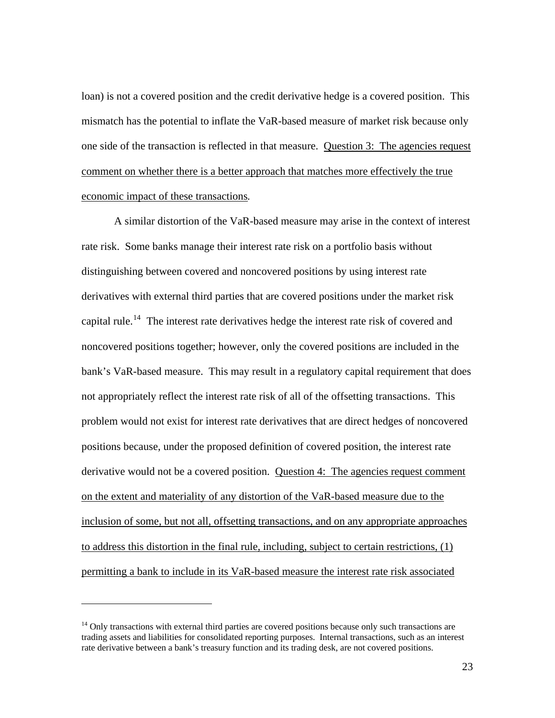loan) is not a covered position and the credit derivative hedge is a covered position. This mismatch has the potential to inflate the VaR-based measure of market risk because only one side of the transaction is reflected in that measure. Question 3: The agencies request comment on whether there is a better approach that matches more effectively the true economic impact of these transactions*.* 

 A similar distortion of the VaR-based measure may arise in the context of interest rate risk. Some banks manage their interest rate risk on a portfolio basis without distinguishing between covered and noncovered positions by using interest rate derivatives with external third parties that are covered positions under the market risk capital rule.<sup>[14](#page-22-0)</sup> The interest rate derivatives hedge the interest rate risk of covered and noncovered positions together; however, only the covered positions are included in the bank's VaR-based measure. This may result in a regulatory capital requirement that does not appropriately reflect the interest rate risk of all of the offsetting transactions. This problem would not exist for interest rate derivatives that are direct hedges of noncovered positions because, under the proposed definition of covered position, the interest rate derivative would not be a covered position. Question 4: The agencies request comment on the extent and materiality of any distortion of the VaR-based measure due to the inclusion of some, but not all, offsetting transactions, and on any appropriate approaches to address this distortion in the final rule, including, subject to certain restrictions, (1) permitting a bank to include in its VaR-based measure the interest rate risk associated

<span id="page-22-0"></span> $<sup>14</sup>$  Only transactions with external third parties are covered positions because only such transactions are</sup> trading assets and liabilities for consolidated reporting purposes. Internal transactions, such as an interest rate derivative between a bank's treasury function and its trading desk, are not covered positions.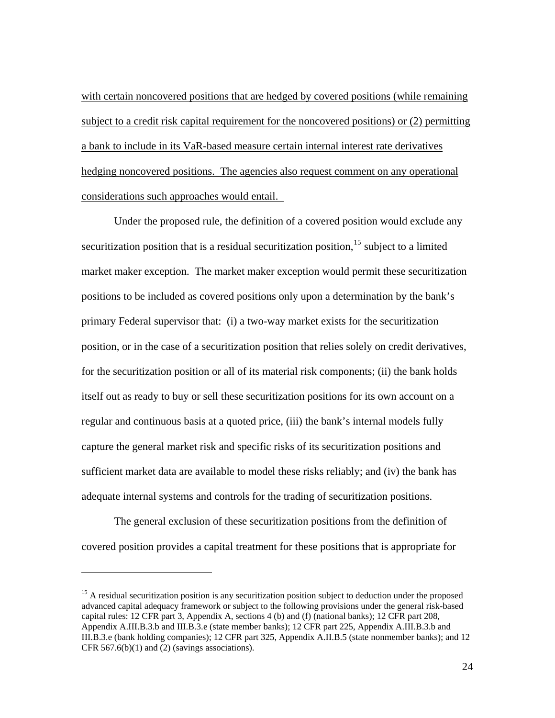with certain noncovered positions that are hedged by covered positions (while remaining subject to a credit risk capital requirement for the noncovered positions) or (2) permitting a bank to include in its VaR-based measure certain internal interest rate derivatives hedging noncovered positions. The agencies also request comment on any operational considerations such approaches would entail.

Under the proposed rule, the definition of a covered position would exclude any securitization position that is a residual securitization position, $15$  subject to a limited market maker exception. The market maker exception would permit these securitization positions to be included as covered positions only upon a determination by the bank's primary Federal supervisor that: (i) a two-way market exists for the securitization position, or in the case of a securitization position that relies solely on credit derivatives, for the securitization position or all of its material risk components; (ii) the bank holds itself out as ready to buy or sell these securitization positions for its own account on a regular and continuous basis at a quoted price, (iii) the bank's internal models fully capture the general market risk and specific risks of its securitization positions and sufficient market data are available to model these risks reliably; and (iv) the bank has adequate internal systems and controls for the trading of securitization positions.

The general exclusion of these securitization positions from the definition of covered position provides a capital treatment for these positions that is appropriate for

<span id="page-23-0"></span><sup>&</sup>lt;sup>15</sup> A residual securitization position is any securitization position subject to deduction under the proposed advanced capital adequacy framework or subject to the following provisions under the general risk-based capital rules: 12 CFR part 3, Appendix A, sections 4 (b) and (f) (national banks); 12 CFR part 208, Appendix A.III.B.3.b and III.B.3.e (state member banks); 12 CFR part 225, Appendix A.III.B.3.b and III.B.3.e (bank holding companies); 12 CFR part 325, Appendix A.II.B.5 (state nonmember banks); and 12 CFR 567.6(b)(1) and (2) (savings associations).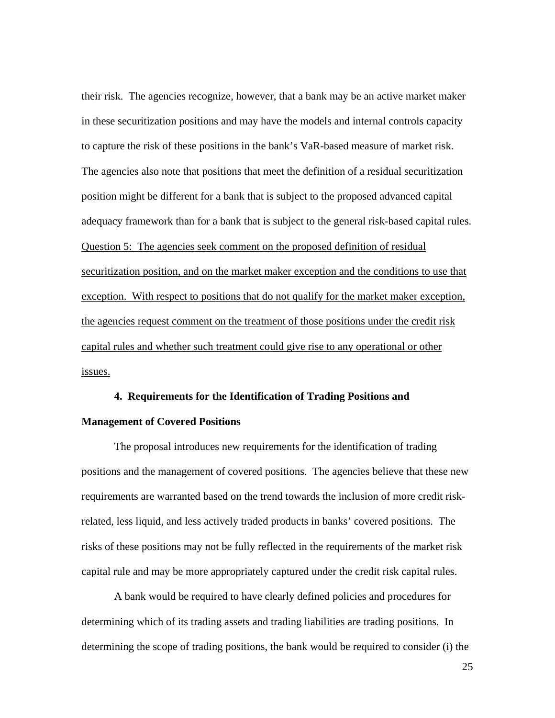their risk. The agencies recognize, however, that a bank may be an active market maker in these securitization positions and may have the models and internal controls capacity to capture the risk of these positions in the bank's VaR-based measure of market risk. The agencies also note that positions that meet the definition of a residual securitization position might be different for a bank that is subject to the proposed advanced capital adequacy framework than for a bank that is subject to the general risk-based capital rules. Question 5: The agencies seek comment on the proposed definition of residual securitization position, and on the market maker exception and the conditions to use that exception. With respect to positions that do not qualify for the market maker exception, the agencies request comment on the treatment of those positions under the credit risk capital rules and whether such treatment could give rise to any operational or other issues.

### **4. Requirements for the Identification of Trading Positions and**

#### **Management of Covered Positions**

The proposal introduces new requirements for the identification of trading positions and the management of covered positions. The agencies believe that these new requirements are warranted based on the trend towards the inclusion of more credit riskrelated, less liquid, and less actively traded products in banks' covered positions. The risks of these positions may not be fully reflected in the requirements of the market risk capital rule and may be more appropriately captured under the credit risk capital rules.

A bank would be required to have clearly defined policies and procedures for determining which of its trading assets and trading liabilities are trading positions. In determining the scope of trading positions, the bank would be required to consider (i) the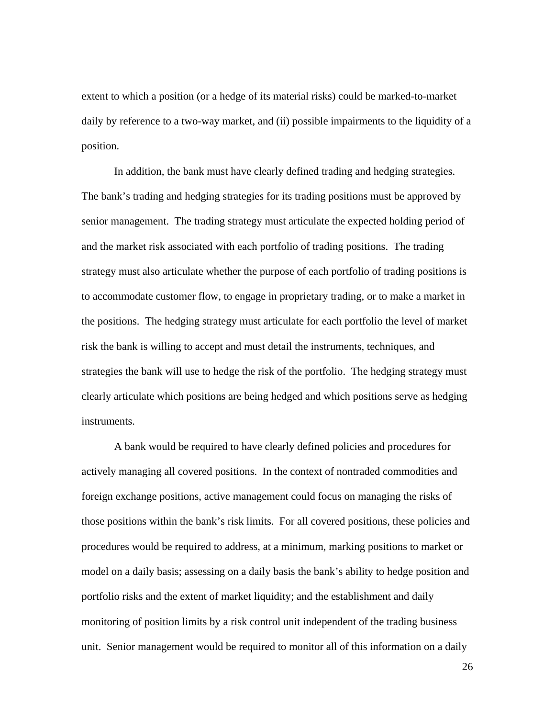extent to which a position (or a hedge of its material risks) could be marked-to-market daily by reference to a two-way market, and (ii) possible impairments to the liquidity of a position.

In addition, the bank must have clearly defined trading and hedging strategies. The bank's trading and hedging strategies for its trading positions must be approved by senior management. The trading strategy must articulate the expected holding period of and the market risk associated with each portfolio of trading positions. The trading strategy must also articulate whether the purpose of each portfolio of trading positions is to accommodate customer flow, to engage in proprietary trading, or to make a market in the positions. The hedging strategy must articulate for each portfolio the level of market risk the bank is willing to accept and must detail the instruments, techniques, and strategies the bank will use to hedge the risk of the portfolio. The hedging strategy must clearly articulate which positions are being hedged and which positions serve as hedging instruments.

A bank would be required to have clearly defined policies and procedures for actively managing all covered positions. In the context of nontraded commodities and foreign exchange positions, active management could focus on managing the risks of those positions within the bank's risk limits. For all covered positions, these policies and procedures would be required to address, at a minimum, marking positions to market or model on a daily basis; assessing on a daily basis the bank's ability to hedge position and portfolio risks and the extent of market liquidity; and the establishment and daily monitoring of position limits by a risk control unit independent of the trading business unit. Senior management would be required to monitor all of this information on a daily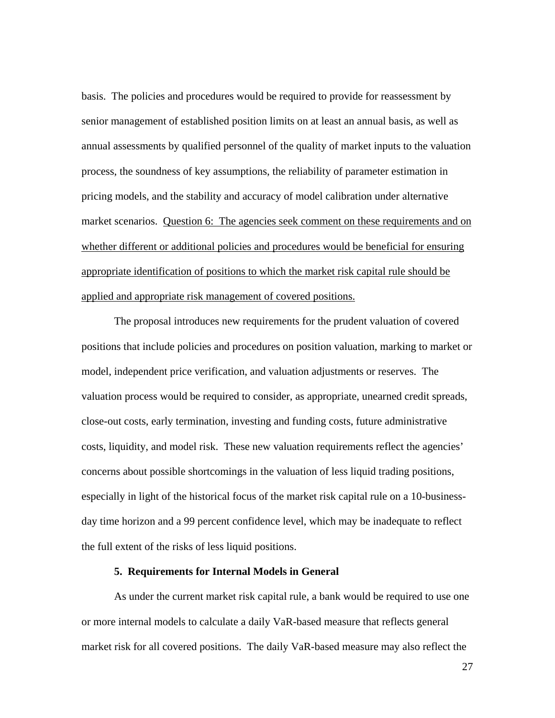basis. The policies and procedures would be required to provide for reassessment by senior management of established position limits on at least an annual basis, as well as annual assessments by qualified personnel of the quality of market inputs to the valuation process, the soundness of key assumptions, the reliability of parameter estimation in pricing models, and the stability and accuracy of model calibration under alternative market scenarios. Question 6: The agencies seek comment on these requirements and on whether different or additional policies and procedures would be beneficial for ensuring appropriate identification of positions to which the market risk capital rule should be applied and appropriate risk management of covered positions.

The proposal introduces new requirements for the prudent valuation of covered positions that include policies and procedures on position valuation, marking to market or model, independent price verification, and valuation adjustments or reserves. The valuation process would be required to consider, as appropriate, unearned credit spreads, close-out costs, early termination, investing and funding costs, future administrative costs, liquidity, and model risk. These new valuation requirements reflect the agencies' concerns about possible shortcomings in the valuation of less liquid trading positions, especially in light of the historical focus of the market risk capital rule on a 10-businessday time horizon and a 99 percent confidence level, which may be inadequate to reflect the full extent of the risks of less liquid positions.

### **5. Requirements for Internal Models in General**

As under the current market risk capital rule, a bank would be required to use one or more internal models to calculate a daily VaR-based measure that reflects general market risk for all covered positions. The daily VaR-based measure may also reflect the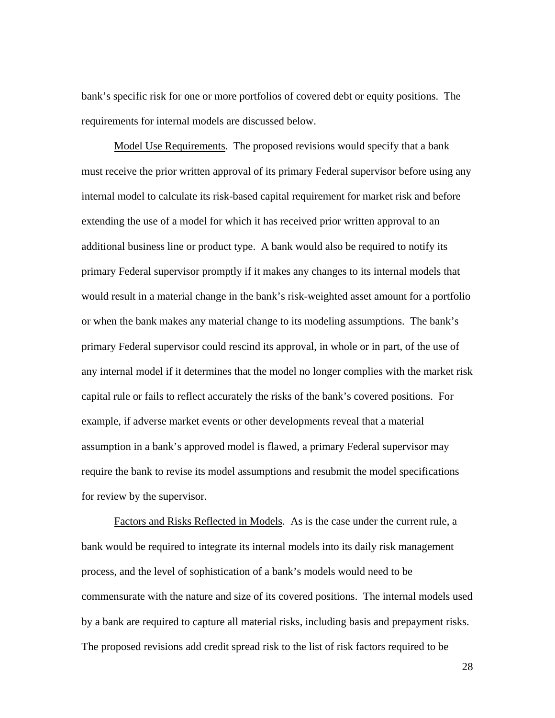bank's specific risk for one or more portfolios of covered debt or equity positions. The requirements for internal models are discussed below.

Model Use Requirements. The proposed revisions would specify that a bank must receive the prior written approval of its primary Federal supervisor before using any internal model to calculate its risk-based capital requirement for market risk and before extending the use of a model for which it has received prior written approval to an additional business line or product type. A bank would also be required to notify its primary Federal supervisor promptly if it makes any changes to its internal models that would result in a material change in the bank's risk-weighted asset amount for a portfolio or when the bank makes any material change to its modeling assumptions. The bank's primary Federal supervisor could rescind its approval, in whole or in part, of the use of any internal model if it determines that the model no longer complies with the market risk capital rule or fails to reflect accurately the risks of the bank's covered positions. For example, if adverse market events or other developments reveal that a material assumption in a bank's approved model is flawed, a primary Federal supervisor may require the bank to revise its model assumptions and resubmit the model specifications for review by the supervisor.

Factors and Risks Reflected in Models. As is the case under the current rule, a bank would be required to integrate its internal models into its daily risk management process, and the level of sophistication of a bank's models would need to be commensurate with the nature and size of its covered positions. The internal models used by a bank are required to capture all material risks, including basis and prepayment risks. The proposed revisions add credit spread risk to the list of risk factors required to be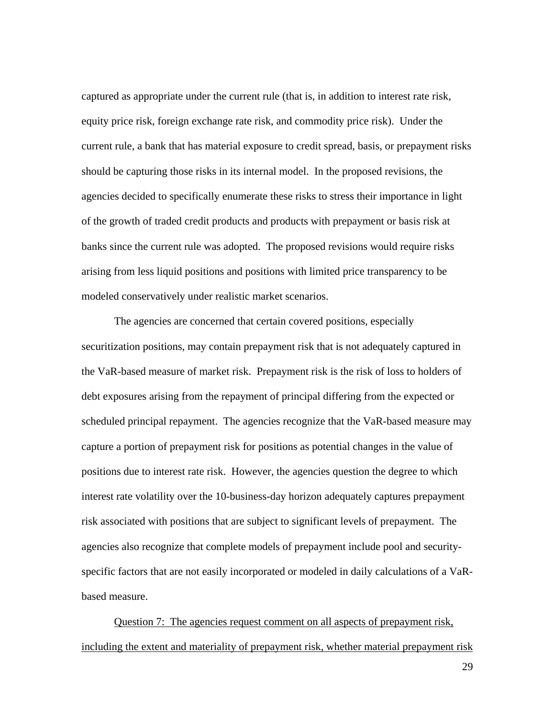captured as appropriate under the current rule (that is, in addition to interest rate risk, equity price risk, foreign exchange rate risk, and commodity price risk). Under the current rule, a bank that has material exposure to credit spread, basis, or prepayment risks should be capturing those risks in its internal model. In the proposed revisions, the agencies decided to specifically enumerate these risks to stress their importance in light of the growth of traded credit products and products with prepayment or basis risk at banks since the current rule was adopted. The proposed revisions would require risks arising from less liquid positions and positions with limited price transparency to be modeled conservatively under realistic market scenarios.

The agencies are concerned that certain covered positions, especially securitization positions, may contain prepayment risk that is not adequately captured in the VaR-based measure of market risk. Prepayment risk is the risk of loss to holders of debt exposures arising from the repayment of principal differing from the expected or scheduled principal repayment. The agencies recognize that the VaR-based measure may capture a portion of prepayment risk for positions as potential changes in the value of positions due to interest rate risk. However, the agencies question the degree to which interest rate volatility over the 10-business-day horizon adequately captures prepayment risk associated with positions that are subject to significant levels of prepayment. The agencies also recognize that complete models of prepayment include pool and securityspecific factors that are not easily incorporated or modeled in daily calculations of a VaRbased measure.

Question 7: The agencies request comment on all aspects of prepayment risk, including the extent and materiality of prepayment risk, whether material prepayment risk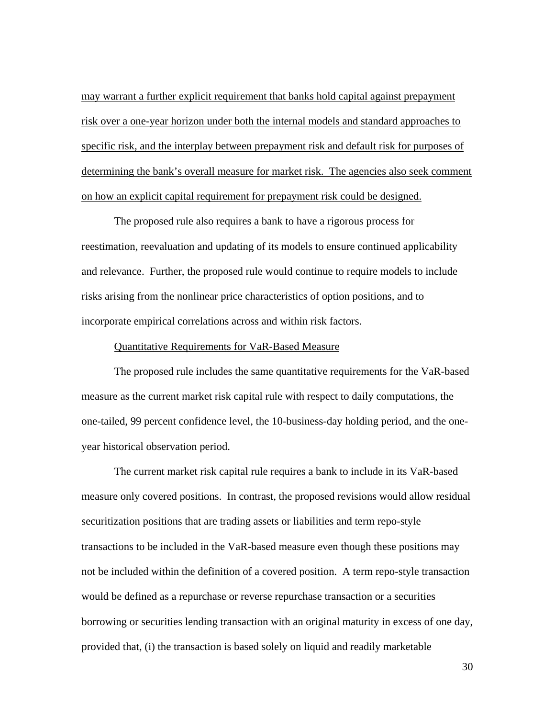may warrant a further explicit requirement that banks hold capital against prepayment risk over a one-year horizon under both the internal models and standard approaches to specific risk, and the interplay between prepayment risk and default risk for purposes of determining the bank's overall measure for market risk. The agencies also seek comment on how an explicit capital requirement for prepayment risk could be designed.

The proposed rule also requires a bank to have a rigorous process for reestimation, reevaluation and updating of its models to ensure continued applicability and relevance. Further, the proposed rule would continue to require models to include risks arising from the nonlinear price characteristics of option positions, and to incorporate empirical correlations across and within risk factors.

#### Quantitative Requirements for VaR-Based Measure

The proposed rule includes the same quantitative requirements for the VaR-based measure as the current market risk capital rule with respect to daily computations, the one-tailed, 99 percent confidence level, the 10-business-day holding period, and the oneyear historical observation period.

The current market risk capital rule requires a bank to include in its VaR-based measure only covered positions. In contrast, the proposed revisions would allow residual securitization positions that are trading assets or liabilities and term repo-style transactions to be included in the VaR-based measure even though these positions may not be included within the definition of a covered position. A term repo-style transaction would be defined as a repurchase or reverse repurchase transaction or a securities borrowing or securities lending transaction with an original maturity in excess of one day, provided that, (i) the transaction is based solely on liquid and readily marketable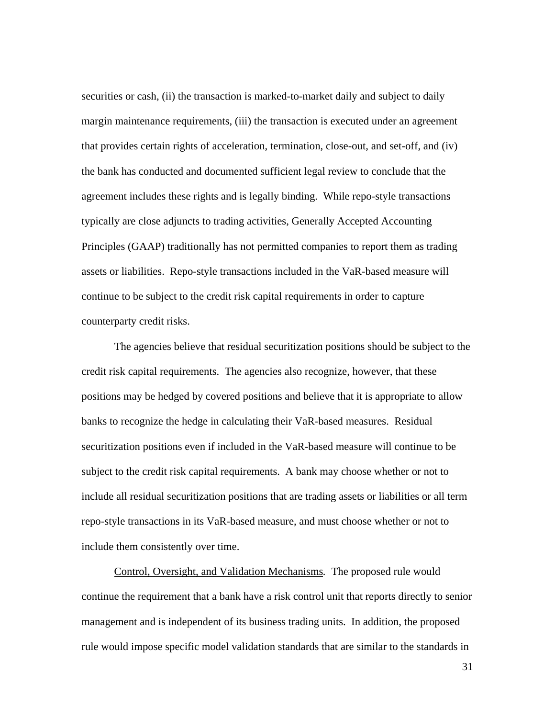securities or cash, (ii) the transaction is marked-to-market daily and subject to daily margin maintenance requirements, (iii) the transaction is executed under an agreement that provides certain rights of acceleration, termination, close-out, and set-off, and (iv) the bank has conducted and documented sufficient legal review to conclude that the agreement includes these rights and is legally binding. While repo-style transactions typically are close adjuncts to trading activities, Generally Accepted Accounting Principles (GAAP) traditionally has not permitted companies to report them as trading assets or liabilities. Repo-style transactions included in the VaR-based measure will continue to be subject to the credit risk capital requirements in order to capture counterparty credit risks.

The agencies believe that residual securitization positions should be subject to the credit risk capital requirements. The agencies also recognize, however, that these positions may be hedged by covered positions and believe that it is appropriate to allow banks to recognize the hedge in calculating their VaR-based measures. Residual securitization positions even if included in the VaR-based measure will continue to be subject to the credit risk capital requirements. A bank may choose whether or not to include all residual securitization positions that are trading assets or liabilities or all term repo-style transactions in its VaR-based measure, and must choose whether or not to include them consistently over time.

Control, Oversight, and Validation Mechanisms*.* The proposed rule would continue the requirement that a bank have a risk control unit that reports directly to senior management and is independent of its business trading units. In addition, the proposed rule would impose specific model validation standards that are similar to the standards in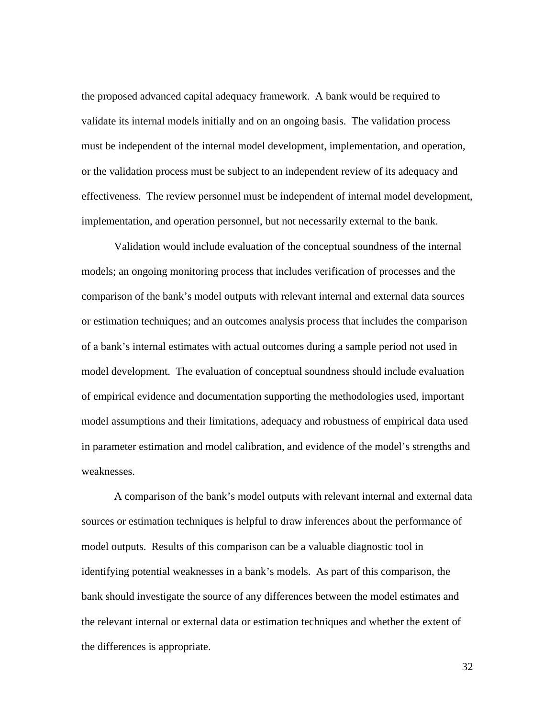the proposed advanced capital adequacy framework. A bank would be required to validate its internal models initially and on an ongoing basis. The validation process must be independent of the internal model development, implementation, and operation, or the validation process must be subject to an independent review of its adequacy and effectiveness. The review personnel must be independent of internal model development, implementation, and operation personnel, but not necessarily external to the bank.

Validation would include evaluation of the conceptual soundness of the internal models; an ongoing monitoring process that includes verification of processes and the comparison of the bank's model outputs with relevant internal and external data sources or estimation techniques; and an outcomes analysis process that includes the comparison of a bank's internal estimates with actual outcomes during a sample period not used in model development. The evaluation of conceptual soundness should include evaluation of empirical evidence and documentation supporting the methodologies used, important model assumptions and their limitations, adequacy and robustness of empirical data used in parameter estimation and model calibration, and evidence of the model's strengths and weaknesses.

A comparison of the bank's model outputs with relevant internal and external data sources or estimation techniques is helpful to draw inferences about the performance of model outputs. Results of this comparison can be a valuable diagnostic tool in identifying potential weaknesses in a bank's models. As part of this comparison, the bank should investigate the source of any differences between the model estimates and the relevant internal or external data or estimation techniques and whether the extent of the differences is appropriate.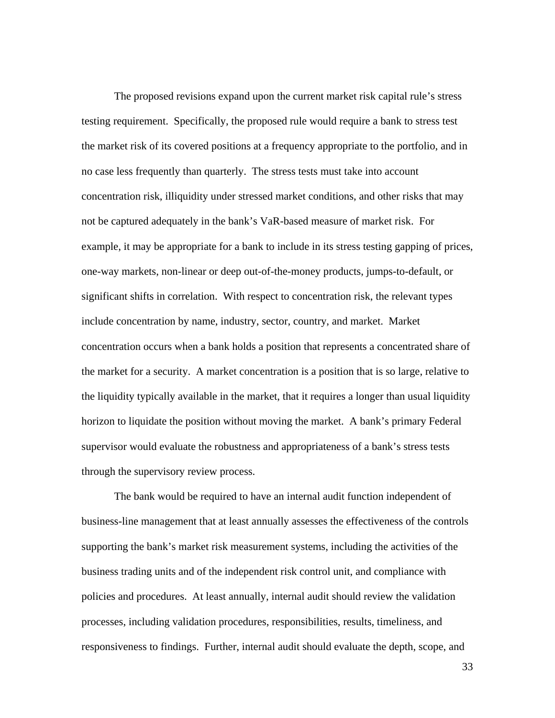The proposed revisions expand upon the current market risk capital rule's stress testing requirement. Specifically, the proposed rule would require a bank to stress test the market risk of its covered positions at a frequency appropriate to the portfolio, and in no case less frequently than quarterly. The stress tests must take into account concentration risk, illiquidity under stressed market conditions, and other risks that may not be captured adequately in the bank's VaR-based measure of market risk. For example, it may be appropriate for a bank to include in its stress testing gapping of prices, one-way markets, non-linear or deep out-of-the-money products, jumps-to-default, or significant shifts in correlation. With respect to concentration risk, the relevant types include concentration by name, industry, sector, country, and market. Market concentration occurs when a bank holds a position that represents a concentrated share of the market for a security. A market concentration is a position that is so large, relative to the liquidity typically available in the market, that it requires a longer than usual liquidity horizon to liquidate the position without moving the market. A bank's primary Federal supervisor would evaluate the robustness and appropriateness of a bank's stress tests through the supervisory review process.

The bank would be required to have an internal audit function independent of business-line management that at least annually assesses the effectiveness of the controls supporting the bank's market risk measurement systems, including the activities of the business trading units and of the independent risk control unit, and compliance with policies and procedures. At least annually, internal audit should review the validation processes, including validation procedures, responsibilities, results, timeliness, and responsiveness to findings. Further, internal audit should evaluate the depth, scope, and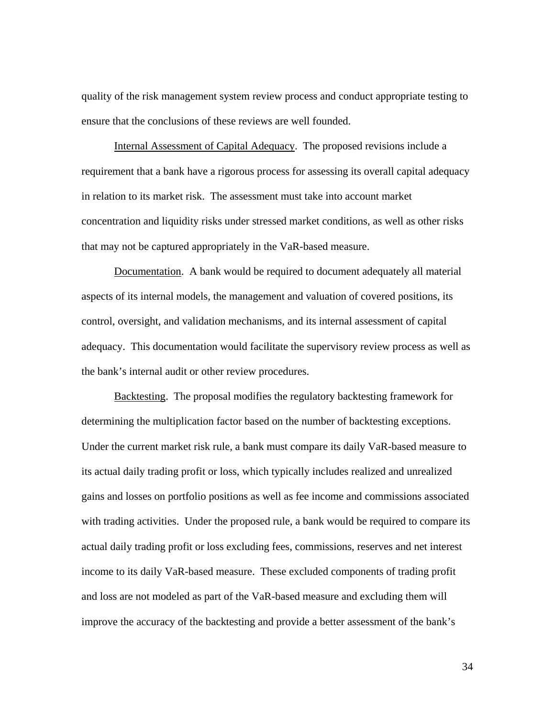quality of the risk management system review process and conduct appropriate testing to ensure that the conclusions of these reviews are well founded.

Internal Assessment of Capital Adequacy. The proposed revisions include a requirement that a bank have a rigorous process for assessing its overall capital adequacy in relation to its market risk. The assessment must take into account market concentration and liquidity risks under stressed market conditions, as well as other risks that may not be captured appropriately in the VaR-based measure.

Documentation. A bank would be required to document adequately all material aspects of its internal models, the management and valuation of covered positions, its control, oversight, and validation mechanisms, and its internal assessment of capital adequacy. This documentation would facilitate the supervisory review process as well as the bank's internal audit or other review procedures.

Backtesting. The proposal modifies the regulatory backtesting framework for determining the multiplication factor based on the number of backtesting exceptions. Under the current market risk rule, a bank must compare its daily VaR-based measure to its actual daily trading profit or loss, which typically includes realized and unrealized gains and losses on portfolio positions as well as fee income and commissions associated with trading activities. Under the proposed rule, a bank would be required to compare its actual daily trading profit or loss excluding fees, commissions, reserves and net interest income to its daily VaR-based measure. These excluded components of trading profit and loss are not modeled as part of the VaR-based measure and excluding them will improve the accuracy of the backtesting and provide a better assessment of the bank's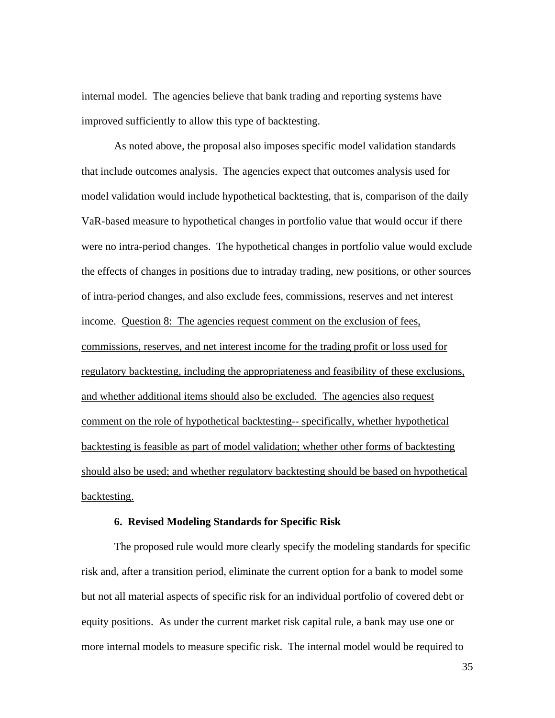internal model. The agencies believe that bank trading and reporting systems have improved sufficiently to allow this type of backtesting.

 As noted above, the proposal also imposes specific model validation standards that include outcomes analysis. The agencies expect that outcomes analysis used for model validation would include hypothetical backtesting, that is, comparison of the daily VaR-based measure to hypothetical changes in portfolio value that would occur if there were no intra-period changes. The hypothetical changes in portfolio value would exclude the effects of changes in positions due to intraday trading, new positions, or other sources of intra-period changes, and also exclude fees, commissions, reserves and net interest income. Question 8: The agencies request comment on the exclusion of fees, commissions, reserves, and net interest income for the trading profit or loss used for regulatory backtesting, including the appropriateness and feasibility of these exclusions, and whether additional items should also be excluded. The agencies also request comment on the role of hypothetical backtesting-- specifically, whether hypothetical backtesting is feasible as part of model validation; whether other forms of backtesting should also be used; and whether regulatory backtesting should be based on hypothetical backtesting.

#### **6. Revised Modeling Standards for Specific Risk**

The proposed rule would more clearly specify the modeling standards for specific risk and, after a transition period, eliminate the current option for a bank to model some but not all material aspects of specific risk for an individual portfolio of covered debt or equity positions. As under the current market risk capital rule, a bank may use one or more internal models to measure specific risk. The internal model would be required to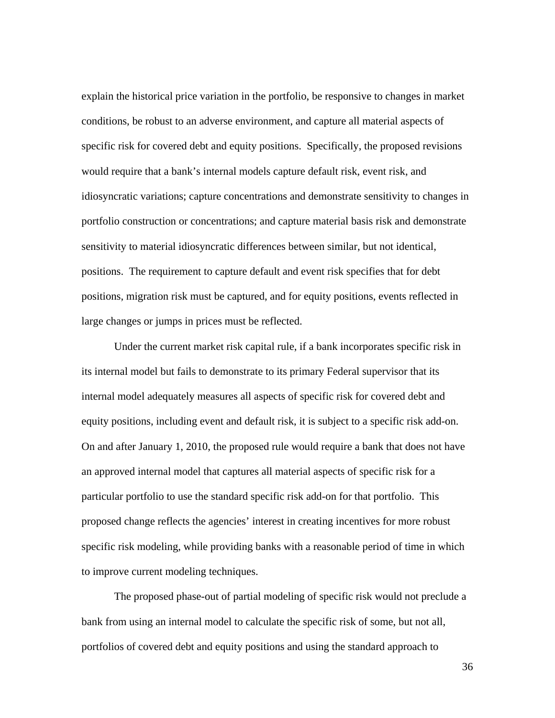explain the historical price variation in the portfolio, be responsive to changes in market conditions, be robust to an adverse environment, and capture all material aspects of specific risk for covered debt and equity positions. Specifically, the proposed revisions would require that a bank's internal models capture default risk, event risk, and idiosyncratic variations; capture concentrations and demonstrate sensitivity to changes in portfolio construction or concentrations; and capture material basis risk and demonstrate sensitivity to material idiosyncratic differences between similar, but not identical, positions. The requirement to capture default and event risk specifies that for debt positions, migration risk must be captured, and for equity positions, events reflected in large changes or jumps in prices must be reflected.

 Under the current market risk capital rule, if a bank incorporates specific risk in its internal model but fails to demonstrate to its primary Federal supervisor that its internal model adequately measures all aspects of specific risk for covered debt and equity positions, including event and default risk, it is subject to a specific risk add-on. On and after January 1, 2010, the proposed rule would require a bank that does not have an approved internal model that captures all material aspects of specific risk for a particular portfolio to use the standard specific risk add-on for that portfolio. This proposed change reflects the agencies' interest in creating incentives for more robust specific risk modeling, while providing banks with a reasonable period of time in which to improve current modeling techniques.

 The proposed phase-out of partial modeling of specific risk would not preclude a bank from using an internal model to calculate the specific risk of some, but not all, portfolios of covered debt and equity positions and using the standard approach to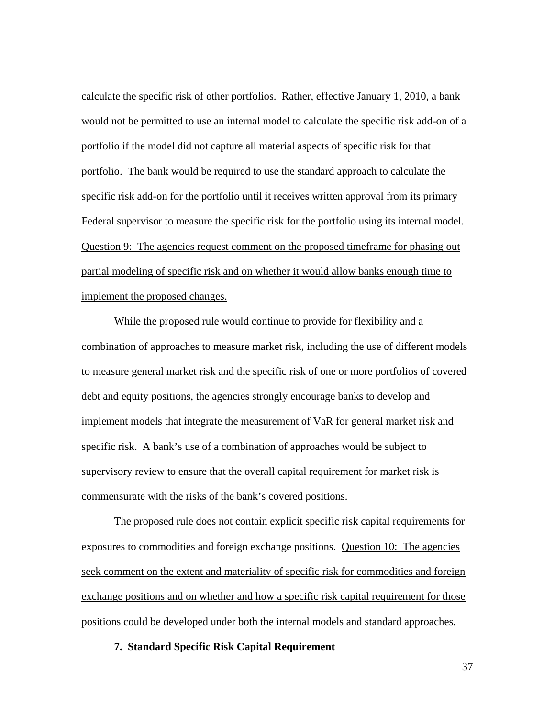calculate the specific risk of other portfolios. Rather, effective January 1, 2010, a bank would not be permitted to use an internal model to calculate the specific risk add-on of a portfolio if the model did not capture all material aspects of specific risk for that portfolio. The bank would be required to use the standard approach to calculate the specific risk add-on for the portfolio until it receives written approval from its primary Federal supervisor to measure the specific risk for the portfolio using its internal model. Question 9: The agencies request comment on the proposed timeframe for phasing out partial modeling of specific risk and on whether it would allow banks enough time to implement the proposed changes.

While the proposed rule would continue to provide for flexibility and a combination of approaches to measure market risk, including the use of different models to measure general market risk and the specific risk of one or more portfolios of covered debt and equity positions, the agencies strongly encourage banks to develop and implement models that integrate the measurement of VaR for general market risk and specific risk. A bank's use of a combination of approaches would be subject to supervisory review to ensure that the overall capital requirement for market risk is commensurate with the risks of the bank's covered positions.

The proposed rule does not contain explicit specific risk capital requirements for exposures to commodities and foreign exchange positions. Question 10: The agencies seek comment on the extent and materiality of specific risk for commodities and foreign exchange positions and on whether and how a specific risk capital requirement for those positions could be developed under both the internal models and standard approaches.

# **7. Standard Specific Risk Capital Requirement**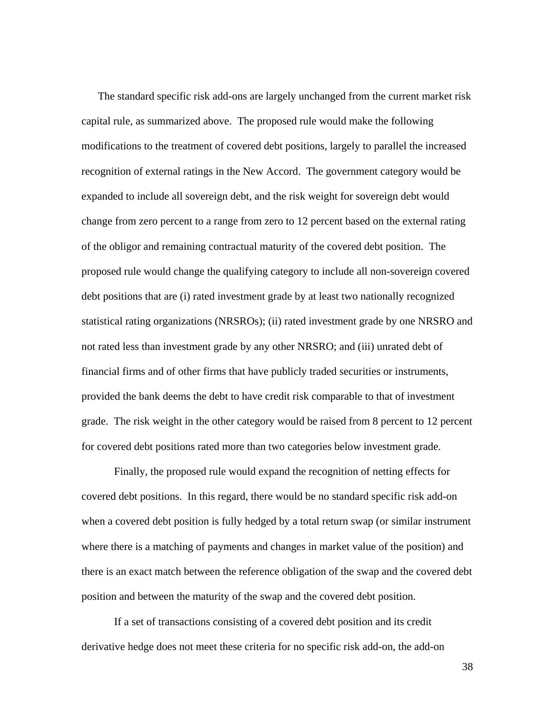The standard specific risk add-ons are largely unchanged from the current market risk capital rule, as summarized above. The proposed rule would make the following modifications to the treatment of covered debt positions, largely to parallel the increased recognition of external ratings in the New Accord. The government category would be expanded to include all sovereign debt, and the risk weight for sovereign debt would change from zero percent to a range from zero to 12 percent based on the external rating of the obligor and remaining contractual maturity of the covered debt position. The proposed rule would change the qualifying category to include all non-sovereign covered debt positions that are (i) rated investment grade by at least two nationally recognized statistical rating organizations (NRSROs); (ii) rated investment grade by one NRSRO and not rated less than investment grade by any other NRSRO; and (iii) unrated debt of financial firms and of other firms that have publicly traded securities or instruments, provided the bank deems the debt to have credit risk comparable to that of investment grade. The risk weight in the other category would be raised from 8 percent to 12 percent for covered debt positions rated more than two categories below investment grade.

Finally, the proposed rule would expand the recognition of netting effects for covered debt positions. In this regard, there would be no standard specific risk add-on when a covered debt position is fully hedged by a total return swap (or similar instrument where there is a matching of payments and changes in market value of the position) and there is an exact match between the reference obligation of the swap and the covered debt position and between the maturity of the swap and the covered debt position.

If a set of transactions consisting of a covered debt position and its credit derivative hedge does not meet these criteria for no specific risk add-on, the add-on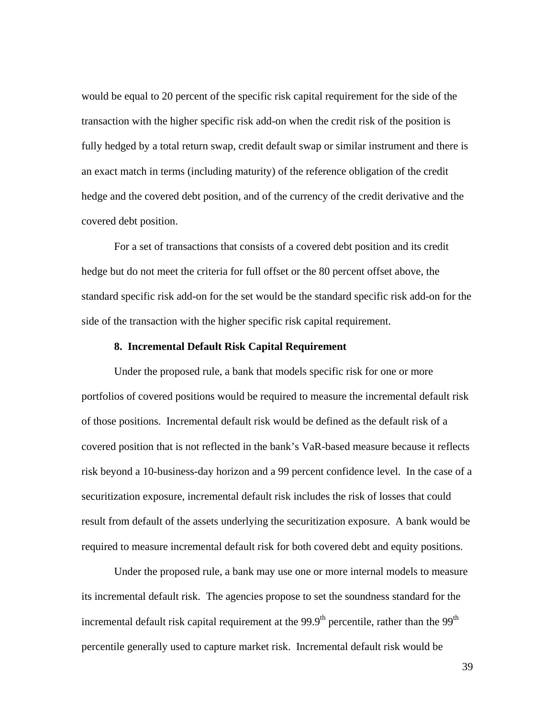would be equal to 20 percent of the specific risk capital requirement for the side of the transaction with the higher specific risk add-on when the credit risk of the position is fully hedged by a total return swap, credit default swap or similar instrument and there is an exact match in terms (including maturity) of the reference obligation of the credit hedge and the covered debt position, and of the currency of the credit derivative and the covered debt position.

For a set of transactions that consists of a covered debt position and its credit hedge but do not meet the criteria for full offset or the 80 percent offset above, the standard specific risk add-on for the set would be the standard specific risk add-on for the side of the transaction with the higher specific risk capital requirement.

# **8. Incremental Default Risk Capital Requirement**

Under the proposed rule, a bank that models specific risk for one or more portfolios of covered positions would be required to measure the incremental default risk of those positions. Incremental default risk would be defined as the default risk of a covered position that is not reflected in the bank's VaR-based measure because it reflects risk beyond a 10-business-day horizon and a 99 percent confidence level. In the case of a securitization exposure, incremental default risk includes the risk of losses that could result from default of the assets underlying the securitization exposure. A bank would be required to measure incremental default risk for both covered debt and equity positions.

Under the proposed rule, a bank may use one or more internal models to measure its incremental default risk. The agencies propose to set the soundness standard for the incremental default risk capital requirement at the  $99.9<sup>th</sup>$  percentile, rather than the  $99<sup>th</sup>$ percentile generally used to capture market risk. Incremental default risk would be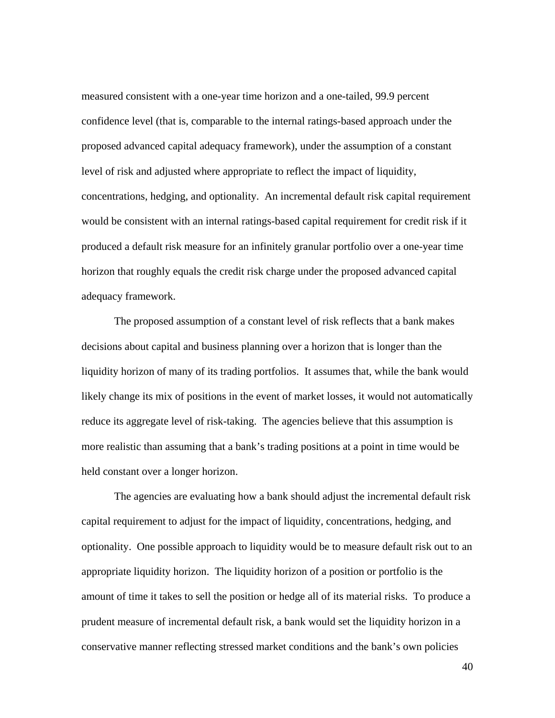measured consistent with a one-year time horizon and a one-tailed, 99.9 percent confidence level (that is, comparable to the internal ratings-based approach under the proposed advanced capital adequacy framework), under the assumption of a constant level of risk and adjusted where appropriate to reflect the impact of liquidity, concentrations, hedging, and optionality. An incremental default risk capital requirement would be consistent with an internal ratings-based capital requirement for credit risk if it produced a default risk measure for an infinitely granular portfolio over a one-year time horizon that roughly equals the credit risk charge under the proposed advanced capital adequacy framework.

The proposed assumption of a constant level of risk reflects that a bank makes decisions about capital and business planning over a horizon that is longer than the liquidity horizon of many of its trading portfolios. It assumes that, while the bank would likely change its mix of positions in the event of market losses, it would not automatically reduce its aggregate level of risk-taking. The agencies believe that this assumption is more realistic than assuming that a bank's trading positions at a point in time would be held constant over a longer horizon.

The agencies are evaluating how a bank should adjust the incremental default risk capital requirement to adjust for the impact of liquidity, concentrations, hedging, and optionality. One possible approach to liquidity would be to measure default risk out to an appropriate liquidity horizon. The liquidity horizon of a position or portfolio is the amount of time it takes to sell the position or hedge all of its material risks. To produce a prudent measure of incremental default risk, a bank would set the liquidity horizon in a conservative manner reflecting stressed market conditions and the bank's own policies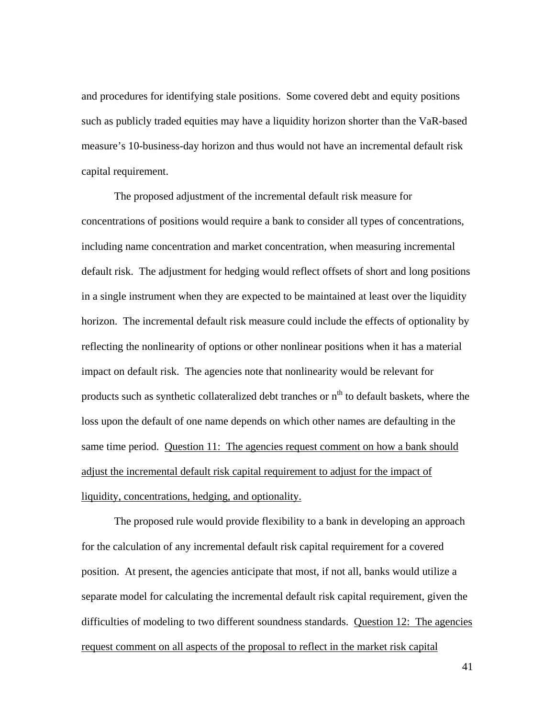and procedures for identifying stale positions. Some covered debt and equity positions such as publicly traded equities may have a liquidity horizon shorter than the VaR-based measure's 10-business-day horizon and thus would not have an incremental default risk capital requirement.

The proposed adjustment of the incremental default risk measure for concentrations of positions would require a bank to consider all types of concentrations, including name concentration and market concentration, when measuring incremental default risk. The adjustment for hedging would reflect offsets of short and long positions in a single instrument when they are expected to be maintained at least over the liquidity horizon. The incremental default risk measure could include the effects of optionality by reflecting the nonlinearity of options or other nonlinear positions when it has a material impact on default risk. The agencies note that nonlinearity would be relevant for products such as synthetic collateralized debt tranches or  $n<sup>th</sup>$  to default baskets, where the loss upon the default of one name depends on which other names are defaulting in the same time period. Question 11: The agencies request comment on how a bank should adjust the incremental default risk capital requirement to adjust for the impact of liquidity, concentrations, hedging, and optionality.

The proposed rule would provide flexibility to a bank in developing an approach for the calculation of any incremental default risk capital requirement for a covered position. At present, the agencies anticipate that most, if not all, banks would utilize a separate model for calculating the incremental default risk capital requirement, given the difficulties of modeling to two different soundness standards. Question 12: The agencies request comment on all aspects of the proposal to reflect in the market risk capital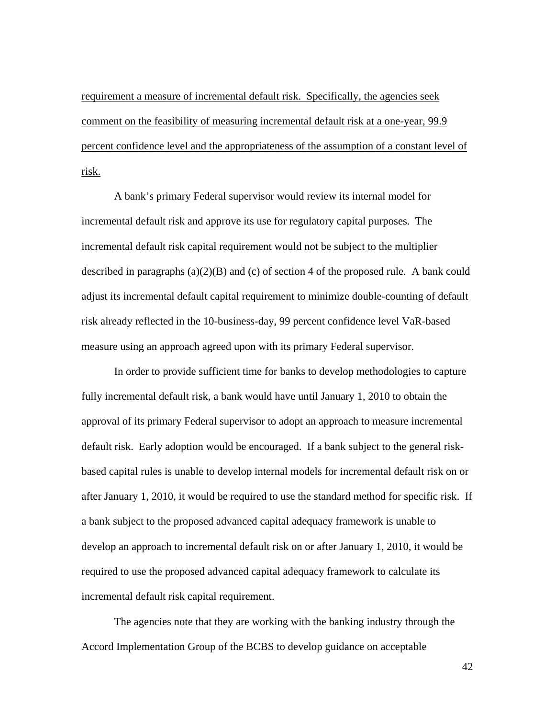requirement a measure of incremental default risk. Specifically, the agencies seek comment on the feasibility of measuring incremental default risk at a one-year, 99.9 percent confidence level and the appropriateness of the assumption of a constant level of risk.

A bank's primary Federal supervisor would review its internal model for incremental default risk and approve its use for regulatory capital purposes. The incremental default risk capital requirement would not be subject to the multiplier described in paragraphs  $(a)(2)(B)$  and  $(c)$  of section 4 of the proposed rule. A bank could adjust its incremental default capital requirement to minimize double-counting of default risk already reflected in the 10-business-day, 99 percent confidence level VaR-based measure using an approach agreed upon with its primary Federal supervisor.

In order to provide sufficient time for banks to develop methodologies to capture fully incremental default risk, a bank would have until January 1, 2010 to obtain the approval of its primary Federal supervisor to adopt an approach to measure incremental default risk. Early adoption would be encouraged. If a bank subject to the general riskbased capital rules is unable to develop internal models for incremental default risk on or after January 1, 2010, it would be required to use the standard method for specific risk. If a bank subject to the proposed advanced capital adequacy framework is unable to develop an approach to incremental default risk on or after January 1, 2010, it would be required to use the proposed advanced capital adequacy framework to calculate its incremental default risk capital requirement.

The agencies note that they are working with the banking industry through the Accord Implementation Group of the BCBS to develop guidance on acceptable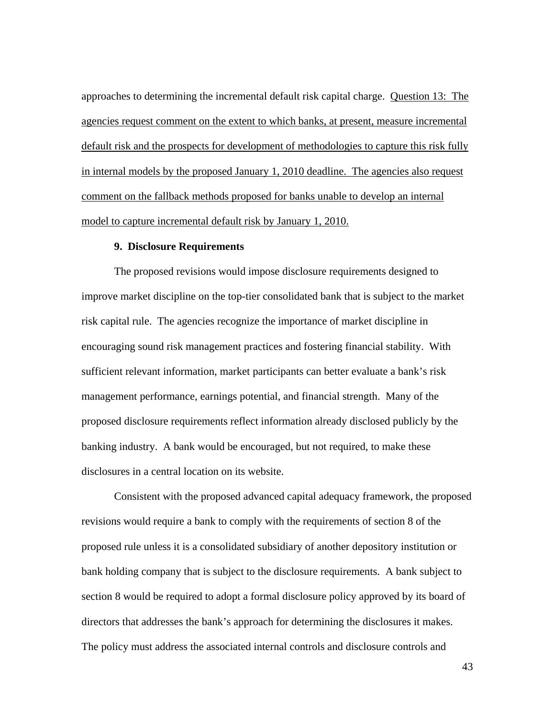approaches to determining the incremental default risk capital charge. Question 13: The agencies request comment on the extent to which banks, at present, measure incremental default risk and the prospects for development of methodologies to capture this risk fully in internal models by the proposed January 1, 2010 deadline. The agencies also request comment on the fallback methods proposed for banks unable to develop an internal model to capture incremental default risk by January 1, 2010.

## **9. Disclosure Requirements**

 The proposed revisions would impose disclosure requirements designed to improve market discipline on the top-tier consolidated bank that is subject to the market risk capital rule. The agencies recognize the importance of market discipline in encouraging sound risk management practices and fostering financial stability. With sufficient relevant information, market participants can better evaluate a bank's risk management performance, earnings potential, and financial strength. Many of the proposed disclosure requirements reflect information already disclosed publicly by the banking industry. A bank would be encouraged, but not required, to make these disclosures in a central location on its website.

 Consistent with the proposed advanced capital adequacy framework, the proposed revisions would require a bank to comply with the requirements of section 8 of the proposed rule unless it is a consolidated subsidiary of another depository institution or bank holding company that is subject to the disclosure requirements. A bank subject to section 8 would be required to adopt a formal disclosure policy approved by its board of directors that addresses the bank's approach for determining the disclosures it makes. The policy must address the associated internal controls and disclosure controls and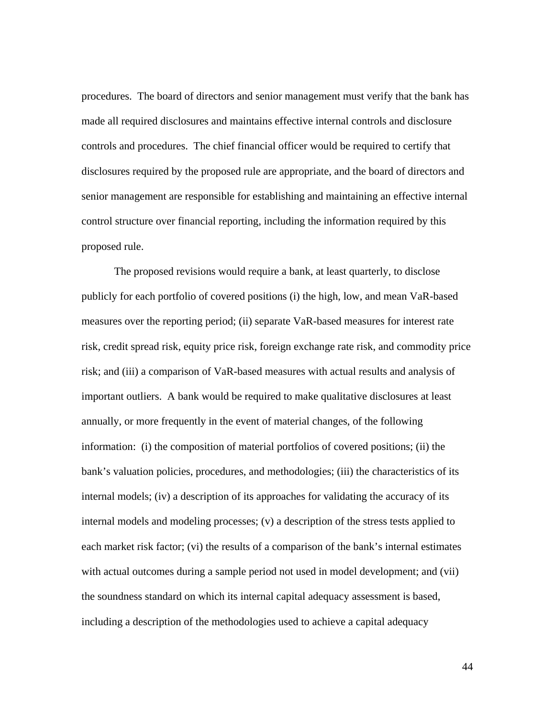procedures. The board of directors and senior management must verify that the bank has made all required disclosures and maintains effective internal controls and disclosure controls and procedures. The chief financial officer would be required to certify that disclosures required by the proposed rule are appropriate, and the board of directors and senior management are responsible for establishing and maintaining an effective internal control structure over financial reporting, including the information required by this proposed rule.

 The proposed revisions would require a bank, at least quarterly, to disclose publicly for each portfolio of covered positions (i) the high, low, and mean VaR-based measures over the reporting period; (ii) separate VaR-based measures for interest rate risk, credit spread risk, equity price risk, foreign exchange rate risk, and commodity price risk; and (iii) a comparison of VaR-based measures with actual results and analysis of important outliers. A bank would be required to make qualitative disclosures at least annually, or more frequently in the event of material changes, of the following information: (i) the composition of material portfolios of covered positions; (ii) the bank's valuation policies, procedures, and methodologies; (iii) the characteristics of its internal models; (iv) a description of its approaches for validating the accuracy of its internal models and modeling processes; (v) a description of the stress tests applied to each market risk factor; (vi) the results of a comparison of the bank's internal estimates with actual outcomes during a sample period not used in model development; and (vii) the soundness standard on which its internal capital adequacy assessment is based, including a description of the methodologies used to achieve a capital adequacy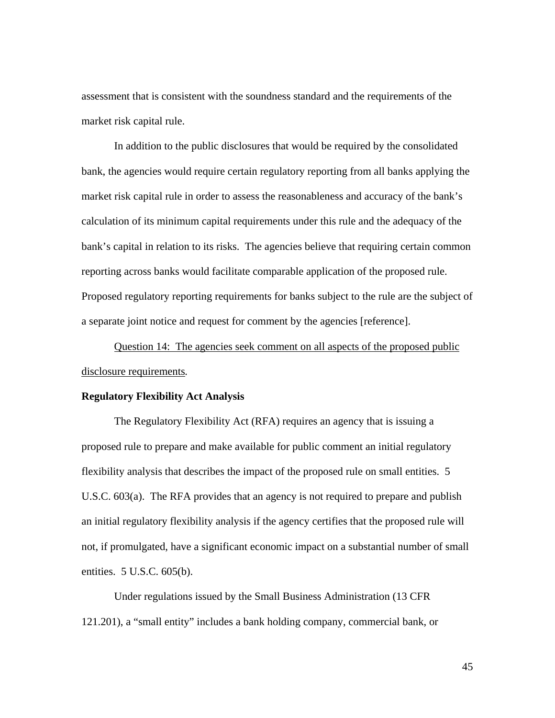assessment that is consistent with the soundness standard and the requirements of the market risk capital rule.

 In addition to the public disclosures that would be required by the consolidated bank, the agencies would require certain regulatory reporting from all banks applying the market risk capital rule in order to assess the reasonableness and accuracy of the bank's calculation of its minimum capital requirements under this rule and the adequacy of the bank's capital in relation to its risks. The agencies believe that requiring certain common reporting across banks would facilitate comparable application of the proposed rule. Proposed regulatory reporting requirements for banks subject to the rule are the subject of a separate joint notice and request for comment by the agencies [reference].

 Question 14: The agencies seek comment on all aspects of the proposed public disclosure requirements*.* 

### **Regulatory Flexibility Act Analysis**

The Regulatory Flexibility Act (RFA) requires an agency that is issuing a proposed rule to prepare and make available for public comment an initial regulatory flexibility analysis that describes the impact of the proposed rule on small entities. 5 U.S.C. 603(a). The RFA provides that an agency is not required to prepare and publish an initial regulatory flexibility analysis if the agency certifies that the proposed rule will not, if promulgated, have a significant economic impact on a substantial number of small entities. 5 U.S.C. 605(b).

Under regulations issued by the Small Business Administration (13 CFR 121.201), a "small entity" includes a bank holding company, commercial bank, or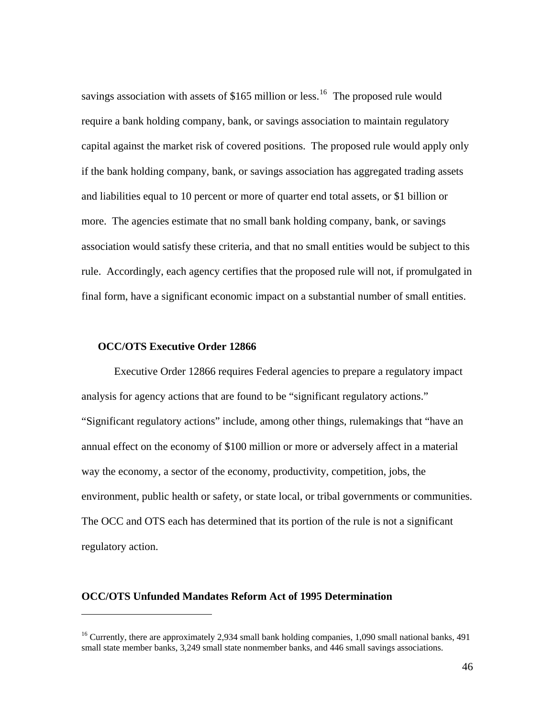savings association with assets of  $$165$  $$165$  $$165$  million or less.<sup>16</sup> The proposed rule would require a bank holding company, bank, or savings association to maintain regulatory capital against the market risk of covered positions. The proposed rule would apply only if the bank holding company, bank, or savings association has aggregated trading assets and liabilities equal to 10 percent or more of quarter end total assets, or \$1 billion or more. The agencies estimate that no small bank holding company, bank, or savings association would satisfy these criteria, and that no small entities would be subject to this rule. Accordingly, each agency certifies that the proposed rule will not, if promulgated in final form, have a significant economic impact on a substantial number of small entities.

# **OCC/OTS Executive Order 12866**

 $\overline{a}$ 

Executive Order 12866 requires Federal agencies to prepare a regulatory impact analysis for agency actions that are found to be "significant regulatory actions." "Significant regulatory actions" include, among other things, rulemakings that "have an annual effect on the economy of \$100 million or more or adversely affect in a material way the economy, a sector of the economy, productivity, competition, jobs, the environment, public health or safety, or state local, or tribal governments or communities. The OCC and OTS each has determined that its portion of the rule is not a significant regulatory action.

# **OCC/OTS Unfunded Mandates Reform Act of 1995 Determination**

<span id="page-45-0"></span><sup>&</sup>lt;sup>16</sup> Currently, there are approximately 2,934 small bank holding companies, 1,090 small national banks, 491 small state member banks, 3,249 small state nonmember banks, and 446 small savings associations.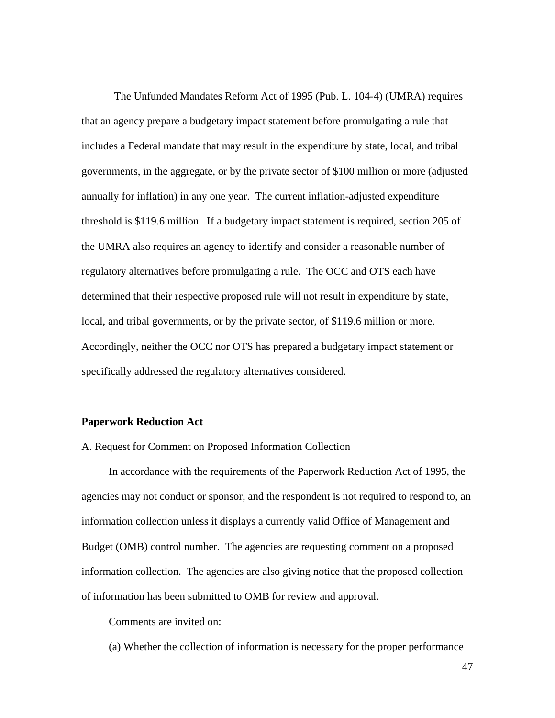The Unfunded Mandates Reform Act of 1995 (Pub. L. 104-4) (UMRA) requires that an agency prepare a budgetary impact statement before promulgating a rule that includes a Federal mandate that may result in the expenditure by state, local, and tribal governments, in the aggregate, or by the private sector of \$100 million or more (adjusted annually for inflation) in any one year. The current inflation-adjusted expenditure threshold is \$119.6 million. If a budgetary impact statement is required, section 205 of the UMRA also requires an agency to identify and consider a reasonable number of regulatory alternatives before promulgating a rule. The OCC and OTS each have determined that their respective proposed rule will not result in expenditure by state, local, and tribal governments, or by the private sector, of \$119.6 million or more. Accordingly, neither the OCC nor OTS has prepared a budgetary impact statement or specifically addressed the regulatory alternatives considered.

### **Paperwork Reduction Act**

A. Request for Comment on Proposed Information Collection

 In accordance with the requirements of the Paperwork Reduction Act of 1995, the agencies may not conduct or sponsor, and the respondent is not required to respond to, an information collection unless it displays a currently valid Office of Management and Budget (OMB) control number. The agencies are requesting comment on a proposed information collection. The agencies are also giving notice that the proposed collection of information has been submitted to OMB for review and approval.

Comments are invited on:

(a) Whether the collection of information is necessary for the proper performance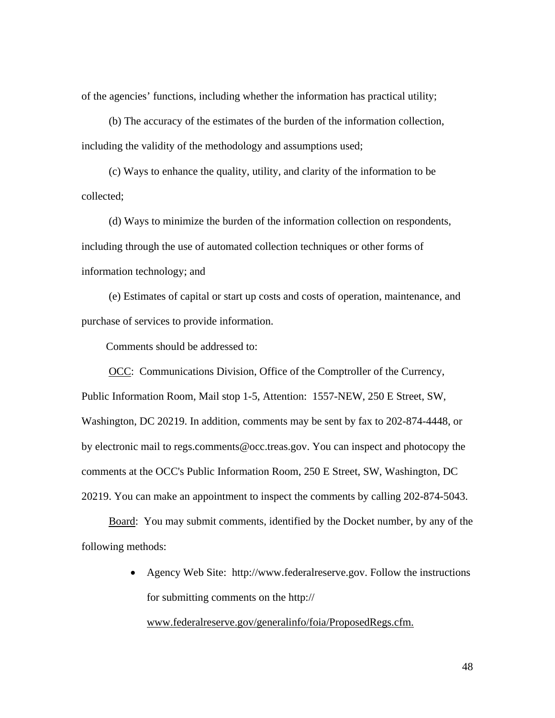of the agencies' functions, including whether the information has practical utility;

 (b) The accuracy of the estimates of the burden of the information collection, including the validity of the methodology and assumptions used;

 (c) Ways to enhance the quality, utility, and clarity of the information to be collected;

 (d) Ways to minimize the burden of the information collection on respondents, including through the use of automated collection techniques or other forms of information technology; and

 (e) Estimates of capital or start up costs and costs of operation, maintenance, and purchase of services to provide information.

Comments should be addressed to:

OCC: Communications Division, Office of the Comptroller of the Currency, Public Information Room, Mail stop 1-5, Attention: 1557-NEW, 250 E Street, SW, Washington, DC 20219. In addition, comments may be sent by fax to 202-874-4448, or by electronic mail to regs.comments@occ.treas.gov. You can inspect and photocopy the comments at the OCC's Public Information Room, 250 E Street, SW, Washington, DC 20219. You can make an appointment to inspect the comments by calling 202-874-5043.

 Board: You may submit comments, identified by the Docket number, by any of the following methods:

> • Agency Web Site: http://www.federalreserve.gov. Follow the instructions for submitting comments on the http://

www.federalreserve.gov/generalinfo/foia/ProposedRegs.cfm.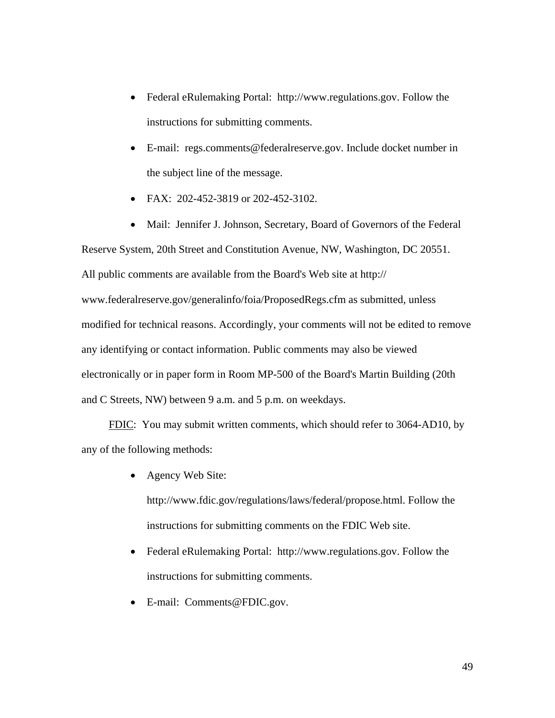- Federal eRulemaking Portal: http://www.regulations.gov. Follow the instructions for submitting comments.
- E-mail: regs.comments@federalreserve.gov. Include docket number in the subject line of the message.
- FAX: 202-452-3819 or 202-452-3102.
- Mail: Jennifer J. Johnson, Secretary, Board of Governors of the Federal

Reserve System, 20th Street and Constitution Avenue, NW, Washington, DC 20551. All public comments are available from the Board's Web site at http:// www.federalreserve.gov/generalinfo/foia/ProposedRegs.cfm as submitted, unless modified for technical reasons. Accordingly, your comments will not be edited to remove any identifying or contact information. Public comments may also be viewed electronically or in paper form in Room MP-500 of the Board's Martin Building (20th and C Streets, NW) between 9 a.m. and 5 p.m. on weekdays.

 FDIC: You may submit written comments, which should refer to 3064-AD10, by any of the following methods:

• Agency Web Site:

http://www.fdic.gov/regulations/laws/federal/propose.html. Follow the instructions for submitting comments on the FDIC Web site.

- Federal eRulemaking Portal: http://www.regulations.gov. Follow the instructions for submitting comments.
- E-mail: Comments@FDIC.gov.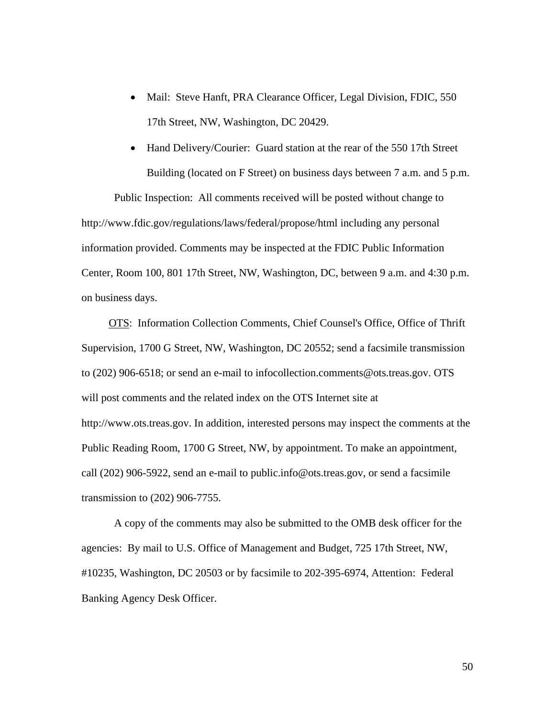- Mail: Steve Hanft, PRA Clearance Officer, Legal Division, FDIC, 550 17th Street, NW, Washington, DC 20429.
- Hand Delivery/Courier: Guard station at the rear of the 550 17th Street Building (located on F Street) on business days between 7 a.m. and 5 p.m.

Public Inspection: All comments received will be posted without change to http://www.fdic.gov/regulations/laws/federal/propose/html including any personal information provided. Comments may be inspected at the FDIC Public Information Center, Room 100, 801 17th Street, NW, Washington, DC, between 9 a.m. and 4:30 p.m. on business days.

 OTS: Information Collection Comments, Chief Counsel's Office, Office of Thrift Supervision, 1700 G Street, NW, Washington, DC 20552; send a facsimile transmission to (202) 906-6518; or send an e-mail to infocollection.comments@ots.treas.gov. OTS will post comments and the related index on the OTS Internet site at http://www.ots.treas.gov. In addition, interested persons may inspect the comments at the Public Reading Room, 1700 G Street, NW, by appointment. To make an appointment, call (202) 906-5922, send an e-mail to public.info@ots.treas.gov, or send a facsimile transmission to (202) 906-7755.

A copy of the comments may also be submitted to the OMB desk officer for the agencies: By mail to U.S. Office of Management and Budget, 725 17th Street, NW, #10235, Washington, DC 20503 or by facsimile to 202-395-6974, Attention: Federal Banking Agency Desk Officer.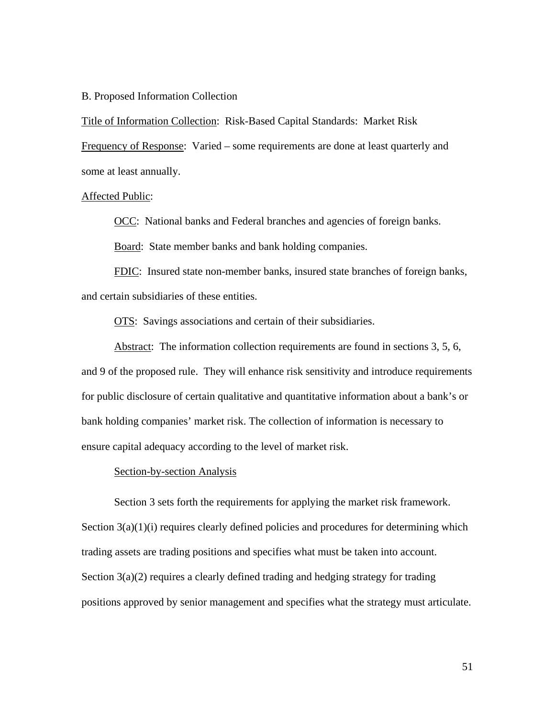## B. Proposed Information Collection

Title of Information Collection: Risk-Based Capital Standards: Market Risk

Frequency of Response: Varied – some requirements are done at least quarterly and some at least annually.

## Affected Public:

OCC: National banks and Federal branches and agencies of foreign banks.

Board: State member banks and bank holding companies.

FDIC: Insured state non-member banks, insured state branches of foreign banks, and certain subsidiaries of these entities.

OTS: Savings associations and certain of their subsidiaries.

 Abstract: The information collection requirements are found in sections 3, 5, 6, and 9 of the proposed rule. They will enhance risk sensitivity and introduce requirements for public disclosure of certain qualitative and quantitative information about a bank's or bank holding companies' market risk. The collection of information is necessary to ensure capital adequacy according to the level of market risk.

### Section-by-section Analysis

 Section 3 sets forth the requirements for applying the market risk framework. Section  $3(a)(1)(i)$  requires clearly defined policies and procedures for determining which trading assets are trading positions and specifies what must be taken into account. Section 3(a)(2) requires a clearly defined trading and hedging strategy for trading positions approved by senior management and specifies what the strategy must articulate.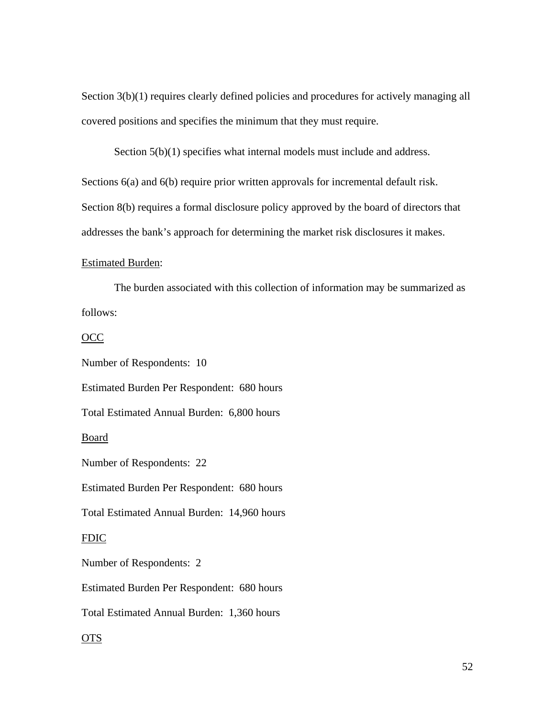Section 3(b)(1) requires clearly defined policies and procedures for actively managing all covered positions and specifies the minimum that they must require.

Section  $5(b)(1)$  specifies what internal models must include and address.

Sections 6(a) and 6(b) require prior written approvals for incremental default risk. Section 8(b) requires a formal disclosure policy approved by the board of directors that addresses the bank's approach for determining the market risk disclosures it makes.

### Estimated Burden:

The burden associated with this collection of information may be summarized as follows:

#### OCC

Number of Respondents: 10

Estimated Burden Per Respondent: 680 hours

Total Estimated Annual Burden: 6,800 hours

### **Board**

Number of Respondents: 22

Estimated Burden Per Respondent: 680 hours

Total Estimated Annual Burden: 14,960 hours

## FDIC

Number of Respondents: 2

Estimated Burden Per Respondent: 680 hours

Total Estimated Annual Burden: 1,360 hours

# OTS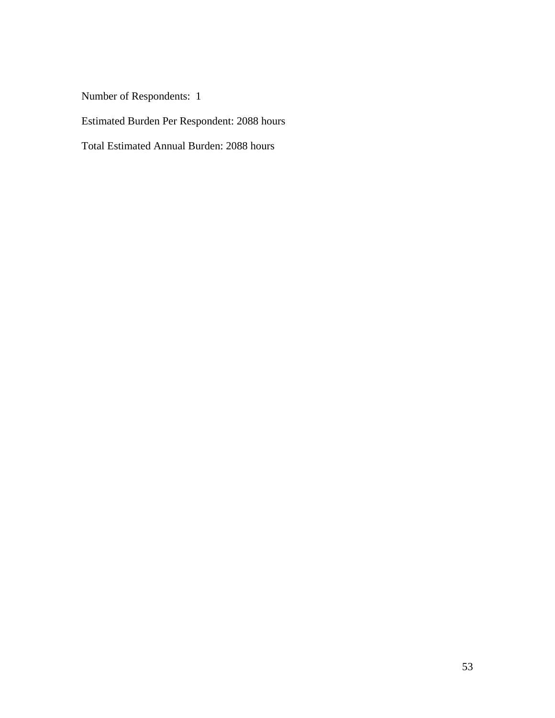Number of Respondents: 1

Estimated Burden Per Respondent: 2088 hours

Total Estimated Annual Burden: 2088 hours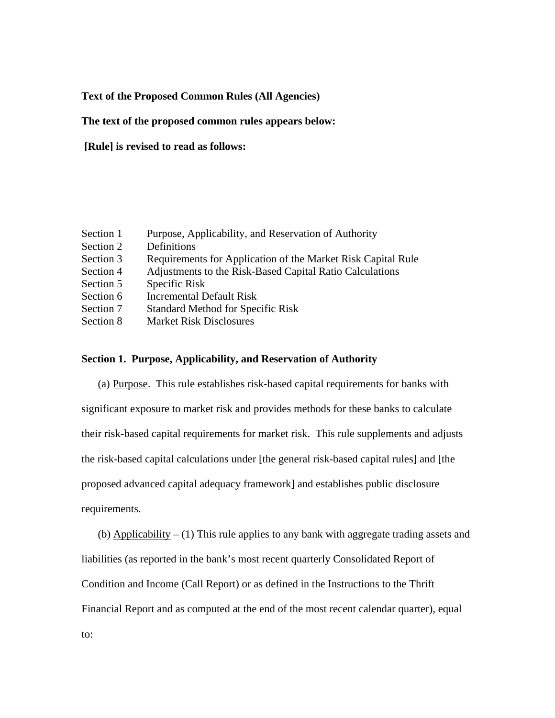# **Text of the Proposed Common Rules (All Agencies)**

# **The text of the proposed common rules appears below:**

 **[Rule] is revised to read as follows:** 

| Section 1 | Purpose, Applicability, and Reservation of Authority         |
|-----------|--------------------------------------------------------------|
| Section 2 | Definitions                                                  |
| Section 3 | Requirements for Application of the Market Risk Capital Rule |
| Section 4 | Adjustments to the Risk-Based Capital Ratio Calculations     |
| Section 5 | Specific Risk                                                |
| Section 6 | <b>Incremental Default Risk</b>                              |
| Section 7 | <b>Standard Method for Specific Risk</b>                     |
| Section 8 | <b>Market Risk Disclosures</b>                               |

# **Section 1. Purpose, Applicability, and Reservation of Authority**

(a) Purpose. This rule establishes risk-based capital requirements for banks with significant exposure to market risk and provides methods for these banks to calculate their risk-based capital requirements for market risk. This rule supplements and adjusts the risk-based capital calculations under [the general risk-based capital rules] and [the proposed advanced capital adequacy framework] and establishes public disclosure requirements.

(b) Applicability  $- (1)$  This rule applies to any bank with aggregate trading assets and liabilities (as reported in the bank's most recent quarterly Consolidated Report of Condition and Income (Call Report) or as defined in the Instructions to the Thrift Financial Report and as computed at the end of the most recent calendar quarter), equal to: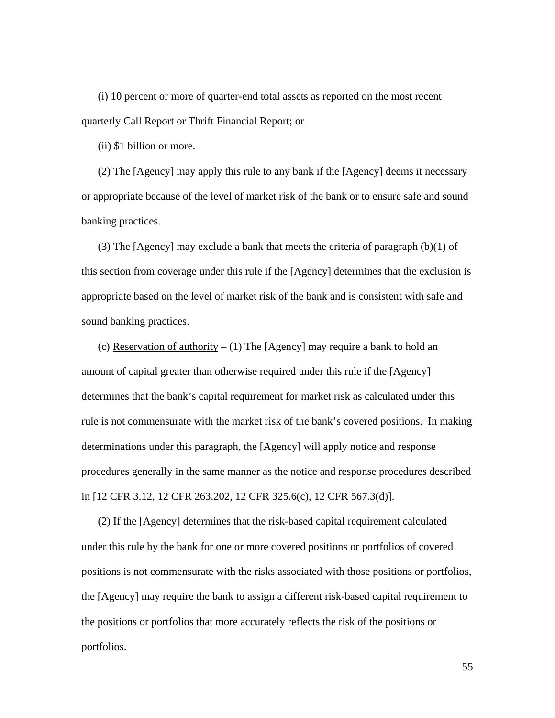(i) 10 percent or more of quarter-end total assets as reported on the most recent quarterly Call Report or Thrift Financial Report; or

(ii) \$1 billion or more.

(2) The [Agency] may apply this rule to any bank if the [Agency] deems it necessary or appropriate because of the level of market risk of the bank or to ensure safe and sound banking practices.

(3) The [Agency] may exclude a bank that meets the criteria of paragraph  $(b)(1)$  of this section from coverage under this rule if the [Agency] determines that the exclusion is appropriate based on the level of market risk of the bank and is consistent with safe and sound banking practices.

(c) Reservation of authority  $- (1)$  The [Agency] may require a bank to hold an amount of capital greater than otherwise required under this rule if the [Agency] determines that the bank's capital requirement for market risk as calculated under this rule is not commensurate with the market risk of the bank's covered positions. In making determinations under this paragraph, the [Agency] will apply notice and response procedures generally in the same manner as the notice and response procedures described in [12 CFR 3.12, 12 CFR 263.202, 12 CFR 325.6(c), 12 CFR 567.3(d)].

(2) If the [Agency] determines that the risk-based capital requirement calculated under this rule by the bank for one or more covered positions or portfolios of covered positions is not commensurate with the risks associated with those positions or portfolios, the [Agency] may require the bank to assign a different risk-based capital requirement to the positions or portfolios that more accurately reflects the risk of the positions or portfolios.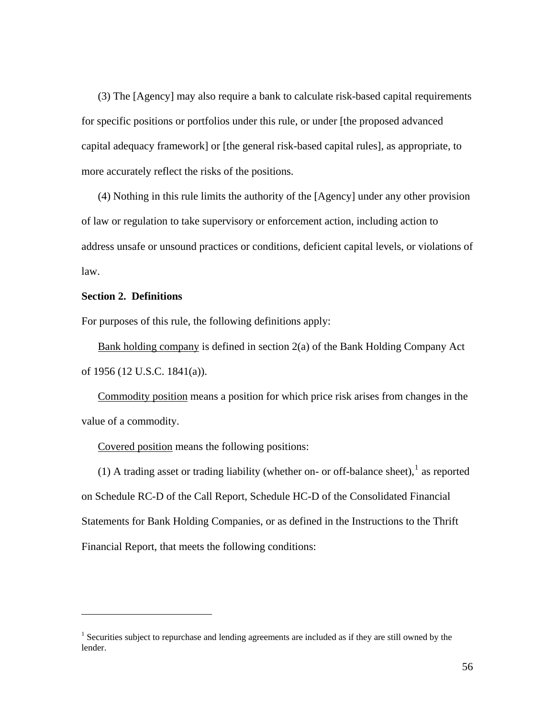(3) The [Agency] may also require a bank to calculate risk-based capital requirements for specific positions or portfolios under this rule, or under [the proposed advanced capital adequacy framework] or [the general risk-based capital rules], as appropriate, to more accurately reflect the risks of the positions.

(4) Nothing in this rule limits the authority of the [Agency] under any other provision of law or regulation to take supervisory or enforcement action, including action to address unsafe or unsound practices or conditions, deficient capital levels, or violations of law.

# **Section 2. Definitions**

 $\overline{a}$ 

For purposes of this rule, the following definitions apply:

Bank holding company is defined in section 2(a) of the Bank Holding Company Act of 1956 (12 U.S.C. 1841(a)).

Commodity position means a position for which price risk arises from changes in the value of a commodity.

Covered position means the following positions:

([1](#page-55-0)) A trading asset or trading liability (whether on- or off-balance sheet),<sup>1</sup> as reported on Schedule RC-D of the Call Report, Schedule HC-D of the Consolidated Financial Statements for Bank Holding Companies, or as defined in the Instructions to the Thrift Financial Report, that meets the following conditions:

<span id="page-55-0"></span><sup>&</sup>lt;sup>1</sup> Securities subject to repurchase and lending agreements are included as if they are still owned by the lender.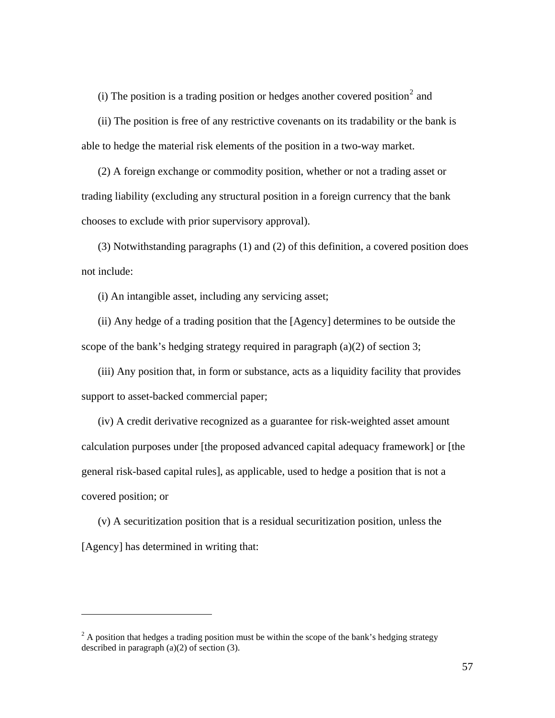(i) The position is a trading position or hedges another covered position<sup>[2](#page-56-0)</sup> and

(ii) The position is free of any restrictive covenants on its tradability or the bank is able to hedge the material risk elements of the position in a two-way market.

(2) A foreign exchange or commodity position, whether or not a trading asset or trading liability (excluding any structural position in a foreign currency that the bank chooses to exclude with prior supervisory approval).

(3) Notwithstanding paragraphs (1) and (2) of this definition, a covered position does not include:

(i) An intangible asset, including any servicing asset;

(ii) Any hedge of a trading position that the [Agency] determines to be outside the scope of the bank's hedging strategy required in paragraph (a)(2) of section 3;

(iii) Any position that, in form or substance, acts as a liquidity facility that provides support to asset-backed commercial paper;

(iv) A credit derivative recognized as a guarantee for risk-weighted asset amount calculation purposes under [the proposed advanced capital adequacy framework] or [the general risk-based capital rules], as applicable, used to hedge a position that is not a covered position; or

(v) A securitization position that is a residual securitization position, unless the [Agency] has determined in writing that:

 $\overline{a}$ 

<span id="page-56-0"></span> $2^2$  A position that hedges a trading position must be within the scope of the bank's hedging strategy described in paragraph  $(a)(2)$  of section  $(3)$ .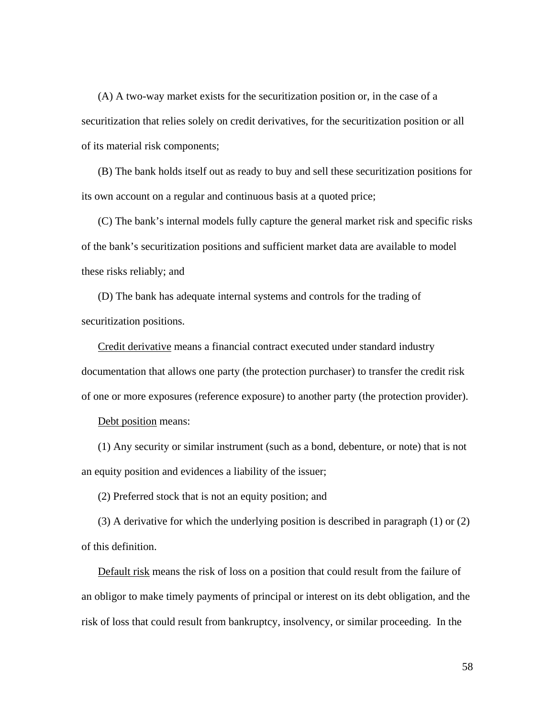(A) A two-way market exists for the securitization position or, in the case of a securitization that relies solely on credit derivatives, for the securitization position or all of its material risk components;

(B) The bank holds itself out as ready to buy and sell these securitization positions for its own account on a regular and continuous basis at a quoted price;

(C) The bank's internal models fully capture the general market risk and specific risks of the bank's securitization positions and sufficient market data are available to model these risks reliably; and

(D) The bank has adequate internal systems and controls for the trading of securitization positions.

Credit derivative means a financial contract executed under standard industry documentation that allows one party (the protection purchaser) to transfer the credit risk of one or more exposures (reference exposure) to another party (the protection provider).

Debt position means:

(1) Any security or similar instrument (such as a bond, debenture, or note) that is not an equity position and evidences a liability of the issuer;

(2) Preferred stock that is not an equity position; and

(3) A derivative for which the underlying position is described in paragraph (1) or (2) of this definition.

Default risk means the risk of loss on a position that could result from the failure of an obligor to make timely payments of principal or interest on its debt obligation, and the risk of loss that could result from bankruptcy, insolvency, or similar proceeding. In the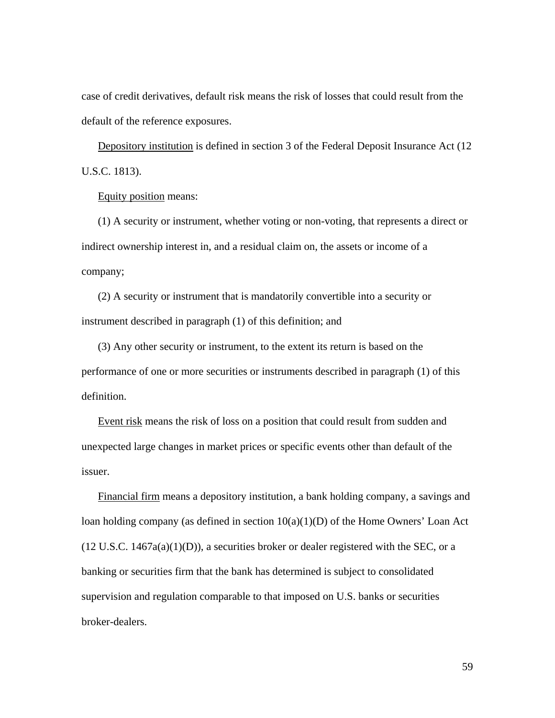case of credit derivatives, default risk means the risk of losses that could result from the default of the reference exposures.

Depository institution is defined in section 3 of the Federal Deposit Insurance Act (12 U.S.C. 1813).

Equity position means:

(1) A security or instrument, whether voting or non-voting, that represents a direct or indirect ownership interest in, and a residual claim on, the assets or income of a company;

(2) A security or instrument that is mandatorily convertible into a security or instrument described in paragraph (1) of this definition; and

(3) Any other security or instrument, to the extent its return is based on the performance of one or more securities or instruments described in paragraph (1) of this definition.

Event risk means the risk of loss on a position that could result from sudden and unexpected large changes in market prices or specific events other than default of the issuer.

Financial firm means a depository institution, a bank holding company, a savings and loan holding company (as defined in section  $10(a)(1)(D)$  of the Home Owners' Loan Act  $(12 \text{ U.S.C. } 1467a(a)(1)(D))$ , a securities broker or dealer registered with the SEC, or a banking or securities firm that the bank has determined is subject to consolidated supervision and regulation comparable to that imposed on U.S. banks or securities broker-dealers.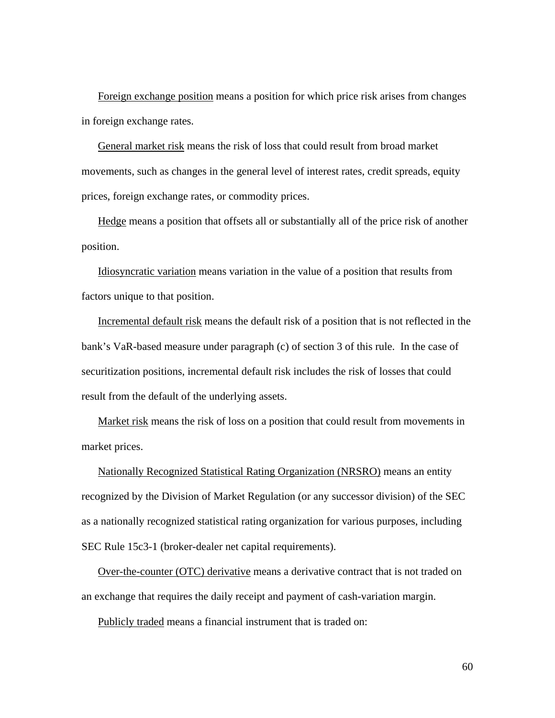Foreign exchange position means a position for which price risk arises from changes in foreign exchange rates.

General market risk means the risk of loss that could result from broad market movements, such as changes in the general level of interest rates, credit spreads, equity prices, foreign exchange rates, or commodity prices.

Hedge means a position that offsets all or substantially all of the price risk of another position.

Idiosyncratic variation means variation in the value of a position that results from factors unique to that position.

Incremental default risk means the default risk of a position that is not reflected in the bank's VaR-based measure under paragraph (c) of section 3 of this rule. In the case of securitization positions, incremental default risk includes the risk of losses that could result from the default of the underlying assets.

Market risk means the risk of loss on a position that could result from movements in market prices.

Nationally Recognized Statistical Rating Organization (NRSRO) means an entity recognized by the Division of Market Regulation (or any successor division) of the SEC as a nationally recognized statistical rating organization for various purposes, including SEC Rule 15c3-1 (broker-dealer net capital requirements).

Over-the-counter (OTC) derivative means a derivative contract that is not traded on an exchange that requires the daily receipt and payment of cash-variation margin.

Publicly traded means a financial instrument that is traded on: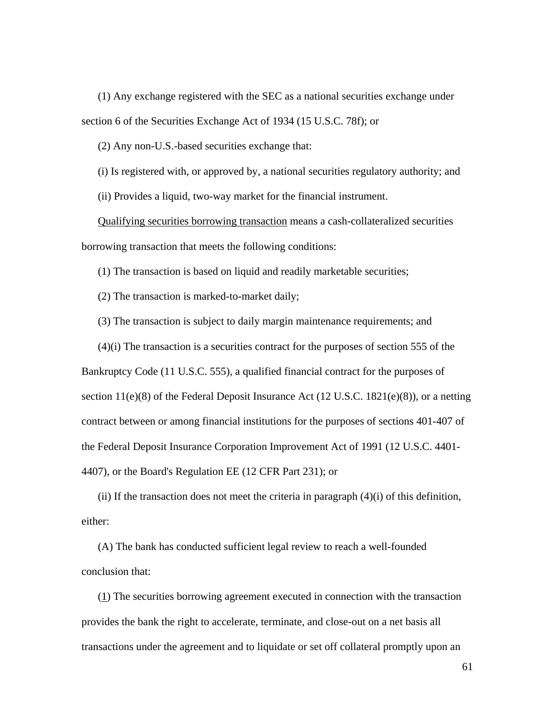(1) Any exchange registered with the SEC as a national securities exchange under section 6 of the Securities Exchange Act of 1934 (15 U.S.C. 78f); or

(2) Any non-U.S.-based securities exchange that:

(i) Is registered with, or approved by, a national securities regulatory authority; and

(ii) Provides a liquid, two-way market for the financial instrument.

Qualifying securities borrowing transaction means a cash-collateralized securities borrowing transaction that meets the following conditions:

(1) The transaction is based on liquid and readily marketable securities;

(2) The transaction is marked-to-market daily;

(3) The transaction is subject to daily margin maintenance requirements; and

(4)(i) The transaction is a securities contract for the purposes of section 555 of the Bankruptcy Code (11 U.S.C. 555), a qualified financial contract for the purposes of section  $11(e)(8)$  of the Federal Deposit Insurance Act (12 U.S.C. 1821(e)(8)), or a netting contract between or among financial institutions for the purposes of sections 401-407 of the Federal Deposit Insurance Corporation Improvement Act of 1991 (12 U.S.C. 4401- 4407), or the Board's Regulation EE (12 CFR Part 231); or

(ii) If the transaction does not meet the criteria in paragraph  $(4)(i)$  of this definition, either:

(A) The bank has conducted sufficient legal review to reach a well-founded conclusion that:

(1) The securities borrowing agreement executed in connection with the transaction provides the bank the right to accelerate, terminate, and close-out on a net basis all transactions under the agreement and to liquidate or set off collateral promptly upon an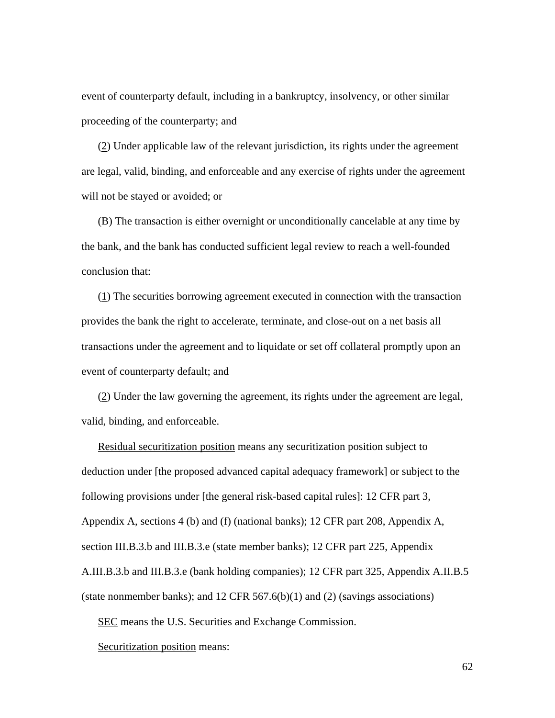event of counterparty default, including in a bankruptcy, insolvency, or other similar proceeding of the counterparty; and

(2) Under applicable law of the relevant jurisdiction, its rights under the agreement are legal, valid, binding, and enforceable and any exercise of rights under the agreement will not be stayed or avoided; or

(B) The transaction is either overnight or unconditionally cancelable at any time by the bank, and the bank has conducted sufficient legal review to reach a well-founded conclusion that:

(1) The securities borrowing agreement executed in connection with the transaction provides the bank the right to accelerate, terminate, and close-out on a net basis all transactions under the agreement and to liquidate or set off collateral promptly upon an event of counterparty default; and

(2) Under the law governing the agreement, its rights under the agreement are legal, valid, binding, and enforceable.

Residual securitization position means any securitization position subject to deduction under [the proposed advanced capital adequacy framework] or subject to the following provisions under [the general risk-based capital rules]: 12 CFR part 3, Appendix A, sections 4 (b) and (f) (national banks); 12 CFR part 208, Appendix A, section III.B.3.b and III.B.3.e (state member banks); 12 CFR part 225, Appendix A.III.B.3.b and III.B.3.e (bank holding companies); 12 CFR part 325, Appendix A.II.B.5 (state nonmember banks); and 12 CFR 567.6(b)(1) and (2) (savings associations)

SEC means the U.S. Securities and Exchange Commission.

Securitization position means: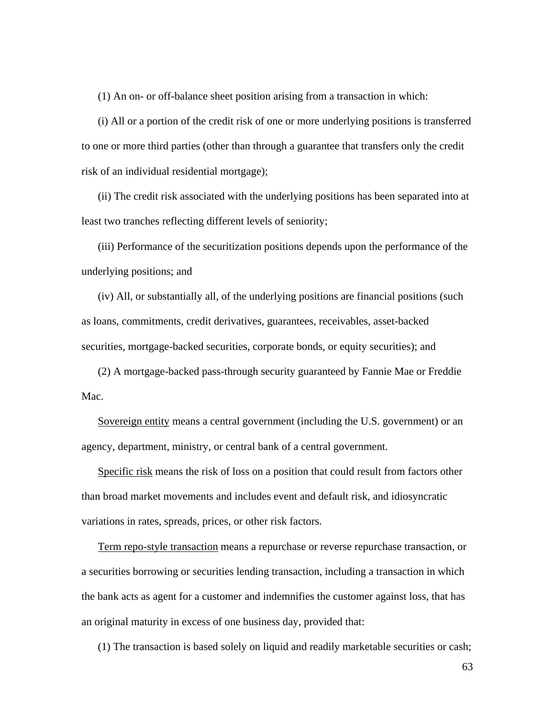(1) An on- or off-balance sheet position arising from a transaction in which:

(i) All or a portion of the credit risk of one or more underlying positions is transferred to one or more third parties (other than through a guarantee that transfers only the credit risk of an individual residential mortgage);

(ii) The credit risk associated with the underlying positions has been separated into at least two tranches reflecting different levels of seniority;

(iii) Performance of the securitization positions depends upon the performance of the underlying positions; and

(iv) All, or substantially all, of the underlying positions are financial positions (such as loans, commitments, credit derivatives, guarantees, receivables, asset-backed securities, mortgage-backed securities, corporate bonds, or equity securities); and

(2) A mortgage-backed pass-through security guaranteed by Fannie Mae or Freddie Mac.

Sovereign entity means a central government (including the U.S. government) or an agency, department, ministry, or central bank of a central government.

Specific risk means the risk of loss on a position that could result from factors other than broad market movements and includes event and default risk, and idiosyncratic variations in rates, spreads, prices, or other risk factors.

Term repo-style transaction means a repurchase or reverse repurchase transaction, or a securities borrowing or securities lending transaction, including a transaction in which the bank acts as agent for a customer and indemnifies the customer against loss, that has an original maturity in excess of one business day, provided that:

(1) The transaction is based solely on liquid and readily marketable securities or cash;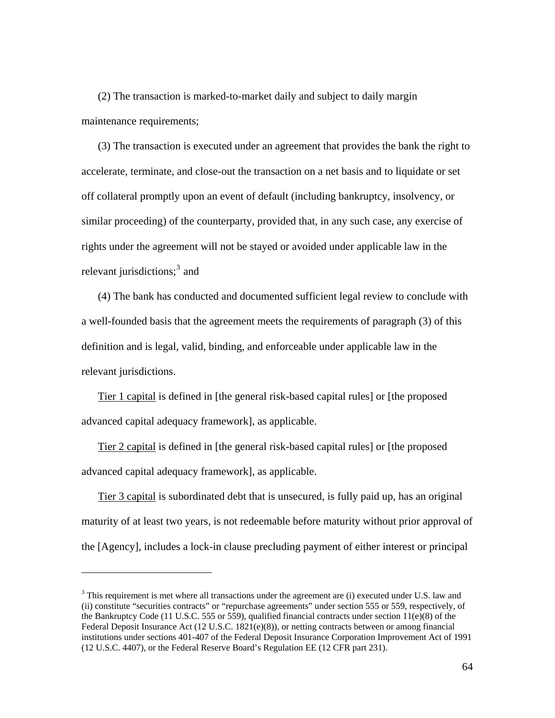(2) The transaction is marked-to-market daily and subject to daily margin maintenance requirements;

(3) The transaction is executed under an agreement that provides the bank the right to accelerate, terminate, and close-out the transaction on a net basis and to liquidate or set off collateral promptly upon an event of default (including bankruptcy, insolvency, or similar proceeding) of the counterparty, provided that, in any such case, any exercise of rights under the agreement will not be stayed or avoided under applicable law in the relevant jurisdictions;<sup>[3](#page-63-0)</sup> and

(4) The bank has conducted and documented sufficient legal review to conclude with a well-founded basis that the agreement meets the requirements of paragraph (3) of this definition and is legal, valid, binding, and enforceable under applicable law in the relevant jurisdictions.

Tier 1 capital is defined in [the general risk-based capital rules] or [the proposed advanced capital adequacy framework], as applicable.

Tier 2 capital is defined in [the general risk-based capital rules] or [the proposed advanced capital adequacy framework], as applicable.

Tier 3 capital is subordinated debt that is unsecured, is fully paid up, has an original maturity of at least two years, is not redeemable before maturity without prior approval of the [Agency], includes a lock-in clause precluding payment of either interest or principal

 $\overline{a}$ 

<span id="page-63-0"></span> $3$  This requirement is met where all transactions under the agreement are (i) executed under U.S. law and (ii) constitute "securities contracts" or "repurchase agreements" under section 555 or 559, respectively, of the Bankruptcy Code (11 U.S.C. 555 or 559), qualified financial contracts under section  $11(e)(8)$  of the Federal Deposit Insurance Act (12 U.S.C. 1821(e)(8)), or netting contracts between or among financial institutions under sections 401-407 of the Federal Deposit Insurance Corporation Improvement Act of 1991 (12 U.S.C. 4407), or the Federal Reserve Board's Regulation EE (12 CFR part 231).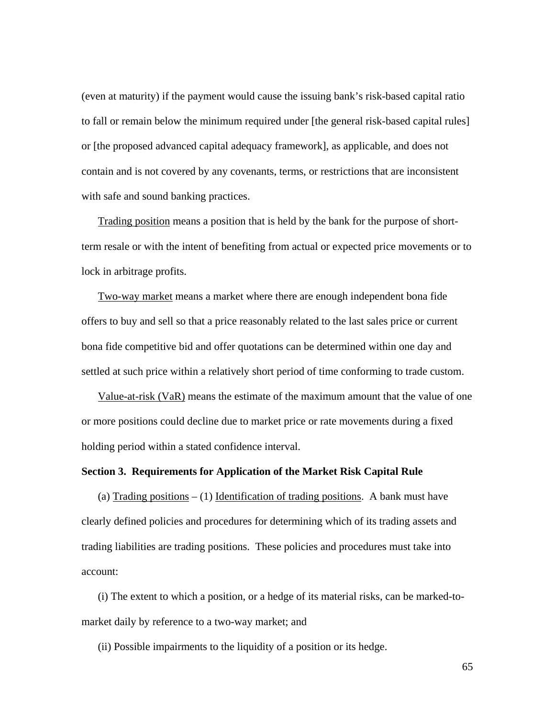(even at maturity) if the payment would cause the issuing bank's risk-based capital ratio to fall or remain below the minimum required under [the general risk-based capital rules] or [the proposed advanced capital adequacy framework], as applicable, and does not contain and is not covered by any covenants, terms, or restrictions that are inconsistent with safe and sound banking practices.

Trading position means a position that is held by the bank for the purpose of shortterm resale or with the intent of benefiting from actual or expected price movements or to lock in arbitrage profits.

Two-way market means a market where there are enough independent bona fide offers to buy and sell so that a price reasonably related to the last sales price or current bona fide competitive bid and offer quotations can be determined within one day and settled at such price within a relatively short period of time conforming to trade custom.

Value-at-risk (VaR) means the estimate of the maximum amount that the value of one or more positions could decline due to market price or rate movements during a fixed holding period within a stated confidence interval.

## **Section 3. Requirements for Application of the Market Risk Capital Rule**

(a) Trading positions  $- (1)$  Identification of trading positions. A bank must have clearly defined policies and procedures for determining which of its trading assets and trading liabilities are trading positions. These policies and procedures must take into account:

(i) The extent to which a position, or a hedge of its material risks, can be marked-tomarket daily by reference to a two-way market; and

(ii) Possible impairments to the liquidity of a position or its hedge.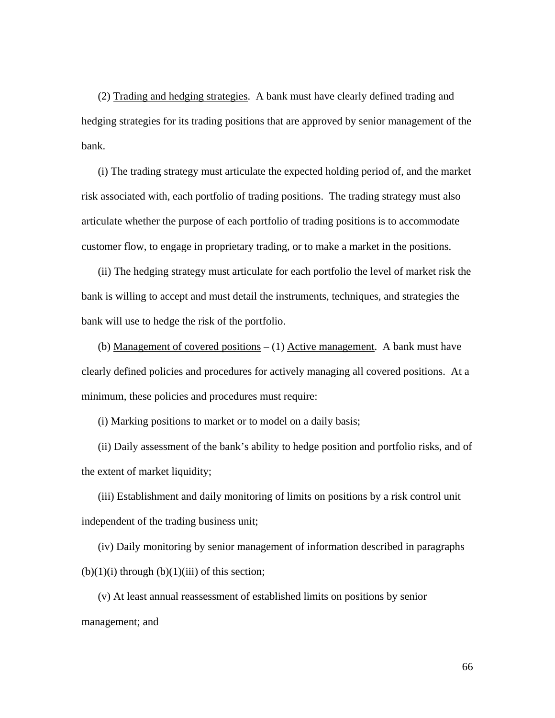(2) Trading and hedging strategies. A bank must have clearly defined trading and hedging strategies for its trading positions that are approved by senior management of the bank.

(i) The trading strategy must articulate the expected holding period of, and the market risk associated with, each portfolio of trading positions. The trading strategy must also articulate whether the purpose of each portfolio of trading positions is to accommodate customer flow, to engage in proprietary trading, or to make a market in the positions.

(ii) The hedging strategy must articulate for each portfolio the level of market risk the bank is willing to accept and must detail the instruments, techniques, and strategies the bank will use to hedge the risk of the portfolio.

(b) Management of covered positions *–* (1) Active management. A bank must have clearly defined policies and procedures for actively managing all covered positions. At a minimum, these policies and procedures must require:

(i) Marking positions to market or to model on a daily basis;

(ii) Daily assessment of the bank's ability to hedge position and portfolio risks, and of the extent of market liquidity;

(iii) Establishment and daily monitoring of limits on positions by a risk control unit independent of the trading business unit;

(iv) Daily monitoring by senior management of information described in paragraphs  $(b)(1)(i)$  through  $(b)(1)(iii)$  of this section;

(v) At least annual reassessment of established limits on positions by senior management; and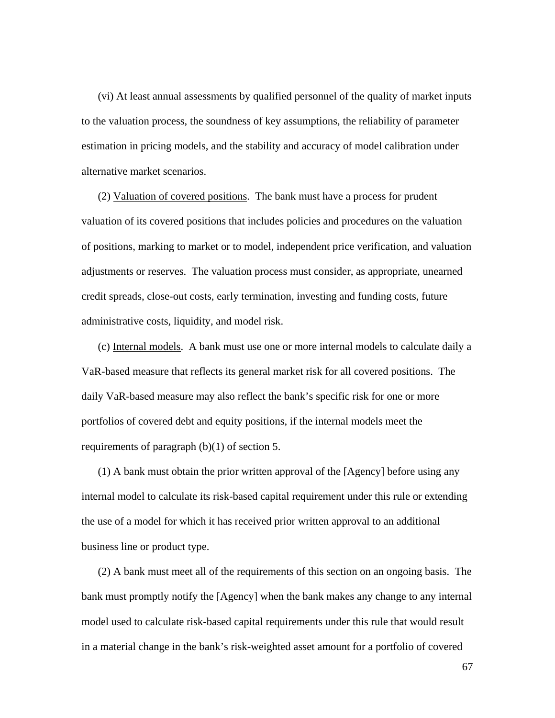(vi) At least annual assessments by qualified personnel of the quality of market inputs to the valuation process, the soundness of key assumptions, the reliability of parameter estimation in pricing models, and the stability and accuracy of model calibration under alternative market scenarios.

(2) Valuation of covered positions. The bank must have a process for prudent valuation of its covered positions that includes policies and procedures on the valuation of positions, marking to market or to model, independent price verification, and valuation adjustments or reserves. The valuation process must consider, as appropriate, unearned credit spreads, close-out costs, early termination, investing and funding costs, future administrative costs, liquidity, and model risk.

(c) Internal models. A bank must use one or more internal models to calculate daily a VaR-based measure that reflects its general market risk for all covered positions. The daily VaR-based measure may also reflect the bank's specific risk for one or more portfolios of covered debt and equity positions, if the internal models meet the requirements of paragraph (b)(1) of section 5.

(1) A bank must obtain the prior written approval of the [Agency] before using any internal model to calculate its risk-based capital requirement under this rule or extending the use of a model for which it has received prior written approval to an additional business line or product type.

(2) A bank must meet all of the requirements of this section on an ongoing basis. The bank must promptly notify the [Agency] when the bank makes any change to any internal model used to calculate risk-based capital requirements under this rule that would result in a material change in the bank's risk-weighted asset amount for a portfolio of covered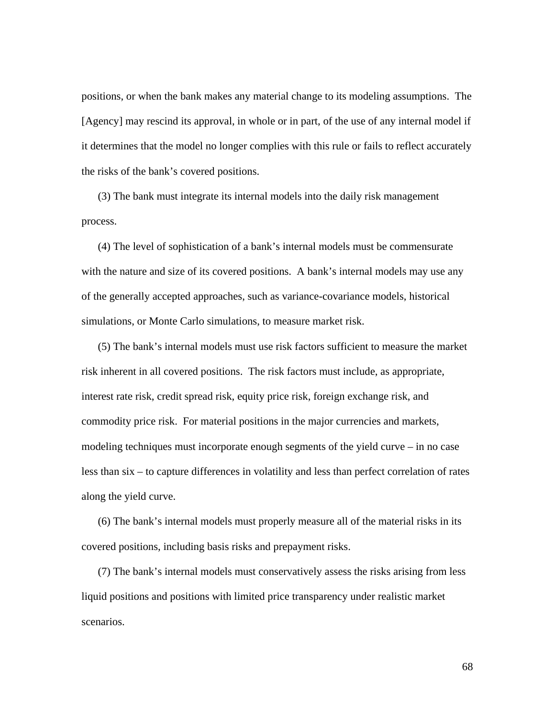positions, or when the bank makes any material change to its modeling assumptions. The [Agency] may rescind its approval, in whole or in part, of the use of any internal model if it determines that the model no longer complies with this rule or fails to reflect accurately the risks of the bank's covered positions.

(3) The bank must integrate its internal models into the daily risk management process.

(4) The level of sophistication of a bank's internal models must be commensurate with the nature and size of its covered positions. A bank's internal models may use any of the generally accepted approaches, such as variance-covariance models, historical simulations, or Monte Carlo simulations, to measure market risk.

(5) The bank's internal models must use risk factors sufficient to measure the market risk inherent in all covered positions. The risk factors must include, as appropriate, interest rate risk, credit spread risk, equity price risk, foreign exchange risk, and commodity price risk. For material positions in the major currencies and markets, modeling techniques must incorporate enough segments of the yield curve – in no case less than six – to capture differences in volatility and less than perfect correlation of rates along the yield curve.

(6) The bank's internal models must properly measure all of the material risks in its covered positions, including basis risks and prepayment risks.

(7) The bank's internal models must conservatively assess the risks arising from less liquid positions and positions with limited price transparency under realistic market scenarios.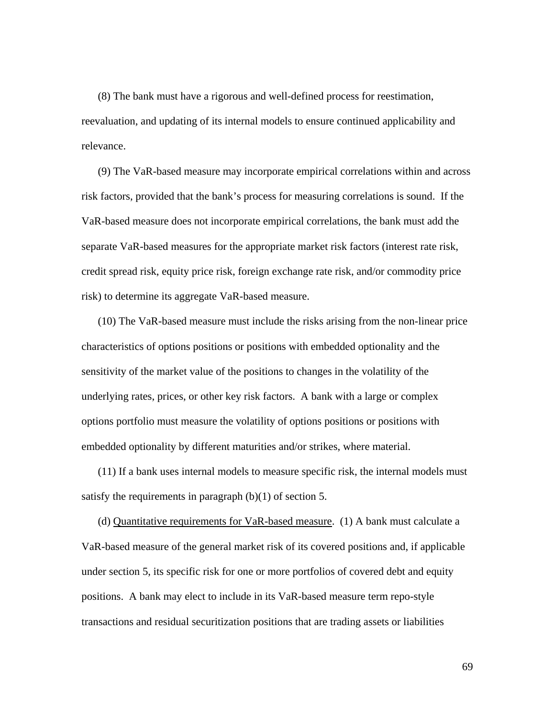(8) The bank must have a rigorous and well-defined process for reestimation, reevaluation, and updating of its internal models to ensure continued applicability and relevance.

(9) The VaR-based measure may incorporate empirical correlations within and across risk factors, provided that the bank's process for measuring correlations is sound. If the VaR-based measure does not incorporate empirical correlations, the bank must add the separate VaR-based measures for the appropriate market risk factors (interest rate risk, credit spread risk, equity price risk, foreign exchange rate risk, and/or commodity price risk) to determine its aggregate VaR-based measure.

(10) The VaR-based measure must include the risks arising from the non-linear price characteristics of options positions or positions with embedded optionality and the sensitivity of the market value of the positions to changes in the volatility of the underlying rates, prices, or other key risk factors. A bank with a large or complex options portfolio must measure the volatility of options positions or positions with embedded optionality by different maturities and/or strikes, where material.

(11) If a bank uses internal models to measure specific risk, the internal models must satisfy the requirements in paragraph  $(b)(1)$  of section 5.

(d) Quantitative requirements for VaR-based measure. (1) A bank must calculate a VaR-based measure of the general market risk of its covered positions and, if applicable under section 5, its specific risk for one or more portfolios of covered debt and equity positions. A bank may elect to include in its VaR-based measure term repo-style transactions and residual securitization positions that are trading assets or liabilities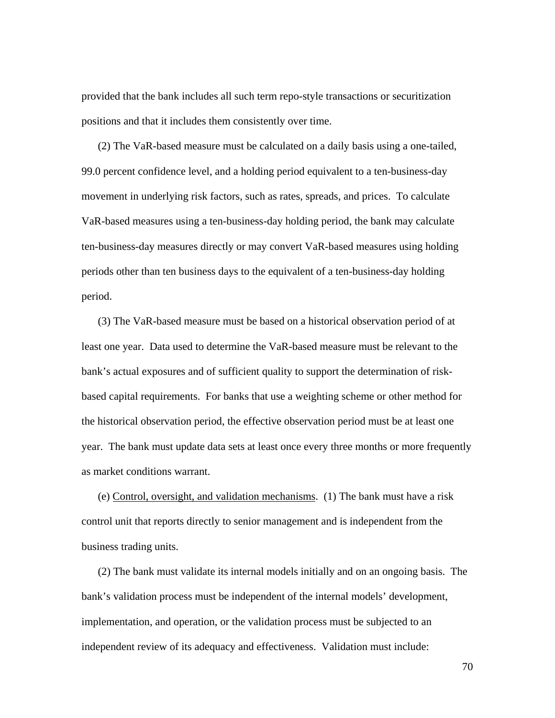provided that the bank includes all such term repo-style transactions or securitization positions and that it includes them consistently over time.

(2) The VaR-based measure must be calculated on a daily basis using a one-tailed, 99.0 percent confidence level, and a holding period equivalent to a ten-business-day movement in underlying risk factors, such as rates, spreads, and prices. To calculate VaR-based measures using a ten-business-day holding period, the bank may calculate ten-business-day measures directly or may convert VaR-based measures using holding periods other than ten business days to the equivalent of a ten-business-day holding period.

(3) The VaR-based measure must be based on a historical observation period of at least one year. Data used to determine the VaR-based measure must be relevant to the bank's actual exposures and of sufficient quality to support the determination of riskbased capital requirements. For banks that use a weighting scheme or other method for the historical observation period, the effective observation period must be at least one year. The bank must update data sets at least once every three months or more frequently as market conditions warrant.

(e) Control, oversight, and validation mechanisms. (1) The bank must have a risk control unit that reports directly to senior management and is independent from the business trading units.

(2) The bank must validate its internal models initially and on an ongoing basis. The bank's validation process must be independent of the internal models' development, implementation, and operation, or the validation process must be subjected to an independent review of its adequacy and effectiveness. Validation must include: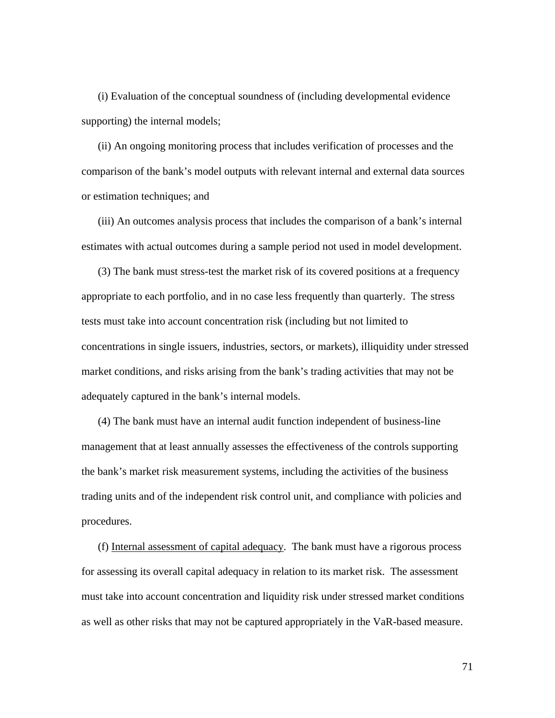(i) Evaluation of the conceptual soundness of (including developmental evidence supporting) the internal models;

(ii) An ongoing monitoring process that includes verification of processes and the comparison of the bank's model outputs with relevant internal and external data sources or estimation techniques; and

(iii) An outcomes analysis process that includes the comparison of a bank's internal estimates with actual outcomes during a sample period not used in model development.

(3) The bank must stress-test the market risk of its covered positions at a frequency appropriate to each portfolio, and in no case less frequently than quarterly. The stress tests must take into account concentration risk (including but not limited to concentrations in single issuers, industries, sectors, or markets), illiquidity under stressed market conditions, and risks arising from the bank's trading activities that may not be adequately captured in the bank's internal models.

(4) The bank must have an internal audit function independent of business-line management that at least annually assesses the effectiveness of the controls supporting the bank's market risk measurement systems, including the activities of the business trading units and of the independent risk control unit, and compliance with policies and procedures.

(f) Internal assessment of capital adequacy. The bank must have a rigorous process for assessing its overall capital adequacy in relation to its market risk. The assessment must take into account concentration and liquidity risk under stressed market conditions as well as other risks that may not be captured appropriately in the VaR-based measure.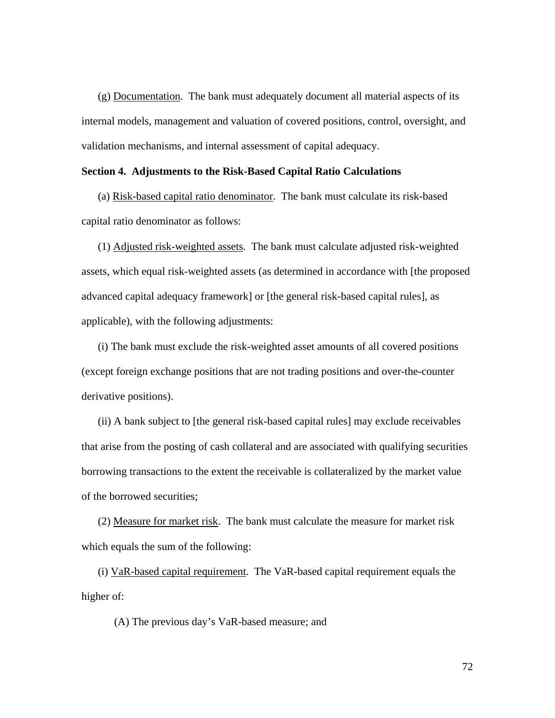(g) Documentation. The bank must adequately document all material aspects of its internal models, management and valuation of covered positions, control, oversight, and validation mechanisms, and internal assessment of capital adequacy.

# **Section 4. Adjustments to the Risk-Based Capital Ratio Calculations**

(a) Risk-based capital ratio denominator. The bank must calculate its risk-based capital ratio denominator as follows:

(1) Adjusted risk-weighted assets. The bank must calculate adjusted risk-weighted assets, which equal risk-weighted assets (as determined in accordance with [the proposed advanced capital adequacy framework] or [the general risk-based capital rules], as applicable), with the following adjustments:

(i) The bank must exclude the risk-weighted asset amounts of all covered positions (except foreign exchange positions that are not trading positions and over-the-counter derivative positions).

(ii) A bank subject to [the general risk-based capital rules] may exclude receivables that arise from the posting of cash collateral and are associated with qualifying securities borrowing transactions to the extent the receivable is collateralized by the market value of the borrowed securities;

(2) Measure for market risk. The bank must calculate the measure for market risk which equals the sum of the following:

(i) VaR-based capital requirement. The VaR-based capital requirement equals the higher of:

(A) The previous day's VaR-based measure; and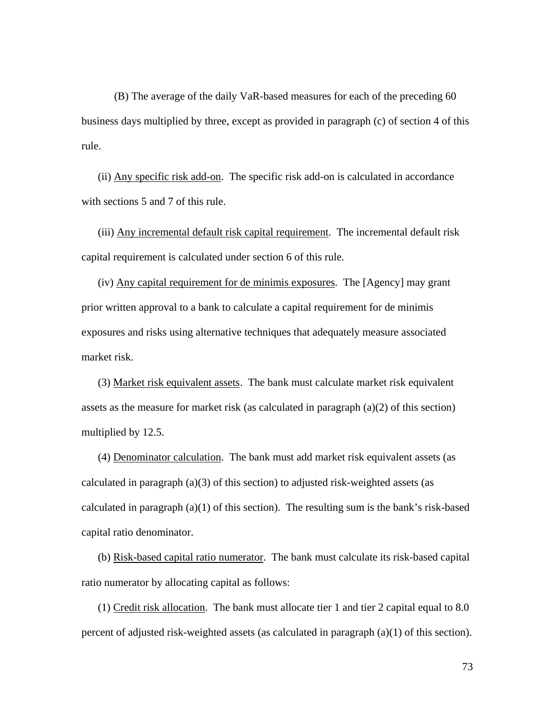(B) The average of the daily VaR-based measures for each of the preceding 60 business days multiplied by three, except as provided in paragraph (c) of section 4 of this rule.

(ii) Any specific risk add-on. The specific risk add-on is calculated in accordance with sections 5 and 7 of this rule.

(iii) Any incremental default risk capital requirement. The incremental default risk capital requirement is calculated under section 6 of this rule.

(iv) Any capital requirement for de minimis exposures. The [Agency] may grant prior written approval to a bank to calculate a capital requirement for de minimis exposures and risks using alternative techniques that adequately measure associated market risk.

(3) Market risk equivalent assets. The bank must calculate market risk equivalent assets as the measure for market risk (as calculated in paragraph (a)(2) of this section) multiplied by 12.5.

(4) Denominator calculation. The bank must add market risk equivalent assets (as calculated in paragraph  $(a)(3)$  of this section) to adjusted risk-weighted assets (as calculated in paragraph  $(a)(1)$  of this section). The resulting sum is the bank's risk-based capital ratio denominator.

(b) Risk-based capital ratio numerator. The bank must calculate its risk-based capital ratio numerator by allocating capital as follows:

(1) Credit risk allocation. The bank must allocate tier 1 and tier 2 capital equal to 8.0 percent of adjusted risk-weighted assets (as calculated in paragraph (a)(1) of this section).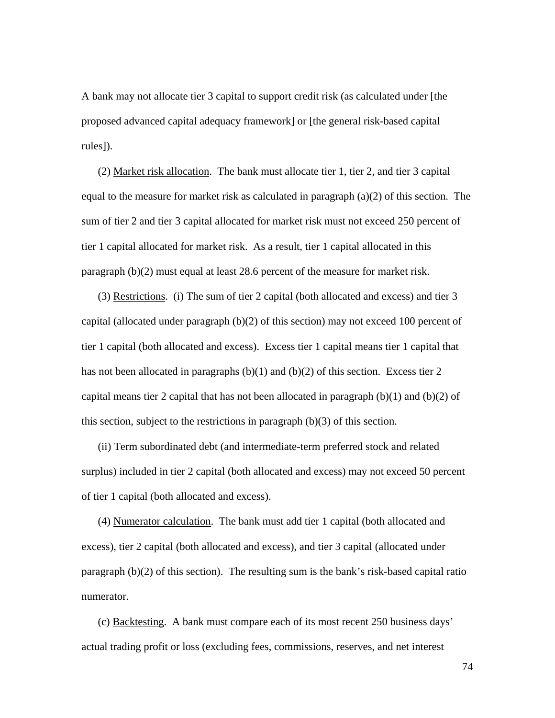A bank may not allocate tier 3 capital to support credit risk (as calculated under [the proposed advanced capital adequacy framework] or [the general risk-based capital rules]).

(2) Market risk allocation. The bank must allocate tier 1, tier 2, and tier 3 capital equal to the measure for market risk as calculated in paragraph  $(a)(2)$  of this section. The sum of tier 2 and tier 3 capital allocated for market risk must not exceed 250 percent of tier 1 capital allocated for market risk. As a result, tier 1 capital allocated in this paragraph (b)(2) must equal at least 28.6 percent of the measure for market risk.

(3) Restrictions. (i) The sum of tier 2 capital (both allocated and excess) and tier 3 capital (allocated under paragraph (b)(2) of this section) may not exceed 100 percent of tier 1 capital (both allocated and excess). Excess tier 1 capital means tier 1 capital that has not been allocated in paragraphs  $(b)(1)$  and  $(b)(2)$  of this section. Excess tier 2 capital means tier 2 capital that has not been allocated in paragraph  $(b)(1)$  and  $(b)(2)$  of this section, subject to the restrictions in paragraph (b)(3) of this section.

(ii) Term subordinated debt (and intermediate-term preferred stock and related surplus) included in tier 2 capital (both allocated and excess) may not exceed 50 percent of tier 1 capital (both allocated and excess).

(4) Numerator calculation. The bank must add tier 1 capital (both allocated and excess), tier 2 capital (both allocated and excess), and tier 3 capital (allocated under paragraph (b)(2) of this section). The resulting sum is the bank's risk-based capital ratio numerator.

(c) Backtesting. A bank must compare each of its most recent 250 business days' actual trading profit or loss (excluding fees, commissions, reserves, and net interest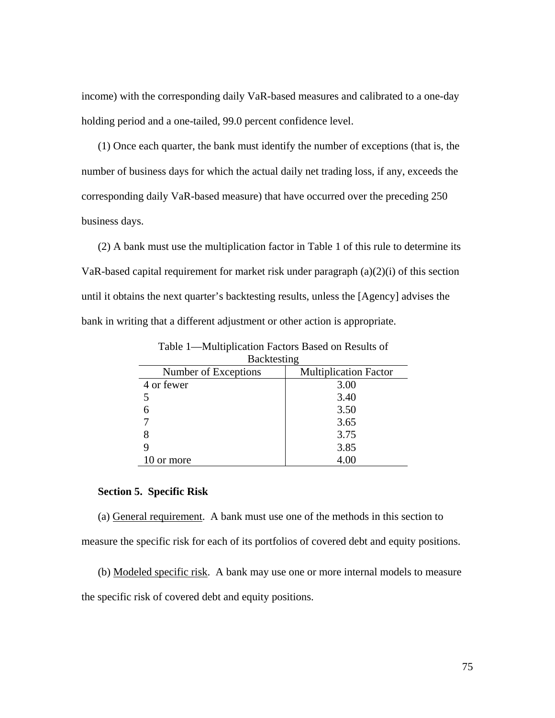income) with the corresponding daily VaR-based measures and calibrated to a one-day holding period and a one-tailed, 99.0 percent confidence level.

(1) Once each quarter, the bank must identify the number of exceptions (that is, the number of business days for which the actual daily net trading loss, if any, exceeds the corresponding daily VaR-based measure) that have occurred over the preceding 250 business days.

(2) A bank must use the multiplication factor in Table 1 of this rule to determine its VaR-based capital requirement for market risk under paragraph (a)(2)(i) of this section until it obtains the next quarter's backtesting results, unless the [Agency] advises the bank in writing that a different adjustment or other action is appropriate.

| Backtesting          |                              |  |
|----------------------|------------------------------|--|
| Number of Exceptions | <b>Multiplication Factor</b> |  |
| 4 or fewer           | 3.00                         |  |
|                      | 3.40                         |  |
|                      | 3.50                         |  |
|                      | 3.65                         |  |
|                      | 3.75                         |  |
|                      | 3.85                         |  |
| 10 or more           | 4.00                         |  |

Table 1—Multiplication Factors Based on Results of

## **Section 5. Specific Risk**

(a) General requirement. A bank must use one of the methods in this section to measure the specific risk for each of its portfolios of covered debt and equity positions.

(b) Modeled specific risk. A bank may use one or more internal models to measure the specific risk of covered debt and equity positions.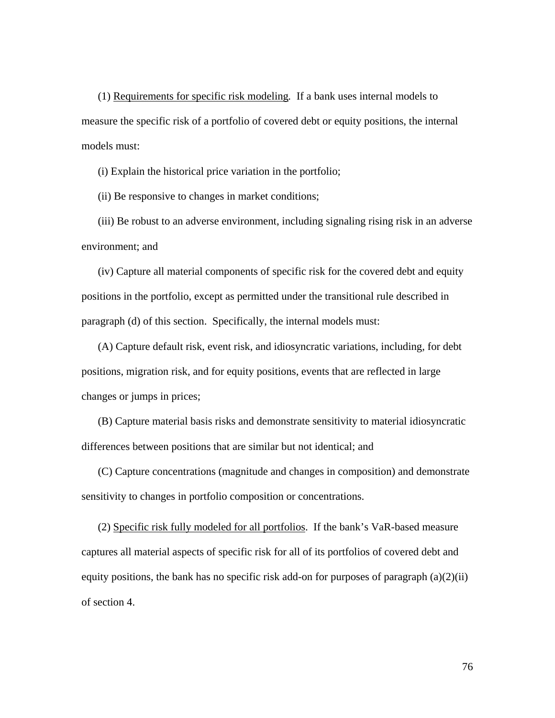(1) Requirements for specific risk modeling*.* If a bank uses internal models to measure the specific risk of a portfolio of covered debt or equity positions, the internal models must:

(i) Explain the historical price variation in the portfolio;

(ii) Be responsive to changes in market conditions;

(iii) Be robust to an adverse environment, including signaling rising risk in an adverse environment; and

(iv) Capture all material components of specific risk for the covered debt and equity positions in the portfolio, except as permitted under the transitional rule described in paragraph (d) of this section. Specifically, the internal models must:

(A) Capture default risk, event risk, and idiosyncratic variations, including, for debt positions, migration risk, and for equity positions, events that are reflected in large changes or jumps in prices;

(B) Capture material basis risks and demonstrate sensitivity to material idiosyncratic differences between positions that are similar but not identical; and

(C) Capture concentrations (magnitude and changes in composition) and demonstrate sensitivity to changes in portfolio composition or concentrations.

(2) Specific risk fully modeled for all portfolios. If the bank's VaR-based measure captures all material aspects of specific risk for all of its portfolios of covered debt and equity positions, the bank has no specific risk add-on for purposes of paragraph  $(a)(2)(ii)$ of section 4.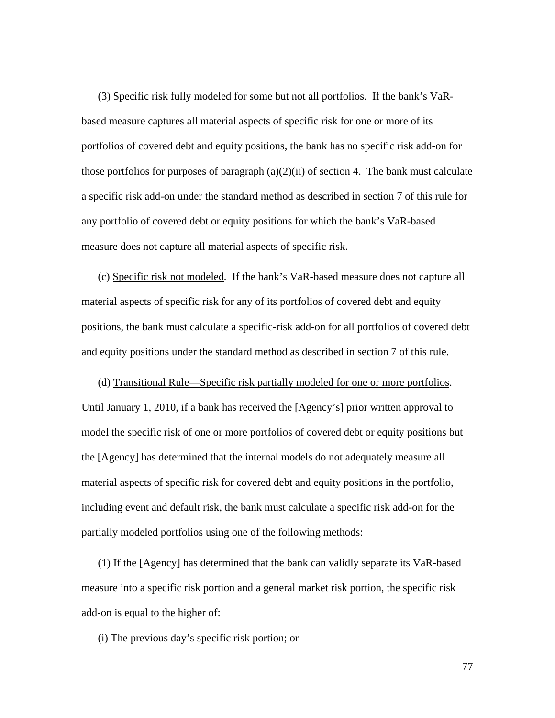(3) Specific risk fully modeled for some but not all portfolios. If the bank's VaRbased measure captures all material aspects of specific risk for one or more of its portfolios of covered debt and equity positions, the bank has no specific risk add-on for those portfolios for purposes of paragraph  $(a)(2)(ii)$  of section 4. The bank must calculate a specific risk add-on under the standard method as described in section 7 of this rule for any portfolio of covered debt or equity positions for which the bank's VaR-based measure does not capture all material aspects of specific risk.

(c) Specific risk not modeled*.* If the bank's VaR-based measure does not capture all material aspects of specific risk for any of its portfolios of covered debt and equity positions, the bank must calculate a specific-risk add-on for all portfolios of covered debt and equity positions under the standard method as described in section 7 of this rule.

(d) Transitional Rule—Specific risk partially modeled for one or more portfolios. Until January 1, 2010, if a bank has received the [Agency's] prior written approval to model the specific risk of one or more portfolios of covered debt or equity positions but the [Agency] has determined that the internal models do not adequately measure all material aspects of specific risk for covered debt and equity positions in the portfolio, including event and default risk, the bank must calculate a specific risk add-on for the partially modeled portfolios using one of the following methods:

(1) If the [Agency] has determined that the bank can validly separate its VaR-based measure into a specific risk portion and a general market risk portion, the specific risk add-on is equal to the higher of:

(i) The previous day's specific risk portion; or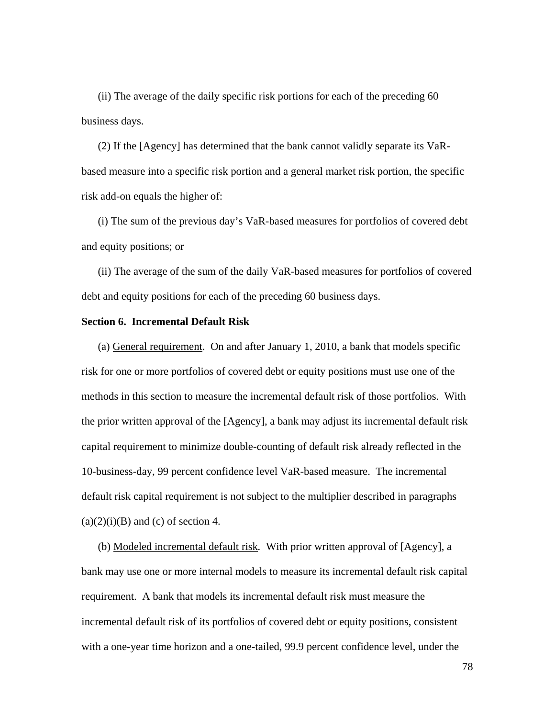(ii) The average of the daily specific risk portions for each of the preceding 60 business days.

(2) If the [Agency] has determined that the bank cannot validly separate its VaRbased measure into a specific risk portion and a general market risk portion, the specific risk add-on equals the higher of:

(i) The sum of the previous day's VaR-based measures for portfolios of covered debt and equity positions; or

(ii) The average of the sum of the daily VaR-based measures for portfolios of covered debt and equity positions for each of the preceding 60 business days.

### **Section 6. Incremental Default Risk**

 (a) General requirement. On and after January 1, 2010, a bank that models specific risk for one or more portfolios of covered debt or equity positions must use one of the methods in this section to measure the incremental default risk of those portfolios. With the prior written approval of the [Agency], a bank may adjust its incremental default risk capital requirement to minimize double-counting of default risk already reflected in the 10-business-day, 99 percent confidence level VaR-based measure. The incremental default risk capital requirement is not subject to the multiplier described in paragraphs  $(a)(2)(i)(B)$  and (c) of section 4.

(b) Modeled incremental default risk*.* With prior written approval of [Agency], a bank may use one or more internal models to measure its incremental default risk capital requirement. A bank that models its incremental default risk must measure the incremental default risk of its portfolios of covered debt or equity positions, consistent with a one-year time horizon and a one-tailed, 99.9 percent confidence level, under the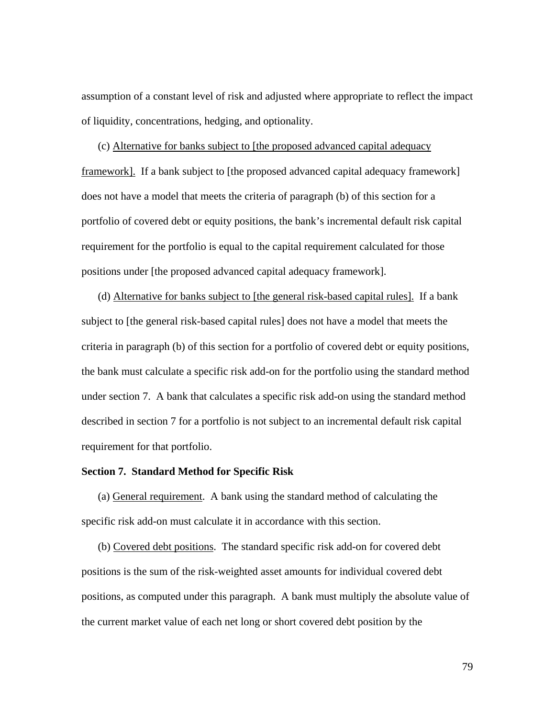assumption of a constant level of risk and adjusted where appropriate to reflect the impact of liquidity, concentrations, hedging, and optionality.

(c) Alternative for banks subject to [the proposed advanced capital adequacy framework]. If a bank subject to [the proposed advanced capital adequacy framework] does not have a model that meets the criteria of paragraph (b) of this section for a portfolio of covered debt or equity positions, the bank's incremental default risk capital requirement for the portfolio is equal to the capital requirement calculated for those positions under [the proposed advanced capital adequacy framework].

(d) Alternative for banks subject to [the general risk-based capital rules]. If a bank subject to [the general risk-based capital rules] does not have a model that meets the criteria in paragraph (b) of this section for a portfolio of covered debt or equity positions, the bank must calculate a specific risk add-on for the portfolio using the standard method under section 7. A bank that calculates a specific risk add-on using the standard method described in section 7 for a portfolio is not subject to an incremental default risk capital requirement for that portfolio.

## **Section 7. Standard Method for Specific Risk**

(a) General requirement. A bank using the standard method of calculating the specific risk add-on must calculate it in accordance with this section.

(b) Covered debt positions. The standard specific risk add-on for covered debt positions is the sum of the risk-weighted asset amounts for individual covered debt positions, as computed under this paragraph. A bank must multiply the absolute value of the current market value of each net long or short covered debt position by the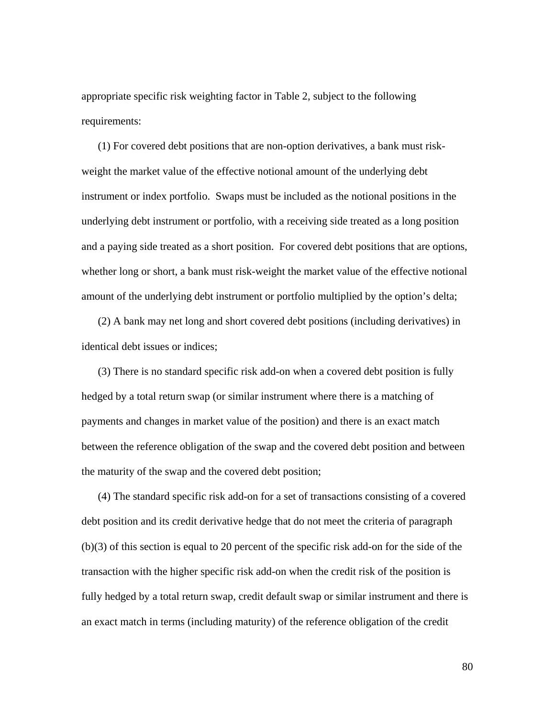appropriate specific risk weighting factor in Table 2, subject to the following requirements:

(1) For covered debt positions that are non-option derivatives, a bank must riskweight the market value of the effective notional amount of the underlying debt instrument or index portfolio. Swaps must be included as the notional positions in the underlying debt instrument or portfolio, with a receiving side treated as a long position and a paying side treated as a short position. For covered debt positions that are options, whether long or short, a bank must risk-weight the market value of the effective notional amount of the underlying debt instrument or portfolio multiplied by the option's delta;

(2) A bank may net long and short covered debt positions (including derivatives) in identical debt issues or indices;

(3) There is no standard specific risk add-on when a covered debt position is fully hedged by a total return swap (or similar instrument where there is a matching of payments and changes in market value of the position) and there is an exact match between the reference obligation of the swap and the covered debt position and between the maturity of the swap and the covered debt position;

(4) The standard specific risk add-on for a set of transactions consisting of a covered debt position and its credit derivative hedge that do not meet the criteria of paragraph (b)(3) of this section is equal to 20 percent of the specific risk add-on for the side of the transaction with the higher specific risk add-on when the credit risk of the position is fully hedged by a total return swap, credit default swap or similar instrument and there is an exact match in terms (including maturity) of the reference obligation of the credit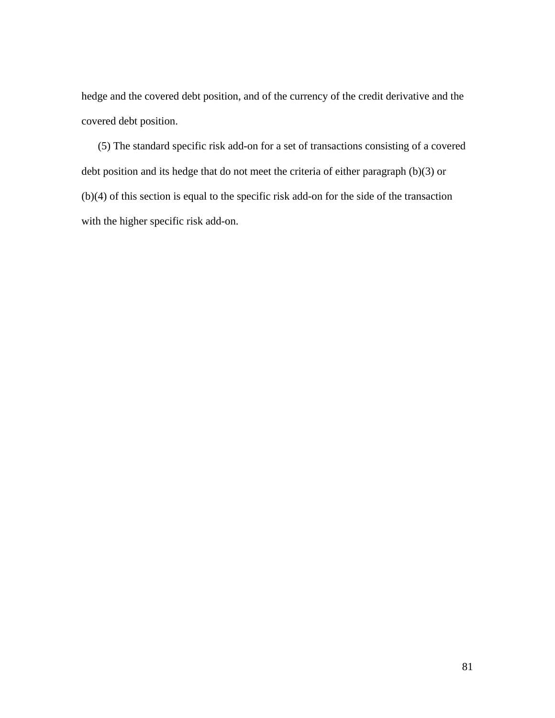hedge and the covered debt position, and of the currency of the credit derivative and the covered debt position.

(5) The standard specific risk add-on for a set of transactions consisting of a covered debt position and its hedge that do not meet the criteria of either paragraph (b)(3) or (b)(4) of this section is equal to the specific risk add-on for the side of the transaction with the higher specific risk add-on.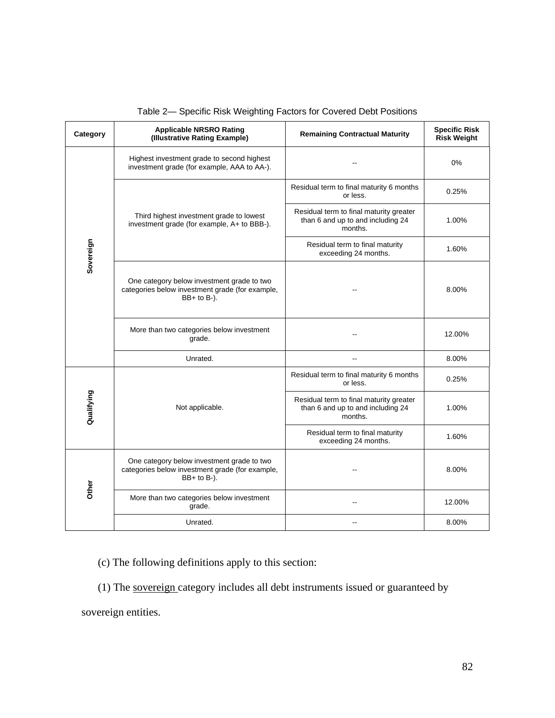| Category   | <b>Applicable NRSRO Rating</b><br>(Illustrative Rating Example)                                                   | <b>Remaining Contractual Maturity</b>                                                   | <b>Specific Risk</b><br><b>Risk Weight</b> |
|------------|-------------------------------------------------------------------------------------------------------------------|-----------------------------------------------------------------------------------------|--------------------------------------------|
| Sovereign  | Highest investment grade to second highest<br>investment grade (for example, AAA to AA-).                         |                                                                                         | $0\%$                                      |
|            | Third highest investment grade to lowest<br>investment grade (for example, A+ to BBB-).                           | Residual term to final maturity 6 months<br>or less.                                    | 0.25%                                      |
|            |                                                                                                                   | Residual term to final maturity greater<br>than 6 and up to and including 24<br>months. | 1.00%                                      |
|            |                                                                                                                   | Residual term to final maturity<br>exceeding 24 months.                                 | 1.60%                                      |
|            | One category below investment grade to two<br>categories below investment grade (for example,<br>$BB+$ to $B-$ ). |                                                                                         | 8.00%                                      |
|            | More than two categories below investment<br>grade.                                                               |                                                                                         | 12.00%                                     |
|            | Unrated.                                                                                                          |                                                                                         | 8.00%                                      |
| Qualifying | Not applicable.                                                                                                   | Residual term to final maturity 6 months<br>or less.                                    | 0.25%                                      |
|            |                                                                                                                   | Residual term to final maturity greater<br>than 6 and up to and including 24<br>months. | 1.00%                                      |
|            |                                                                                                                   | Residual term to final maturity<br>exceeding 24 months.                                 | 1.60%                                      |
| Other      | One category below investment grade to two<br>categories below investment grade (for example,<br>$BB+$ to $B-$ ). |                                                                                         | 8.00%                                      |
|            | More than two categories below investment<br>grade.                                                               | --                                                                                      | 12.00%                                     |
|            | Unrated.                                                                                                          |                                                                                         | 8.00%                                      |

Table 2— Specific Risk Weighting Factors for Covered Debt Positions

(c) The following definitions apply to this section:

(1) The sovereign category includes all debt instruments issued or guaranteed by

sovereign entities.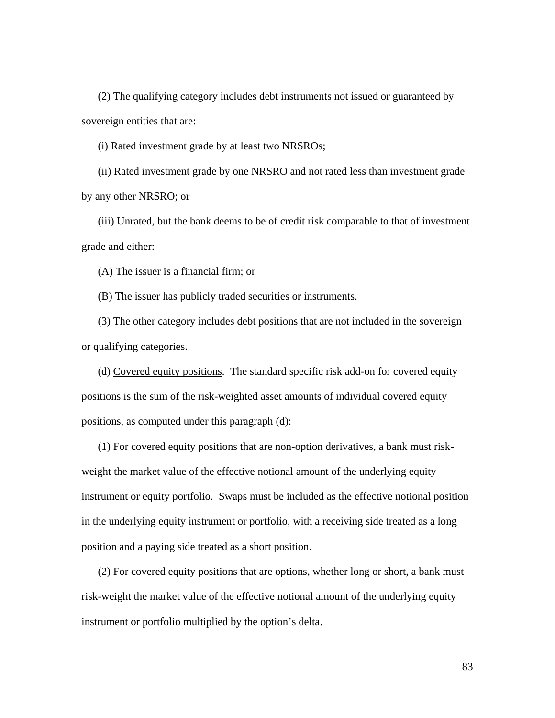(2) The qualifying category includes debt instruments not issued or guaranteed by sovereign entities that are:

(i) Rated investment grade by at least two NRSROs;

(ii) Rated investment grade by one NRSRO and not rated less than investment grade by any other NRSRO; or

(iii) Unrated, but the bank deems to be of credit risk comparable to that of investment grade and either:

(A) The issuer is a financial firm; or

(B) The issuer has publicly traded securities or instruments.

(3) The other category includes debt positions that are not included in the sovereign or qualifying categories.

(d) Covered equity positions. The standard specific risk add-on for covered equity positions is the sum of the risk-weighted asset amounts of individual covered equity positions, as computed under this paragraph (d):

(1) For covered equity positions that are non-option derivatives, a bank must riskweight the market value of the effective notional amount of the underlying equity instrument or equity portfolio. Swaps must be included as the effective notional position in the underlying equity instrument or portfolio, with a receiving side treated as a long position and a paying side treated as a short position.

(2) For covered equity positions that are options, whether long or short, a bank must risk-weight the market value of the effective notional amount of the underlying equity instrument or portfolio multiplied by the option's delta.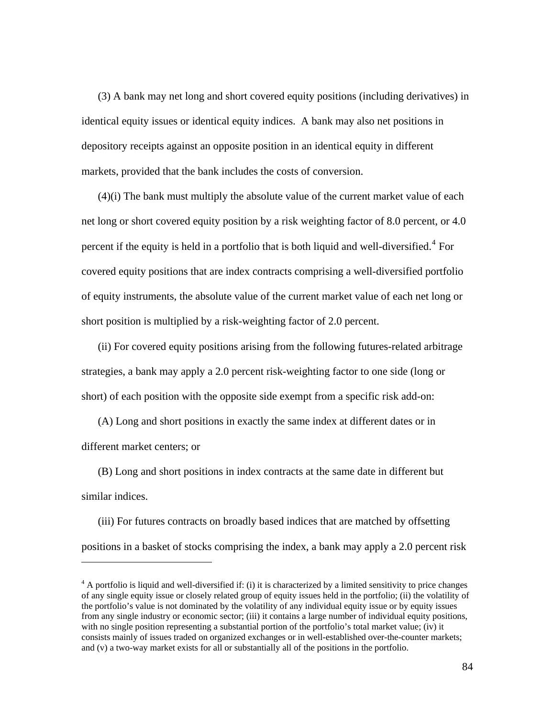(3) A bank may net long and short covered equity positions (including derivatives) in identical equity issues or identical equity indices. A bank may also net positions in depository receipts against an opposite position in an identical equity in different markets, provided that the bank includes the costs of conversion.

(4)(i) The bank must multiply the absolute value of the current market value of each net long or short covered equity position by a risk weighting factor of 8.0 percent, or 4.0 percent if the equity is held in a portfolio that is both liquid and well-diversified.<sup>[4](#page-83-0)</sup> For covered equity positions that are index contracts comprising a well-diversified portfolio of equity instruments, the absolute value of the current market value of each net long or short position is multiplied by a risk-weighting factor of 2.0 percent.

(ii) For covered equity positions arising from the following futures-related arbitrage strategies, a bank may apply a 2.0 percent risk-weighting factor to one side (long or short) of each position with the opposite side exempt from a specific risk add-on:

(A) Long and short positions in exactly the same index at different dates or in different market centers; or

(B) Long and short positions in index contracts at the same date in different but similar indices.

 $\overline{a}$ 

(iii) For futures contracts on broadly based indices that are matched by offsetting positions in a basket of stocks comprising the index, a bank may apply a 2.0 percent risk

<span id="page-83-0"></span> $4 \text{ A portfolio is liquid and well-diversified if: (i) it is characterized by a limited sensitivity to price changes}$ of any single equity issue or closely related group of equity issues held in the portfolio; (ii) the volatility of the portfolio's value is not dominated by the volatility of any individual equity issue or by equity issues from any single industry or economic sector; (iii) it contains a large number of individual equity positions, with no single position representing a substantial portion of the portfolio's total market value; (iv) it consists mainly of issues traded on organized exchanges or in well-established over-the-counter markets; and (v) a two-way market exists for all or substantially all of the positions in the portfolio.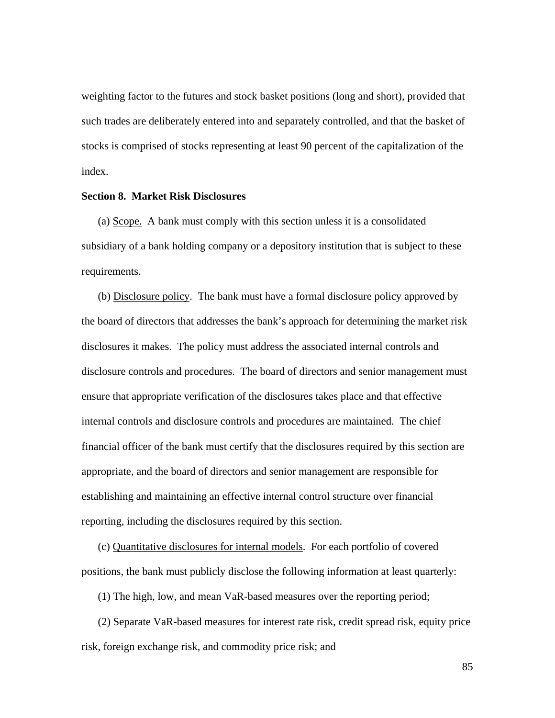weighting factor to the futures and stock basket positions (long and short), provided that such trades are deliberately entered into and separately controlled, and that the basket of stocks is comprised of stocks representing at least 90 percent of the capitalization of the index.

### **Section 8. Market Risk Disclosures**

(a) Scope. A bank must comply with this section unless it is a consolidated subsidiary of a bank holding company or a depository institution that is subject to these requirements.

(b) Disclosure policy. The bank must have a formal disclosure policy approved by the board of directors that addresses the bank's approach for determining the market risk disclosures it makes. The policy must address the associated internal controls and disclosure controls and procedures. The board of directors and senior management must ensure that appropriate verification of the disclosures takes place and that effective internal controls and disclosure controls and procedures are maintained. The chief financial officer of the bank must certify that the disclosures required by this section are appropriate, and the board of directors and senior management are responsible for establishing and maintaining an effective internal control structure over financial reporting, including the disclosures required by this section.

(c) Quantitative disclosures for internal models. For each portfolio of covered positions, the bank must publicly disclose the following information at least quarterly:

(1) The high, low, and mean VaR-based measures over the reporting period;

(2) Separate VaR-based measures for interest rate risk, credit spread risk, equity price risk, foreign exchange risk, and commodity price risk; and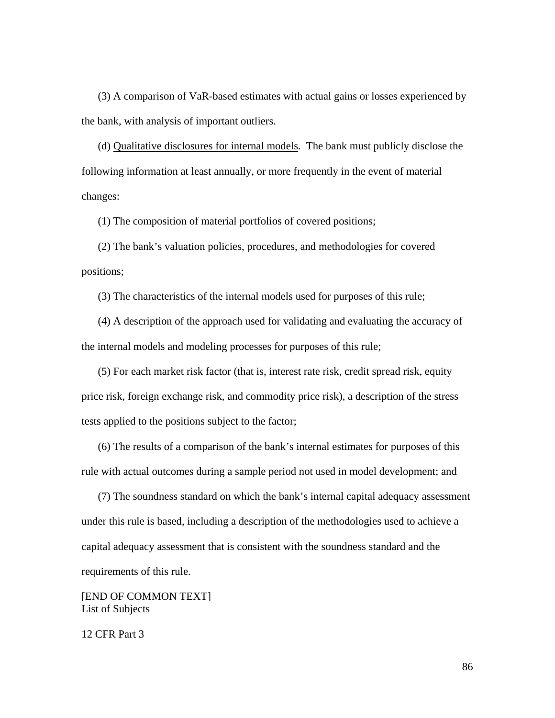(3) A comparison of VaR-based estimates with actual gains or losses experienced by the bank, with analysis of important outliers.

(d) Qualitative disclosures for internal models. The bank must publicly disclose the following information at least annually, or more frequently in the event of material changes:

(1) The composition of material portfolios of covered positions;

(2) The bank's valuation policies, procedures, and methodologies for covered positions;

(3) The characteristics of the internal models used for purposes of this rule;

(4) A description of the approach used for validating and evaluating the accuracy of the internal models and modeling processes for purposes of this rule;

(5) For each market risk factor (that is, interest rate risk, credit spread risk, equity price risk, foreign exchange risk, and commodity price risk), a description of the stress tests applied to the positions subject to the factor;

(6) The results of a comparison of the bank's internal estimates for purposes of this rule with actual outcomes during a sample period not used in model development; and

(7) The soundness standard on which the bank's internal capital adequacy assessment under this rule is based, including a description of the methodologies used to achieve a capital adequacy assessment that is consistent with the soundness standard and the requirements of this rule.

[END OF COMMON TEXT] List of Subjects

12 CFR Part 3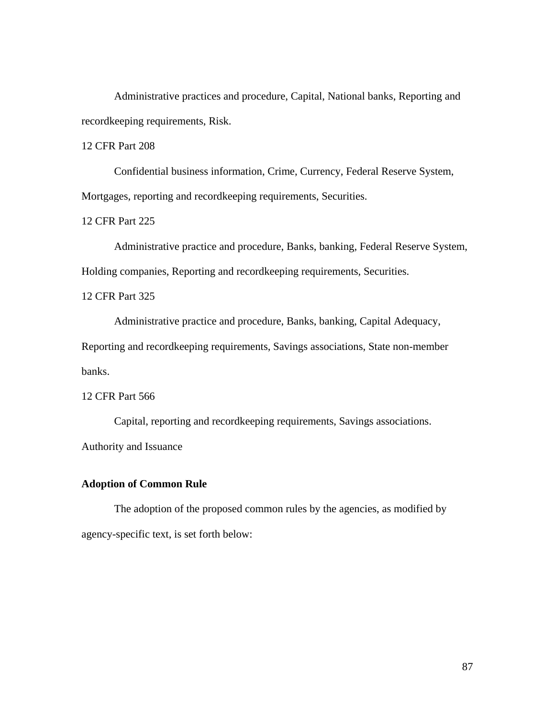Administrative practices and procedure, Capital, National banks, Reporting and recordkeeping requirements, Risk.

12 CFR Part 208

 Confidential business information, Crime, Currency, Federal Reserve System, Mortgages, reporting and recordkeeping requirements, Securities.

12 CFR Part 225

 Administrative practice and procedure, Banks, banking, Federal Reserve System, Holding companies, Reporting and recordkeeping requirements, Securities.

12 CFR Part 325

Administrative practice and procedure, Banks, banking, Capital Adequacy,

Reporting and recordkeeping requirements, Savings associations, State non-member banks.

12 CFR Part 566

 Capital, reporting and recordkeeping requirements, Savings associations. Authority and Issuance

## **Adoption of Common Rule**

The adoption of the proposed common rules by the agencies, as modified by agency-specific text, is set forth below: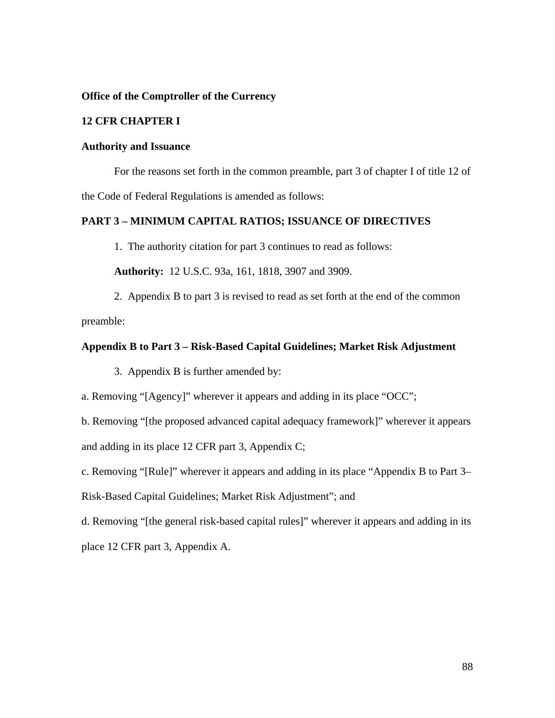**Office of the Comptroller of the Currency** 

# **12 CFR CHAPTER I**

## **Authority and Issuance**

 For the reasons set forth in the common preamble, part 3 of chapter I of title 12 of the Code of Federal Regulations is amended as follows:

# **PART 3 – MINIMUM CAPITAL RATIOS; ISSUANCE OF DIRECTIVES**

1. The authority citation for part 3 continues to read as follows:

**Authority:** 12 U.S.C. 93a, 161, 1818, 3907 and 3909.

 2. Appendix B to part 3 is revised to read as set forth at the end of the common preamble:

## **Appendix B to Part 3 – Risk-Based Capital Guidelines; Market Risk Adjustment**

3. Appendix B is further amended by:

a. Removing "[Agency]" wherever it appears and adding in its place "OCC";

b. Removing "[the proposed advanced capital adequacy framework]" wherever it appears and adding in its place 12 CFR part 3, Appendix C;

c. Removing "[Rule]" wherever it appears and adding in its place "Appendix B to Part 3–

Risk-Based Capital Guidelines; Market Risk Adjustment"; and

d. Removing "[the general risk-based capital rules]" wherever it appears and adding in its place 12 CFR part 3, Appendix A.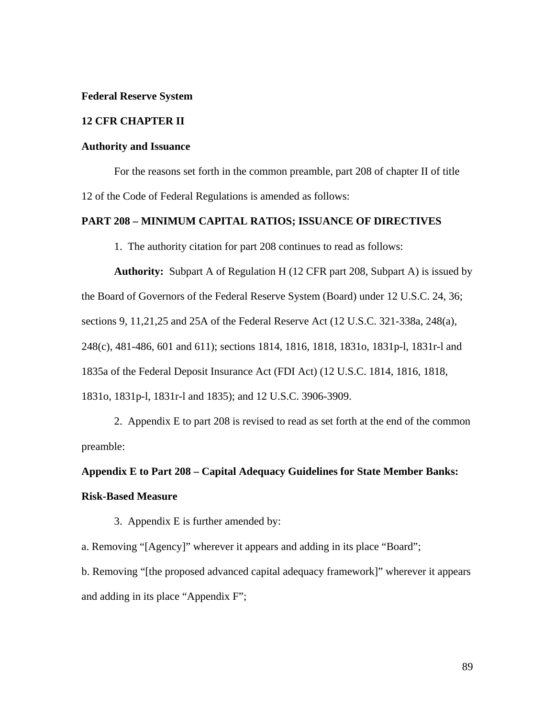#### **Federal Reserve System**

## **12 CFR CHAPTER II**

### **Authority and Issuance**

 For the reasons set forth in the common preamble, part 208 of chapter II of title 12 of the Code of Federal Regulations is amended as follows:

## **PART 208 – MINIMUM CAPITAL RATIOS; ISSUANCE OF DIRECTIVES**

1. The authority citation for part 208 continues to read as follows:

**Authority:** Subpart A of Regulation H (12 CFR part 208, Subpart A) is issued by the Board of Governors of the Federal Reserve System (Board) under 12 U.S.C. 24, 36; sections 9, 11,21,25 and 25A of the Federal Reserve Act (12 U.S.C. 321-338a, 248(a), 248(c), 481-486, 601 and 611); sections 1814, 1816, 1818, 1831o, 1831p-l, 1831r-l and 1835a of the Federal Deposit Insurance Act (FDI Act) (12 U.S.C. 1814, 1816, 1818, 1831o, 1831p-l, 1831r-l and 1835); and 12 U.S.C. 3906-3909.

 2. Appendix E to part 208 is revised to read as set forth at the end of the common preamble:

# **Appendix E to Part 208 – Capital Adequacy Guidelines for State Member Banks: Risk-Based Measure**

3. Appendix E is further amended by:

a. Removing "[Agency]" wherever it appears and adding in its place "Board"; b. Removing "[the proposed advanced capital adequacy framework]" wherever it appears and adding in its place "Appendix F";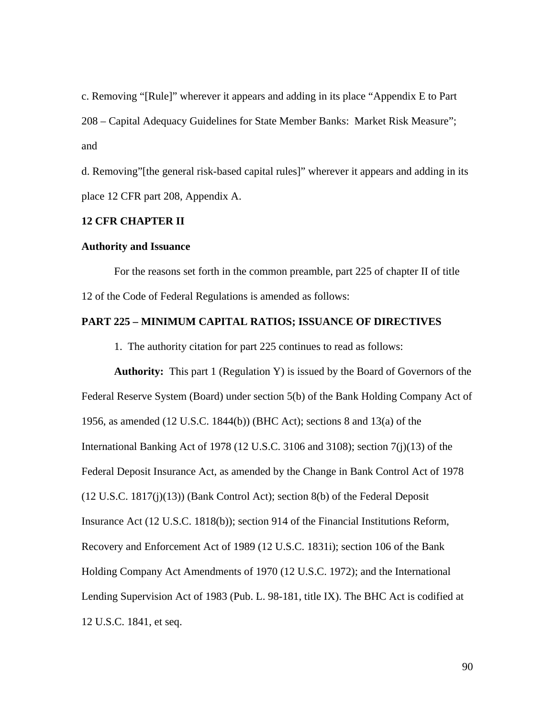c. Removing "[Rule]" wherever it appears and adding in its place "Appendix E to Part 208 – Capital Adequacy Guidelines for State Member Banks: Market Risk Measure"; and

d. Removing"[the general risk-based capital rules]" wherever it appears and adding in its place 12 CFR part 208, Appendix A.

## **12 CFR CHAPTER II**

## **Authority and Issuance**

 For the reasons set forth in the common preamble, part 225 of chapter II of title 12 of the Code of Federal Regulations is amended as follows:

## **PART 225 – MINIMUM CAPITAL RATIOS; ISSUANCE OF DIRECTIVES**

1. The authority citation for part 225 continues to read as follows:

**Authority:** This part 1 (Regulation Y) is issued by the Board of Governors of the Federal Reserve System (Board) under section 5(b) of the Bank Holding Company Act of 1956, as amended (12 U.S.C. 1844(b)) (BHC Act); sections 8 and 13(a) of the International Banking Act of 1978 (12 U.S.C. 3106 and 3108); section 7(j)(13) of the Federal Deposit Insurance Act, as amended by the Change in Bank Control Act of 1978 (12 U.S.C. 1817(j)(13)) (Bank Control Act); section 8(b) of the Federal Deposit Insurance Act (12 U.S.C. 1818(b)); section 914 of the Financial Institutions Reform, Recovery and Enforcement Act of 1989 (12 U.S.C. 1831i); section 106 of the Bank Holding Company Act Amendments of 1970 (12 U.S.C. 1972); and the International Lending Supervision Act of 1983 (Pub. L. 98-181, title IX). The BHC Act is codified at 12 U.S.C. 1841, et seq.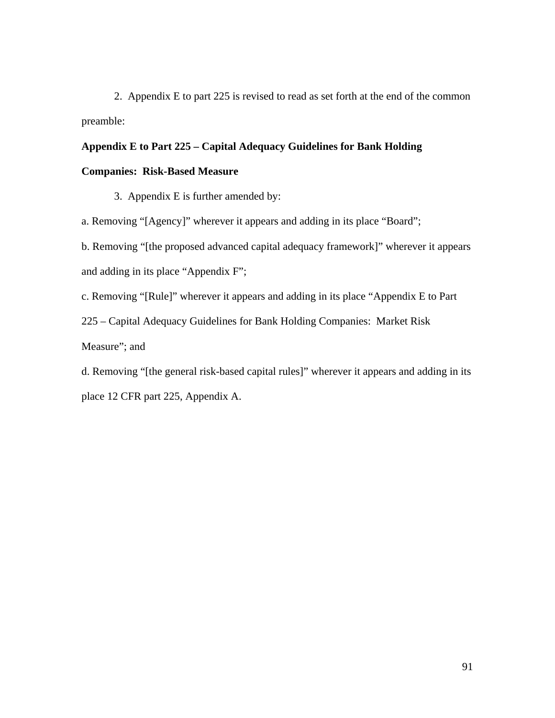2. Appendix E to part 225 is revised to read as set forth at the end of the common preamble:

# **Appendix E to Part 225 – Capital Adequacy Guidelines for Bank Holding**

## **Companies: Risk-Based Measure**

3. Appendix E is further amended by:

a. Removing "[Agency]" wherever it appears and adding in its place "Board";

b. Removing "[the proposed advanced capital adequacy framework]" wherever it appears and adding in its place "Appendix F";

c. Removing "[Rule]" wherever it appears and adding in its place "Appendix E to Part

225 – Capital Adequacy Guidelines for Bank Holding Companies: Market Risk

Measure"; and

d. Removing "[the general risk-based capital rules]" wherever it appears and adding in its place 12 CFR part 225, Appendix A.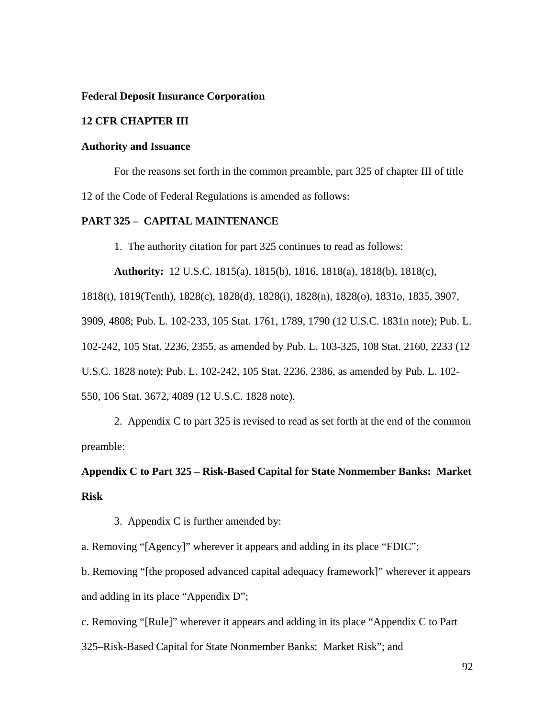### **Federal Deposit Insurance Corporation**

## **12 CFR CHAPTER III**

### **Authority and Issuance**

 For the reasons set forth in the common preamble, part 325 of chapter III of title 12 of the Code of Federal Regulations is amended as follows:

## **PART 325 – CAPITAL MAINTENANCE**

1. The authority citation for part 325 continues to read as follows:

**Authority:** 12 U.S.C. 1815(a), 1815(b), 1816, 1818(a), 1818(b), 1818(c),

1818(t), 1819(Tenth), 1828(c), 1828(d), 1828(i), 1828(n), 1828(o), 1831o, 1835, 3907,

3909, 4808; Pub. L. 102-233, 105 Stat. 1761, 1789, 1790 (12 U.S.C. 1831n note); Pub. L.

102-242, 105 Stat. 2236, 2355, as amended by Pub. L. 103-325, 108 Stat. 2160, 2233 (12

U.S.C. 1828 note); Pub. L. 102-242, 105 Stat. 2236, 2386, as amended by Pub. L. 102-

550, 106 Stat. 3672, 4089 (12 U.S.C. 1828 note).

 2. Appendix C to part 325 is revised to read as set forth at the end of the common preamble:

# **Appendix C to Part 325 – Risk-Based Capital for State Nonmember Banks: Market Risk**

3. Appendix C is further amended by:

a. Removing "[Agency]" wherever it appears and adding in its place "FDIC";

b. Removing "[the proposed advanced capital adequacy framework]" wherever it appears and adding in its place "Appendix D";

c. Removing "[Rule]" wherever it appears and adding in its place "Appendix C to Part

325–Risk-Based Capital for State Nonmember Banks: Market Risk"; and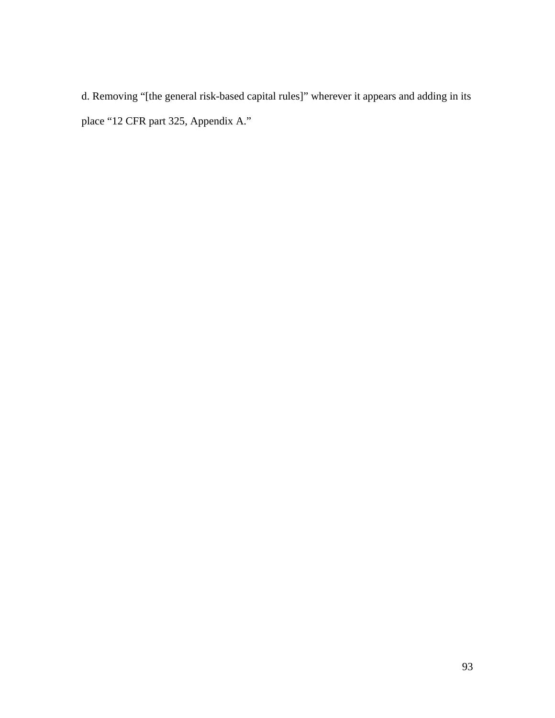d. Removing "[the general risk-based capital rules]" wherever it appears and adding in its place "12 CFR part 325, Appendix A."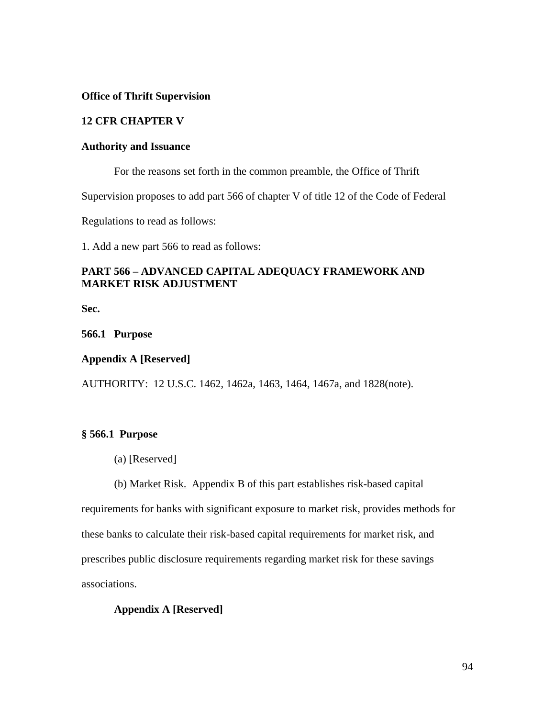## **Office of Thrift Supervision**

## **12 CFR CHAPTER V**

## **Authority and Issuance**

For the reasons set forth in the common preamble, the Office of Thrift

Supervision proposes to add part 566 of chapter V of title 12 of the Code of Federal

Regulations to read as follows:

1. Add a new part 566 to read as follows:

# **PART 566 – ADVANCED CAPITAL ADEQUACY FRAMEWORK AND MARKET RISK ADJUSTMENT**

**Sec.** 

**566.1 Purpose** 

## **Appendix A [Reserved]**

AUTHORITY: 12 U.S.C. 1462, 1462a, 1463, 1464, 1467a, and 1828(note).

## **§ 566.1 Purpose**

- (a) [Reserved]
- (b) Market Risk. Appendix B of this part establishes risk-based capital

requirements for banks with significant exposure to market risk, provides methods for these banks to calculate their risk-based capital requirements for market risk, and prescribes public disclosure requirements regarding market risk for these savings associations.

# **Appendix A [Reserved]**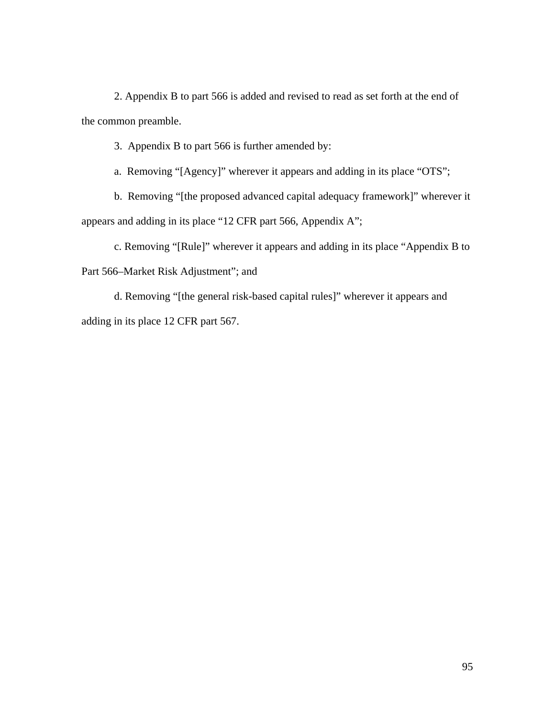2. Appendix B to part 566 is added and revised to read as set forth at the end of the common preamble.

3. Appendix B to part 566 is further amended by:

a. Removing "[Agency]" wherever it appears and adding in its place "OTS";

b. Removing "[the proposed advanced capital adequacy framework]" wherever it appears and adding in its place "12 CFR part 566, Appendix A";

c. Removing "[Rule]" wherever it appears and adding in its place "Appendix B to Part 566–Market Risk Adjustment"; and

d. Removing "[the general risk-based capital rules]" wherever it appears and adding in its place 12 CFR part 567.